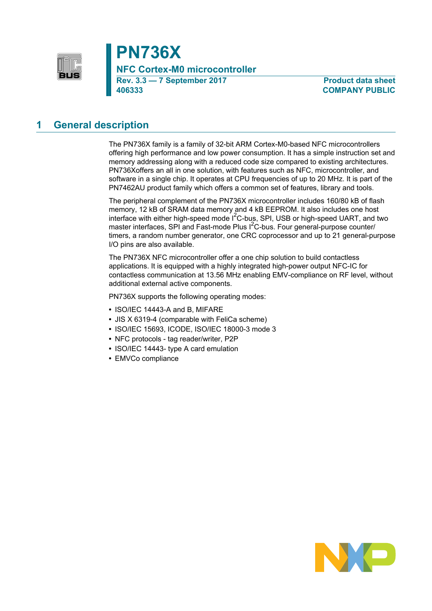

**PN736X**

**NFC Cortex-M0 microcontroller**

**Rev. 3.3 — 7 September 2017 Product data sheet 406333 COMPANY PUBLIC**

# **1 General description**

The PN736X family is a family of 32-bit ARM Cortex-M0-based NFC microcontrollers offering high performance and low power consumption. It has a simple instruction set and memory addressing along with a reduced code size compared to existing architectures. PN736Xoffers an all in one solution, with features such as NFC, microcontroller, and software in a single chip. It operates at CPU frequencies of up to 20 MHz. It is part of the PN7462AU product family which offers a common set of features, library and tools.

The peripheral complement of the PN736X microcontroller includes 160/80 kB of flash memory, 12 kB of SRAM data memory and 4 kB EEPROM. It also includes one host interface with either high-speed mode  $I^2C$ -bus, SPI, USB or high-speed UART, and two master interfaces, SPI and Fast-mode Plus  $I^2C$ -bus. Four general-purpose counter/ timers, a random number generator, one CRC coprocessor and up to 21 general-purpose I/O pins are also available.

The PN736X NFC microcontroller offer a one chip solution to build contactless applications. It is equipped with a highly integrated high-power output NFC-IC for contactless communication at 13.56 MHz enabling EMV-compliance on RF level, without additional external active components.

PN736X supports the following operating modes:

- **•** ISO/IEC 14443-A and B, MIFARE
- **•** JIS X 6319-4 (comparable with FeliCa scheme)
- **•** ISO/IEC 15693, ICODE, ISO/IEC 18000-3 mode 3
- **•** NFC protocols tag reader/writer, P2P
- **•** ISO/IEC 14443- type A card emulation
- **•** EMVCo compliance

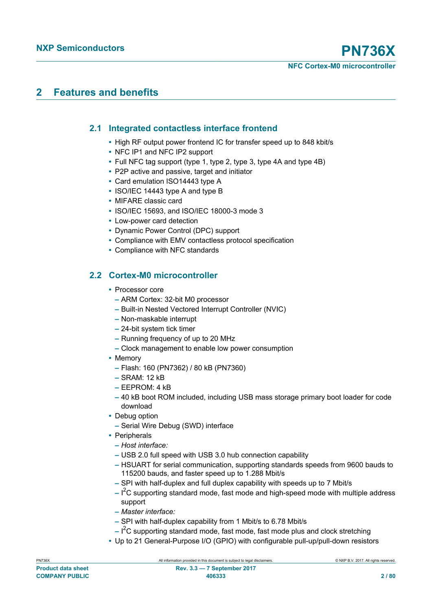# **2 Features and benefits**

## **2.1 Integrated contactless interface frontend**

- **•** High RF output power frontend IC for transfer speed up to 848 kbit/s
- **•** NFC IP1 and NFC IP2 support
- **•** Full NFC tag support (type 1, type 2, type 3, type 4A and type 4B)
- **•** P2P active and passive, target and initiator
- **•** Card emulation ISO14443 type A
- **•** ISO/IEC 14443 type A and type B
- **•** MIFARE classic card
- **•** ISO/IEC 15693, and ISO/IEC 18000-3 mode 3
- **•** Low-power card detection
- **•** Dynamic Power Control (DPC) support
- **•** Compliance with EMV contactless protocol specification
- **•** Compliance with NFC standards

## **2.2 Cortex-M0 microcontroller**

- **•** Processor core
	- **–** ARM Cortex: 32-bit M0 processor
	- **–** Built-in Nested Vectored Interrupt Controller (NVIC)
	- **–** Non-maskable interrupt
	- **–** 24-bit system tick timer
	- **–** Running frequency of up to 20 MHz
	- **–** Clock management to enable low power consumption
- **•** Memory
	- **–** Flash: 160 (PN7362) / 80 kB (PN7360)
	- **–** SRAM: 12 kB
	- **–** EEPROM: 4 kB
	- **–** 40 kB boot ROM included, including USB mass storage primary boot loader for code download
- **•** Debug option
	- **–** Serial Wire Debug (SWD) interface
- **•** Peripherals
	- **–** *Host interface:*
	- **–** USB 2.0 full speed with USB 3.0 hub connection capability
	- **–** HSUART for serial communication, supporting standards speeds from 9600 bauds to 115200 bauds, and faster speed up to 1.288 Mbit/s
	- **–** SPI with half-duplex and full duplex capability with speeds up to 7 Mbit/s
	- **–** I <sup>2</sup>C supporting standard mode, fast mode and high-speed mode with multiple address support
	- **–** *Master interface:*
	- **–** SPI with half-duplex capability from 1 Mbit/s to 6.78 Mbit/s
- **–** I <sup>2</sup>C supporting standard mode, fast mode, fast mode plus and clock stretching
- **•** Up to 21 General-Purpose I/O (GPIO) with configurable pull-up/pull-down resistors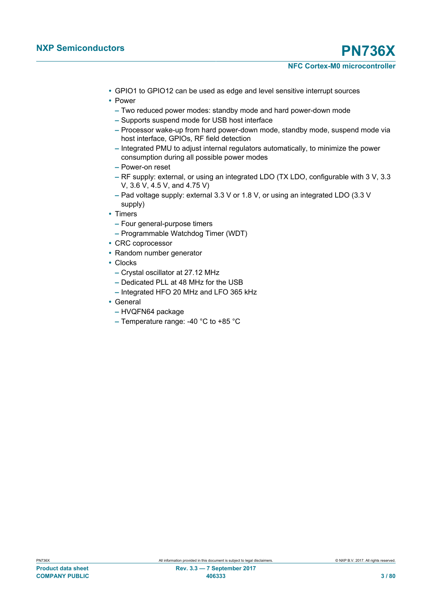- **•** GPIO1 to GPIO12 can be used as edge and level sensitive interrupt sources
- **•** Power
	- **–** Two reduced power modes: standby mode and hard power-down mode
	- **–** Supports suspend mode for USB host interface
	- **–** Processor wake-up from hard power-down mode, standby mode, suspend mode via host interface, GPIOs, RF field detection
	- **–** Integrated PMU to adjust internal regulators automatically, to minimize the power consumption during all possible power modes
	- **–** Power-on reset
	- **–** RF supply: external, or using an integrated LDO (TX LDO, configurable with 3 V, 3.3 V, 3.6 V, 4.5 V, and 4.75 V)
	- **–** Pad voltage supply: external 3.3 V or 1.8 V, or using an integrated LDO (3.3 V supply)
- **•** Timers
	- **–** Four general-purpose timers
	- **–** Programmable Watchdog Timer (WDT)
- **•** CRC coprocessor
- **•** Random number generator
- **•** Clocks
	- **–** Crystal oscillator at 27.12 MHz
	- **–** Dedicated PLL at 48 MHz for the USB
	- **–** Integrated HFO 20 MHz and LFO 365 kHz
- **•** General
	- **–** HVQFN64 package
	- **–** Temperature range: -40 °C to +85 °C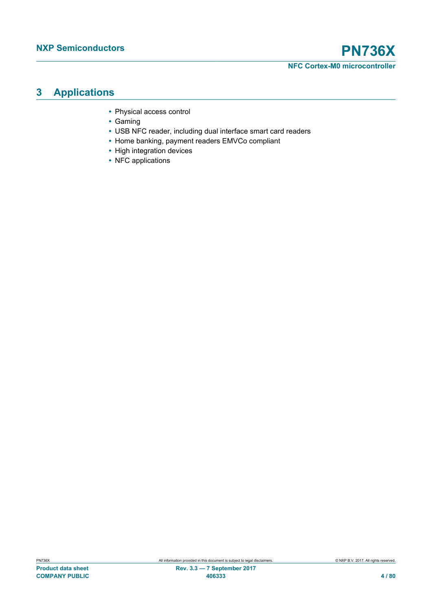# **3 Applications**

- **•** Physical access control
- **•** Gaming
- **•** USB NFC reader, including dual interface smart card readers
- **•** Home banking, payment readers EMVCo compliant
- **•** High integration devices
- **•** NFC applications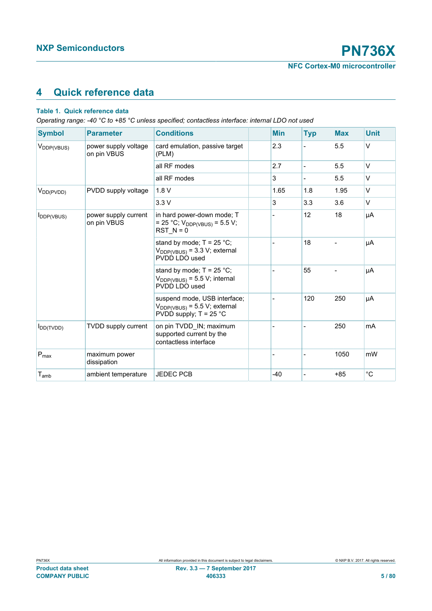# **4 Quick reference data**

## **Table 1. Quick reference data**

*Operating range: -40 °C to +85 °C unless specified; contactless interface: internal LDO not used*

| <b>Symbol</b>          | <b>Parameter</b>                    | <b>Conditions</b>                                                                              | <b>Min</b>     | <b>Typ</b> | <b>Max</b> | <b>Unit</b>  |
|------------------------|-------------------------------------|------------------------------------------------------------------------------------------------|----------------|------------|------------|--------------|
| V <sub>DDP(VBUS)</sub> | power supply voltage<br>on pin VBUS | card emulation, passive target<br>(PLM)                                                        | 2.3            |            | 5.5        | V            |
|                        |                                     | all RF modes                                                                                   | 2.7            |            | 5.5        | V            |
|                        |                                     | all RF modes                                                                                   | 3              |            | 5.5        | $\vee$       |
| $V_{DD(PVDD)}$         | PVDD supply voltage                 | 1.8V                                                                                           | 1.65           | 1.8        | 1.95       | $\vee$       |
|                        |                                     | 3.3V                                                                                           | 3              | 3.3        | 3.6        | V            |
| $I_{DDP(VBUS)}$        | power supply current<br>on pin VBUS | in hard power-down mode; T<br>= 25 °C; $V_{DDP(VBUS)}$ = 5.5 V;<br>$RST N = 0$                 |                | 12         | 18         | μA           |
|                        |                                     | stand by mode; $T = 25 °C$ ;<br>$V_{DDP(VBUS)} = 3.3 V$ ; external<br>PVDD LDO used            | $\overline{a}$ | 18         | Ξ.         | μA           |
|                        |                                     | stand by mode; $T = 25 °C$ ;<br>$V_{DDP(VBUS)} = 5.5 V$ ; internal<br>PVDD LDO used            |                | 55         |            | μA           |
|                        |                                     | suspend mode, USB interface;<br>$V_{DDP(VBUS)} = 5.5 V$ ; external<br>PVDD supply; $T = 25$ °C |                | 120        | 250        | μA           |
| $I_{DD(TVDD)}$         | <b>TVDD supply current</b>          | on pin TVDD_IN; maximum<br>supported current by the<br>contactless interface                   |                |            | 250        | mA           |
| $P_{\text{max}}$       | maximum power<br>dissipation        |                                                                                                |                |            | 1050       | mW           |
| $T_{\mathsf{amb}}$     | ambient temperature                 | <b>JEDEC PCB</b>                                                                               | $-40$          |            | $+85$      | $^{\circ}$ C |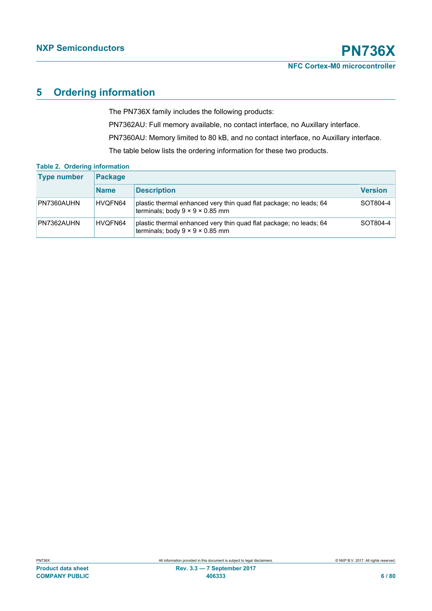# **5 Ordering information**

The PN736X family includes the following products:

PN7362AU: Full memory available, no contact interface, no Auxillary interface.

PN7360AU: Memory limited to 80 kB, and no contact interface, no Auxillary interface.

The table below lists the ordering information for these two products.

| <b>Type number</b> | <b>Package</b> |                                                                                                                   |                |  |  |
|--------------------|----------------|-------------------------------------------------------------------------------------------------------------------|----------------|--|--|
|                    | <b>Name</b>    | <b>Description</b>                                                                                                | <b>Version</b> |  |  |
| PN7360AUHN         | HVOFN64        | plastic thermal enhanced very thin quad flat package; no leads; 64<br>terminals; body $9 \times 9 \times 0.85$ mm | ⊦SOT804-4      |  |  |
| PN7362AUHN         | HVOFN64        | plastic thermal enhanced very thin quad flat package; no leads; 64<br>terminals; body $9 \times 9 \times 0.85$ mm | SOT804-4       |  |  |

## **Table 2. Ordering information**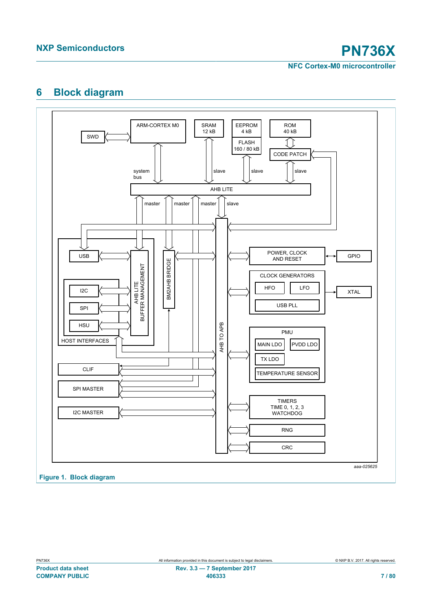# **6 Block diagram**

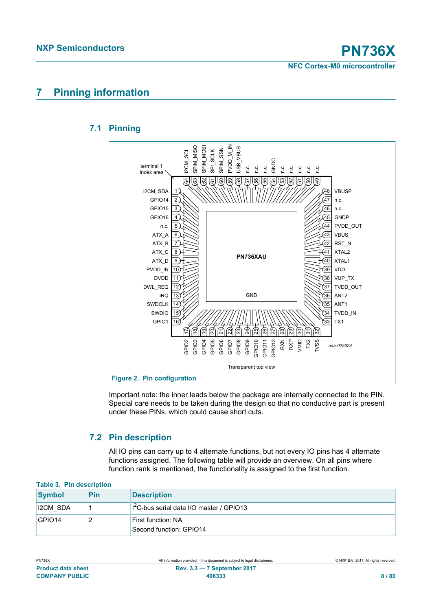# **7 Pinning information**

# **7.1 Pinning**



Important note: the inner leads below the package are internally connected to the PIN. Special care needs to be taken during the design so that no conductive part is present under these PINs, which could cause short cuts.

## **7.2 Pin description**

All IO pins can carry up to 4 alternate functions, but not every IO pins has 4 alternate functions assigned. The following table will provide an overview. On all pins where function rank is mentioned, the functionality is assigned to the first function.

| Table 3. Pin description |     |                                                     |  |  |
|--------------------------|-----|-----------------------------------------------------|--|--|
| <b>Symbol</b>            | Pin | <b>Description</b>                                  |  |  |
| <b>I2CM SDA</b>          |     | $\frac{1}{2}$ C-bus serial data I/O master / GPIO13 |  |  |
| $ GP$ $ O$ 14            |     | First function: NA<br>Second function: GPIO14       |  |  |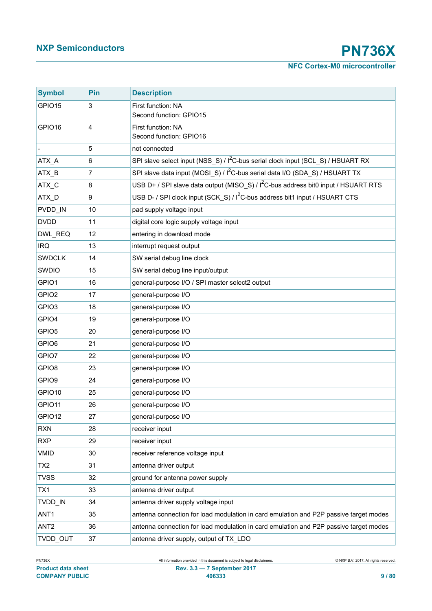| <b>Symbol</b>     | Pin | <b>Description</b>                                                                             |  |
|-------------------|-----|------------------------------------------------------------------------------------------------|--|
| GPIO15            | 3   | First function: NA<br>Second function: GPIO15                                                  |  |
| GPIO16            | 4   | First function: NA<br>Second function: GPIO16                                                  |  |
|                   | 5   | not connected                                                                                  |  |
| ATX_A             | 6   | SPI slave select input (NSS_S) / I <sup>2</sup> C-bus serial clock input (SCL_S) / HSUART RX   |  |
| ATX_B             | 7   | SPI slave data input (MOSI_S) / I <sup>2</sup> C-bus serial data I/O (SDA_S) / HSUART TX       |  |
| ATX_C             | 8   | USB D+ / SPI slave data output (MISO_S) / I <sup>2</sup> C-bus address bit0 input / HSUART RTS |  |
| ATX_D             | 9   | USB D- / SPI clock input (SCK S) / I <sup>2</sup> C-bus address bit1 input / HSUART CTS        |  |
| PVDD IN           | 10  | pad supply voltage input                                                                       |  |
| <b>DVDD</b>       | 11  | digital core logic supply voltage input                                                        |  |
| DWL_REQ           | 12  | entering in download mode                                                                      |  |
| <b>IRQ</b>        | 13  | interrupt request output                                                                       |  |
| <b>SWDCLK</b>     | 14  | SW serial debug line clock                                                                     |  |
| <b>SWDIO</b>      | 15  | SW serial debug line input/output                                                              |  |
| GPIO1             | 16  | general-purpose I/O / SPI master select2 output                                                |  |
| GPIO <sub>2</sub> | 17  | general-purpose I/O                                                                            |  |
| GPIO <sub>3</sub> | 18  | general-purpose I/O                                                                            |  |
| GPIO4             | 19  | general-purpose I/O                                                                            |  |
| GPIO <sub>5</sub> | 20  | general-purpose I/O                                                                            |  |
| GPIO6             | 21  | general-purpose I/O                                                                            |  |
| GPIO7             | 22  | general-purpose I/O                                                                            |  |
| GPIO8             | 23  | general-purpose I/O                                                                            |  |
| GPIO9             | 24  | general-purpose I/O                                                                            |  |
| GPIO10            | 25  | general-purpose I/O                                                                            |  |
| GPIO11            | 26  | general-purpose I/O                                                                            |  |
| GPIO12            | 27  | general-purpose I/O                                                                            |  |
| <b>RXN</b>        | 28  | receiver input                                                                                 |  |
| <b>RXP</b>        | 29  | receiver input                                                                                 |  |
| <b>VMID</b>       | 30  | receiver reference voltage input                                                               |  |
| TX <sub>2</sub>   | 31  | antenna driver output                                                                          |  |
| <b>TVSS</b>       | 32  | ground for antenna power supply                                                                |  |
| TX1               | 33  | antenna driver output                                                                          |  |
| TVDD_IN           | 34  | antenna driver supply voltage input                                                            |  |
| ANT1              | 35  | antenna connection for load modulation in card emulation and P2P passive target modes          |  |
| ANT <sub>2</sub>  | 36  | antenna connection for load modulation in card emulation and P2P passive target modes          |  |
| TVDD_OUT          | 37  | antenna driver supply, output of TX_LDO                                                        |  |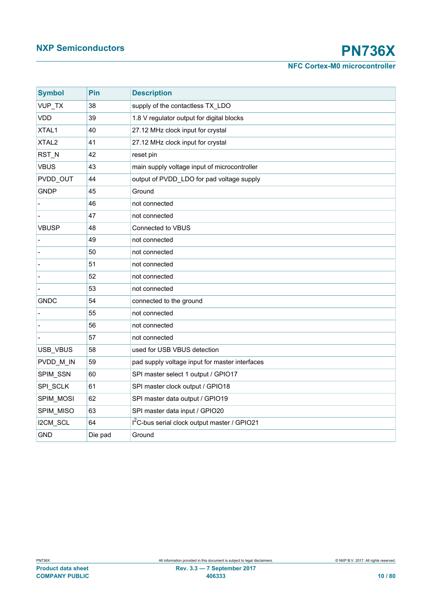# **NXP Semiconductors PN736X**

**NFC Cortex-M0 microcontroller**

| <b>Symbol</b>     | Pin     | <b>Description</b>                                       |  |  |
|-------------------|---------|----------------------------------------------------------|--|--|
| VUP_TX            | 38      | supply of the contactless TX_LDO                         |  |  |
| <b>VDD</b>        | 39      | 1.8 V regulator output for digital blocks                |  |  |
| XTAL1             | 40      | 27.12 MHz clock input for crystal                        |  |  |
| XTAL <sub>2</sub> | 41      | 27.12 MHz clock input for crystal                        |  |  |
| RST_N             | 42      | reset pin                                                |  |  |
| <b>VBUS</b>       | 43      | main supply voltage input of microcontroller             |  |  |
| PVDD OUT          | 44      | output of PVDD_LDO for pad voltage supply                |  |  |
| <b>GNDP</b>       | 45      | Ground                                                   |  |  |
|                   | 46      | not connected                                            |  |  |
|                   | 47      | not connected                                            |  |  |
| <b>VBUSP</b>      | 48      | Connected to VBUS                                        |  |  |
|                   | 49      | not connected                                            |  |  |
|                   | 50      | not connected                                            |  |  |
|                   | 51      | not connected                                            |  |  |
|                   | 52      | not connected                                            |  |  |
|                   | 53      | not connected                                            |  |  |
| <b>GNDC</b>       | 54      | connected to the ground                                  |  |  |
|                   | 55      | not connected                                            |  |  |
|                   | 56      | not connected                                            |  |  |
|                   | 57      | not connected                                            |  |  |
| USB_VBUS          | 58      | used for USB VBUS detection                              |  |  |
| PVDD M IN         | 59      | pad supply voltage input for master interfaces           |  |  |
| SPIM_SSN          | 60      | SPI master select 1 output / GPIO17                      |  |  |
| SPI_SCLK          | 61      | SPI master clock output / GPIO18                         |  |  |
| SPIM_MOSI         | 62      | SPI master data output / GPIO19                          |  |  |
| SPIM_MISO         | 63      | SPI master data input / GPIO20                           |  |  |
| I2CM_SCL          | 64      | I <sup>2</sup> C-bus serial clock output master / GPIO21 |  |  |
| <b>GND</b>        | Die pad | Ground                                                   |  |  |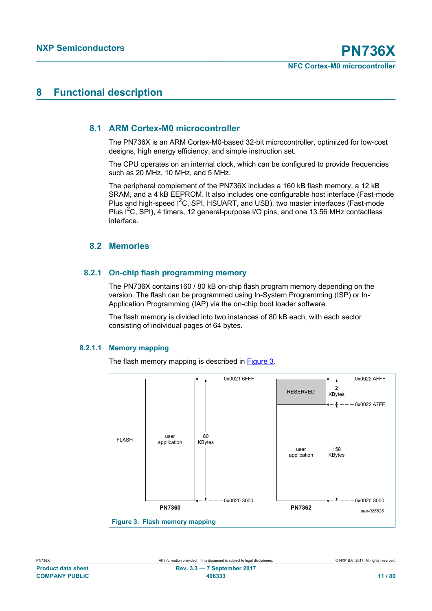# **8 Functional description**

## **8.1 ARM Cortex-M0 microcontroller**

The PN736X is an ARM Cortex-M0-based 32-bit microcontroller, optimized for low-cost designs, high energy efficiency, and simple instruction set.

The CPU operates on an internal clock, which can be configured to provide frequencies such as 20 MHz, 10 MHz, and 5 MHz.

The peripheral complement of the PN736X includes a 160 kB flash memory, a 12 kB SRAM, and a 4 kB EEPROM. It also includes one configurable host interface (Fast-mode Plus and high-speed I<sup>2</sup>C, SPI, HSUART, and USB), two master interfaces (Fast-mode Plus I<sup>2</sup>C, SPI), 4 timers, 12 general-purpose I/O pins, and one 13.56 MHz contactless interface.

## **8.2 Memories**

## **8.2.1 On-chip flash programming memory**

The PN736X contains160 / 80 kB on-chip flash program memory depending on the version. The flash can be programmed using In-System Programming (ISP) or In-Application Programming (IAP) via the on-chip boot loader software.

The flash memory is divided into two instances of 80 kB each, with each sector consisting of individual pages of 64 bytes.

#### **8.2.1.1 Memory mapping**

The flash memory mapping is described in **[Figure 3](#page-10-0).** 



<span id="page-10-0"></span>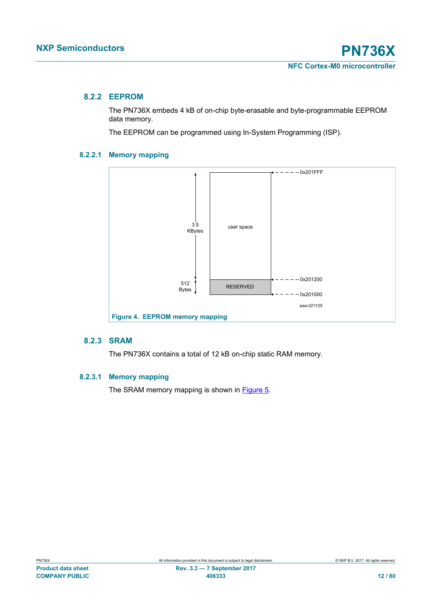## **8.2.2 EEPROM**

The PN736X embeds 4 kB of on-chip byte-erasable and byte-programmable EEPROM data memory.

The EEPROM can be programmed using In-System Programming (ISP).

## **8.2.2.1 Memory mapping**



### **8.2.3 SRAM**

The PN736X contains a total of 12 kB on-chip static RAM memory.

#### **8.2.3.1 Memory mapping**

The SRAM memory mapping is shown in **[Figure 5](#page-12-0).**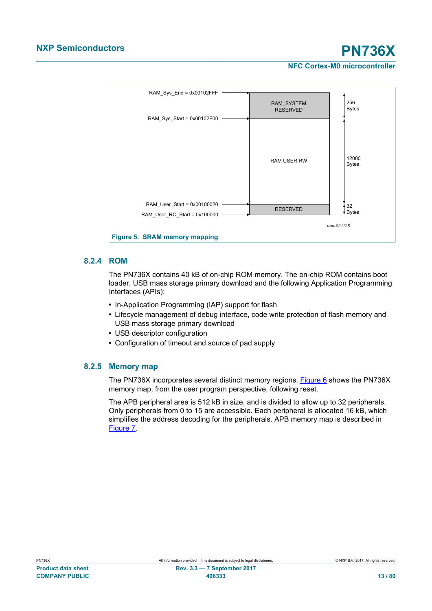

## **8.2.4 ROM**

<span id="page-12-0"></span>The PN736X contains 40 kB of on-chip ROM memory. The on-chip ROM contains boot loader, USB mass storage primary download and the following Application Programming Interfaces (APIs):

- **•** In-Application Programming (IAP) support for flash
- **•** Lifecycle management of debug interface, code write protection of flash memory and USB mass storage primary download
- **•** USB descriptor configuration
- **•** Configuration of timeout and source of pad supply

## **8.2.5 Memory map**

The PN736X incorporates several distinct memory regions. [Figure 6](#page-13-0) shows the PN736X memory map, from the user program perspective, following reset.

The APB peripheral area is 512 kB in size, and is divided to allow up to 32 peripherals. Only peripherals from 0 to 15 are accessible. Each peripheral is allocated 16 kB, which simplifies the address decoding for the peripherals. APB memory map is described in [Figure 7.](#page-14-0)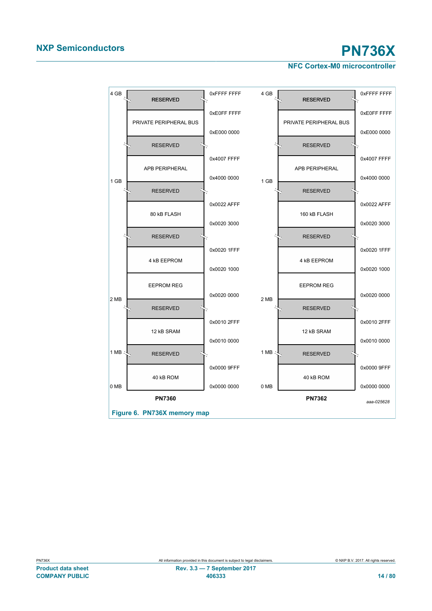<span id="page-13-0"></span>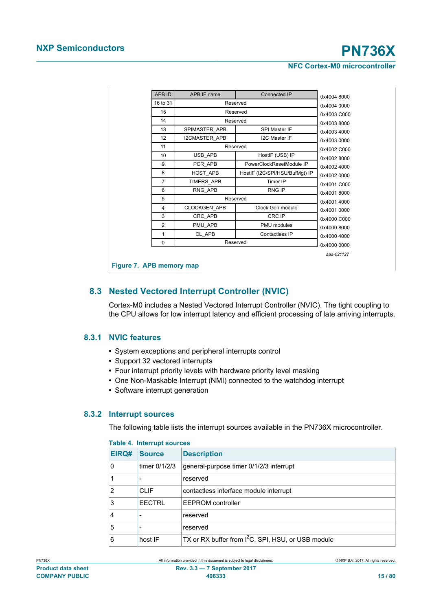| 16 to 31       |                     |                                |             |
|----------------|---------------------|--------------------------------|-------------|
|                |                     | Reserved                       | 0x4004 0000 |
| 15             |                     | Reserved                       | 0x4003 C000 |
| 14             |                     | Reserved                       | 0x40038000  |
| 13             | SPIMASTER APB       | SPI Master IF                  | 0x4003 4000 |
| 12             | I2CMASTER APB       | <b>I2C Master IF</b>           | 0x4003 0000 |
| 11             |                     | Reserved                       | 0x4002 C000 |
| 10             | USB APB             | HostIF (USB) IP                | 0x40028000  |
| 9              | PCR APB             | PowerClockResetModule IP       | 0x4002 4000 |
| 8              | HOST APB            | HostIF (I2C/SPI/HSU/BufMgt) IP | 0x4002 0000 |
| 7              | TIMERS APB          | Timer IP                       | 0x4001 C000 |
| 6              | RNG APB             | <b>RNG IP</b>                  | 0x4001 8000 |
| 5              | Reserved            |                                | 0x4001 4000 |
| 4              | <b>CLOCKGEN APB</b> | Clock Gen module               | 0x4001 0000 |
| 3              | CRC APB             | CRC IP                         | 0x4000 C000 |
| $\overline{2}$ | PMU APB             | PMU modules                    | 0x4000 8000 |
| 1              | CL APB              | Contactless IP                 | 0x4000 4000 |
| 0              | Reserved            |                                | 0x4000 0000 |

<span id="page-14-0"></span>**Figure 7. APB memory map** 

## **8.3 Nested Vectored Interrupt Controller (NVIC)**

Cortex-M0 includes a Nested Vectored Interrupt Controller (NVIC). The tight coupling to the CPU allows for low interrupt latency and efficient processing of late arriving interrupts.

## **8.3.1 NVIC features**

- **•** System exceptions and peripheral interrupts control
- **•** Support 32 vectored interrupts
- **•** Four interrupt priority levels with hardware priority level masking
- **•** One Non-Maskable Interrupt (NMI) connected to the watchdog interrupt
- **•** Software interrupt generation

#### **8.3.2 Interrupt sources**

The following table lists the interrupt sources available in the PN736X microcontroller.

|       | rapie 4. mierrupi suurces |                                                                |  |  |
|-------|---------------------------|----------------------------------------------------------------|--|--|
| EIRQ# | <b>Source</b>             | <b>Description</b>                                             |  |  |
| 0     | timer $0/1/2/3$           | general-purpose timer 0/1/2/3 interrupt                        |  |  |
|       |                           | reserved                                                       |  |  |
| 2     | <b>CLIF</b>               | contactless interface module interrupt                         |  |  |
| 3     | <b>EECTRL</b>             | <b>EEPROM</b> controller                                       |  |  |
| 4     | -                         | reserved                                                       |  |  |
| 5     |                           | reserved                                                       |  |  |
| 6     | host IF                   | TX or RX buffer from I <sup>2</sup> C, SPI, HSU, or USB module |  |  |

#### **Table 4. Interrupt sources**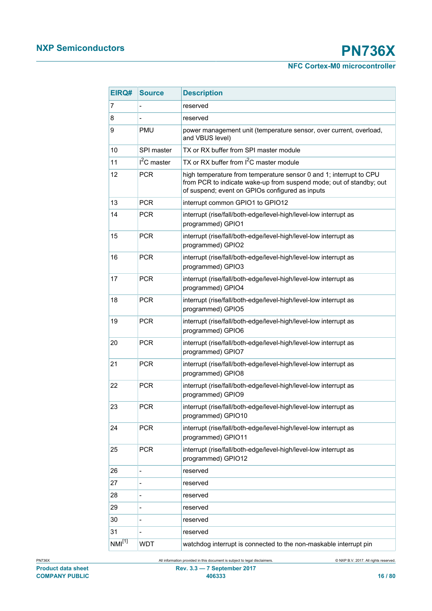| EIRQ#              | <b>Source</b> | <b>Description</b>                                                                                                                                                                           |  |  |
|--------------------|---------------|----------------------------------------------------------------------------------------------------------------------------------------------------------------------------------------------|--|--|
| 7                  |               | reserved                                                                                                                                                                                     |  |  |
| 8                  |               | reserved                                                                                                                                                                                     |  |  |
| 9                  | <b>PMU</b>    | power management unit (temperature sensor, over current, overload,<br>and VBUS level)                                                                                                        |  |  |
| 10                 | SPI master    | TX or RX buffer from SPI master module                                                                                                                                                       |  |  |
| 11                 | $I2C$ master  | TX or RX buffer from $I^2C$ master module                                                                                                                                                    |  |  |
| 12                 | <b>PCR</b>    | high temperature from temperature sensor 0 and 1; interrupt to CPU<br>from PCR to indicate wake-up from suspend mode; out of standby; out<br>of suspend; event on GPIOs configured as inputs |  |  |
| 13                 | <b>PCR</b>    | interrupt common GPIO1 to GPIO12                                                                                                                                                             |  |  |
| 14                 | <b>PCR</b>    | interrupt (rise/fall/both-edge/level-high/level-low interrupt as<br>programmed) GPIO1                                                                                                        |  |  |
| 15                 | <b>PCR</b>    | interrupt (rise/fall/both-edge/level-high/level-low interrupt as<br>programmed) GPIO2                                                                                                        |  |  |
| 16                 | <b>PCR</b>    | interrupt (rise/fall/both-edge/level-high/level-low interrupt as<br>programmed) GPIO3                                                                                                        |  |  |
| 17                 | <b>PCR</b>    | interrupt (rise/fall/both-edge/level-high/level-low interrupt as<br>programmed) GPIO4                                                                                                        |  |  |
| 18                 | <b>PCR</b>    | interrupt (rise/fall/both-edge/level-high/level-low interrupt as<br>programmed) GPIO5                                                                                                        |  |  |
| 19                 | <b>PCR</b>    | interrupt (rise/fall/both-edge/level-high/level-low interrupt as<br>programmed) GPIO6                                                                                                        |  |  |
| 20                 | <b>PCR</b>    | interrupt (rise/fall/both-edge/level-high/level-low interrupt as<br>programmed) GPIO7                                                                                                        |  |  |
| 21                 | <b>PCR</b>    | interrupt (rise/fall/both-edge/level-high/level-low interrupt as<br>programmed) GPIO8                                                                                                        |  |  |
| 22                 | <b>PCR</b>    | interrupt (rise/fall/both-edge/level-high/level-low interrupt as<br>programmed) GPIO9                                                                                                        |  |  |
| 23                 | <b>PCR</b>    | interrupt (rise/fall/both-edge/level-high/level-low interrupt as<br>programmed) GPIO10                                                                                                       |  |  |
| 24                 | <b>PCR</b>    | interrupt (rise/fall/both-edge/level-high/level-low interrupt as<br>programmed) GPIO11                                                                                                       |  |  |
| 25                 | <b>PCR</b>    | interrupt (rise/fall/both-edge/level-high/level-low interrupt as<br>programmed) GPIO12                                                                                                       |  |  |
| 26                 | -             | reserved                                                                                                                                                                                     |  |  |
| 27                 | -             | reserved                                                                                                                                                                                     |  |  |
| 28                 |               | reserved                                                                                                                                                                                     |  |  |
| 29                 |               | reserved                                                                                                                                                                                     |  |  |
| 30                 |               | reserved                                                                                                                                                                                     |  |  |
| 31                 |               | reserved                                                                                                                                                                                     |  |  |
| NMI <sup>[1]</sup> | <b>WDT</b>    | watchdog interrupt is connected to the non-maskable interrupt pin                                                                                                                            |  |  |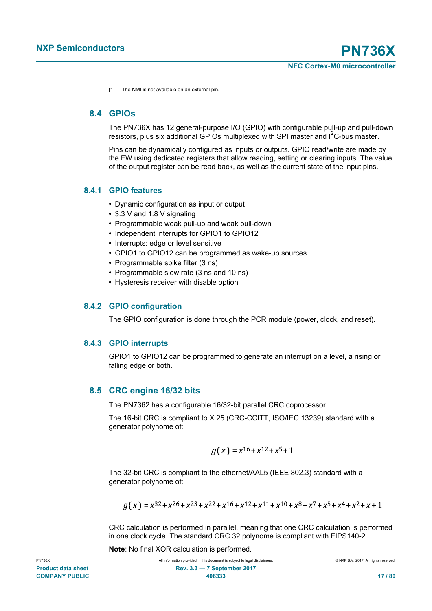<span id="page-16-0"></span>[1] The NMI is not available on an external pin.

## **8.4 GPIOs**

The PN736X has 12 general-purpose I/O (GPIO) with configurable pull-up and pull-down resistors, plus six additional GPIOs multiplexed with SPI master and  $I<sup>2</sup>C-bus master$ .

Pins can be dynamically configured as inputs or outputs. GPIO read/write are made by the FW using dedicated registers that allow reading, setting or clearing inputs. The value of the output register can be read back, as well as the current state of the input pins.

## **8.4.1 GPIO features**

- **•** Dynamic configuration as input or output
- **•** 3.3 V and 1.8 V signaling
- **•** Programmable weak pull-up and weak pull-down
- **•** Independent interrupts for GPIO1 to GPIO12
- **•** Interrupts: edge or level sensitive
- **•** GPIO1 to GPIO12 can be programmed as wake-up sources
- **•** Programmable spike filter (3 ns)
- **•** Programmable slew rate (3 ns and 10 ns)
- **•** Hysteresis receiver with disable option

#### **8.4.2 GPIO configuration**

The GPIO configuration is done through the PCR module (power, clock, and reset).

#### **8.4.3 GPIO interrupts**

GPIO1 to GPIO12 can be programmed to generate an interrupt on a level, a rising or falling edge or both.

## **8.5 CRC engine 16/32 bits**

The PN7362 has a configurable 16/32-bit parallel CRC coprocessor.

The 16-bit CRC is compliant to X.25 (CRC-CCITT, ISO/IEC 13239) standard with a generator polynome of:

$$
g(x) = x^{16} + x^{12} + x^{5} + 1
$$

The 32-bit CRC is compliant to the ethernet/AAL5 (IEEE 802.3) standard with a generator polynome of:

$$
g(x) = x^{32} + x^{26} + x^{23} + x^{22} + x^{16} + x^{12} + x^{11} + x^{10} + x^8 + x^7 + x^5 + x^4 + x^2 + x + 1
$$

CRC calculation is performed in parallel, meaning that one CRC calculation is performed in one clock cycle. The standard CRC 32 polynome is compliant with FIPS140-2.

**Note**: No final XOR calculation is performed*.*

| <b>PN736X</b>             | All information provided in this document is subject to legal disclaimers. | © NXP B.V. 2017. All rights reserved. |
|---------------------------|----------------------------------------------------------------------------|---------------------------------------|
| <b>Product data sheet</b> | $Rev. 3.3 - 7 September 2017$                                              |                                       |
| <b>COMPANY PUBLIC</b>     | 406333                                                                     | 17/80                                 |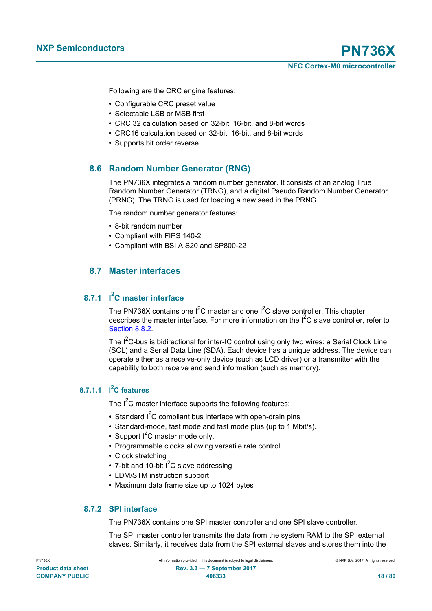**NXP Semiconductors PN736X NFC Cortex-M0 microcontroller**

Following are the CRC engine features:

- **•** Configurable CRC preset value
- **•** Selectable LSB or MSB first
- **•** CRC 32 calculation based on 32-bit, 16-bit, and 8-bit words
- **•** CRC16 calculation based on 32-bit, 16-bit, and 8-bit words
- **•** Supports bit order reverse

## **8.6 Random Number Generator (RNG)**

The PN736X integrates a random number generator. It consists of an analog True Random Number Generator (TRNG), and a digital Pseudo Random Number Generator (PRNG). The TRNG is used for loading a new seed in the PRNG.

The random number generator features:

- **•** 8-bit random number
- **•** Compliant with FIPS 140-2
- **•** Compliant with BSI AIS20 and SP800-22

## **8.7 Master interfaces**

## **8.7.1 I <sup>2</sup>C master interface**

<span id="page-17-0"></span>The PN736X contains one  $I^2C$  master and one  $I^2C$  slave controller. This chapter describes the master interface. For more information on the  $I^2C$  slave controller, refer to [Section 8.8.2](#page-19-0).

The  $I^2C$ -bus is bidirectional for inter-IC control using only two wires: a Serial Clock Line (SCL) and a Serial Data Line (SDA). Each device has a unique address. The device can operate either as a receive-only device (such as LCD driver) or a transmitter with the capability to both receive and send information (such as memory).

## **8.7.1.1 I <sup>2</sup>C features**

The  $I^2C$  master interface supports the following features:

- Standard I<sup>2</sup>C compliant bus interface with open-drain pins
- **•** Standard-mode, fast mode and fast mode plus (up to 1 Mbit/s).
- Support I<sup>2</sup>C master mode only.
- **•** Programmable clocks allowing versatile rate control.
- **•** Clock stretching
- 7-bit and 10-bit I<sup>2</sup>C slave addressing
- **•** LDM/STM instruction support
- **•** Maximum data frame size up to 1024 bytes

## **8.7.2 SPI interface**

The PN736X contains one SPI master controller and one SPI slave controller.

The SPI master controller transmits the data from the system RAM to the SPI external slaves. Similarly, it receives data from the SPI external slaves and stores them into the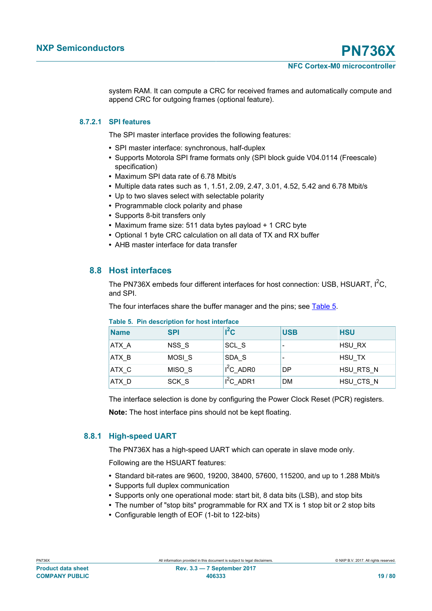system RAM. It can compute a CRC for received frames and automatically compute and append CRC for outgoing frames (optional feature).

## **8.7.2.1 SPI features**

The SPI master interface provides the following features:

- **•** SPI master interface: synchronous, half-duplex
- **•** Supports Motorola SPI frame formats only (SPI block guide V04.0114 (Freescale) specification)
- **•** Maximum SPI data rate of 6.78 Mbit/s
- **•** Multiple data rates such as 1, 1.51, 2.09, 2.47, 3.01, 4.52, 5.42 and 6.78 Mbit/s
- **•** Up to two slaves select with selectable polarity
- **•** Programmable clock polarity and phase
- **•** Supports 8-bit transfers only
- **•** Maximum frame size: 511 data bytes payload + 1 CRC byte
- **•** Optional 1 byte CRC calculation on all data of TX and RX buffer
- **•** AHB master interface for data transfer

## **8.8 Host interfaces**

The PN736X embeds four different interfaces for host connection: USB, HSUART,  $1^2C$ , and SPI.

The four interfaces share the buffer manager and the pins; see [Table 5](#page-18-0).

| <b>Name</b> | <b>SPI</b>        | $l^2C$      | <b>USB</b> | <b>HSU</b> |  |
|-------------|-------------------|-------------|------------|------------|--|
| ATX_A       | NSS S             | SCL S       |            | HSU_RX     |  |
| ATX B       | MOSI <sub>S</sub> | SDA S       |            | HSU TX     |  |
| ATX C       | MISO <sub>S</sub> | $I^2C$ ADR0 | DP         | HSU RTS N  |  |
| ATX D       | SCK_S             | $I^2C$ ADR1 | <b>DM</b>  | HSU_CTS_N  |  |

#### <span id="page-18-0"></span>**Table 5. Pin description for host interface**

The interface selection is done by configuring the Power Clock Reset (PCR) registers.

**Note:** The host interface pins should not be kept floating.

#### **8.8.1 High-speed UART**

The PN736X has a high-speed UART which can operate in slave mode only.

Following are the HSUART features:

- **•** Standard bit-rates are 9600, 19200, 38400, 57600, 115200, and up to 1.288 Mbit/s
- **•** Supports full duplex communication
- **•** Supports only one operational mode: start bit, 8 data bits (LSB), and stop bits
- **•** The number of "stop bits" programmable for RX and TX is 1 stop bit or 2 stop bits
- **•** Configurable length of EOF (1-bit to 122-bits)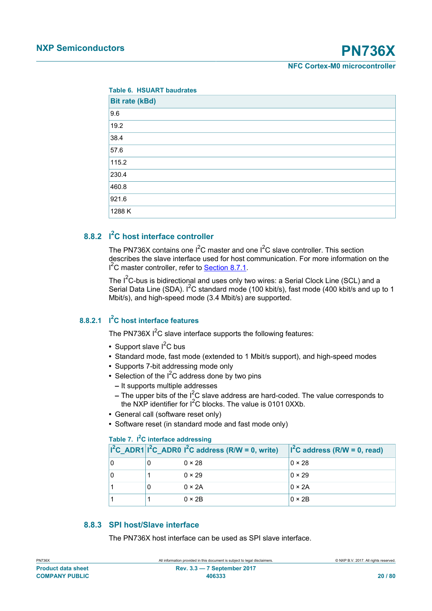| <b>Table 6. HSUART baudrates</b> |
|----------------------------------|
| <b>Bit rate (kBd)</b>            |
| 9.6                              |
| 19.2                             |
| 38.4                             |
| 57.6                             |
| 115.2                            |
| 230.4                            |
| 460.8                            |
| 921.6                            |
| 1288 K                           |

# **8.8.2 I <sup>2</sup>C host interface controller**

<span id="page-19-0"></span>The PN736X contains one  $I^2C$  master and one  $I^2C$  slave controller. This section describes the slave interface used for host communication. For more information on the <sup>2</sup>C master controller, refer to **Section 8.7.1**.

The  $I^2C$ -bus is bidirectional and uses only two wires: a Serial Clock Line (SCL) and a Serial Data Line (SDA).  $I^2C$  standard mode (100 kbit/s), fast mode (400 kbit/s and up to 1 Mbit/s), and high-speed mode (3.4 Mbit/s) are supported.

## **8.8.2.1 I <sup>2</sup>C host interface features**

The PN736X  $I^2C$  slave interface supports the following features:

- Support slave I<sup>2</sup>C bus
- **•** Standard mode, fast mode (extended to 1 Mbit/s support), and high-speed modes
- **•** Supports 7-bit addressing mode only
- Selection of the I<sup>2</sup>C address done by two pins
	- **–** It supports multiple addresses
	- **–** The upper bits of the I2C slave address are hard-coded. The value corresponds to the NXP identifier for  $I^2C$  blocks. The value is 0101 0XXb.
- **•** General call (software reset only)
- **•** Software reset (in standard mode and fast mode only)

### **Table 7. I2C interface addressing**

|  | $ 1^2C$ ADR1 $ 1^2C$ ADR0 $ 1^2C$ address (R/W = 0, write) | $I2C$ address (R/W = 0, read) |
|--|------------------------------------------------------------|-------------------------------|
|  | $0 \times 28$                                              | $0 \times 28$                 |
|  | $0 \times 29$                                              | $0 \times 29$                 |
|  | $0 \times 2A$                                              | $0 \times 2A$                 |
|  | $0 \times 2B$                                              | $0 \times 2B$                 |

## **8.8.3 SPI host/Slave interface**

The PN736X host interface can be used as SPI slave interface.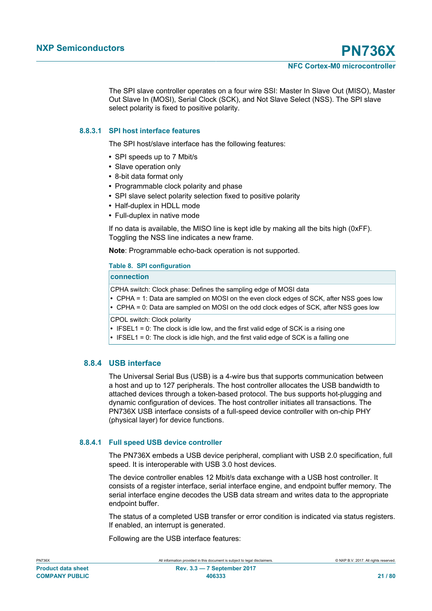The SPI slave controller operates on a four wire SSI: Master In Slave Out (MISO), Master Out Slave In (MOSI), Serial Clock (SCK), and Not Slave Select (NSS). The SPI slave select polarity is fixed to positive polarity.

## **8.8.3.1 SPI host interface features**

The SPI host/slave interface has the following features:

- **•** SPI speeds up to 7 Mbit/s
- **•** Slave operation only
- **•** 8-bit data format only
- **•** Programmable clock polarity and phase
- **•** SPI slave select polarity selection fixed to positive polarity
- **•** Half-duplex in HDLL mode
- **•** Full-duplex in native mode

If no data is available, the MISO line is kept idle by making all the bits high (0xFF). Toggling the NSS line indicates a new frame.

**Note**: Programmable echo-back operation is not supported.

#### **Table 8. SPI configuration**

## **connection**

CPHA switch: Clock phase: Defines the sampling edge of MOSI data

**•** CPHA = 1: Data are sampled on MOSI on the even clock edges of SCK, after NSS goes low

**•** CPHA = 0: Data are sampled on MOSI on the odd clock edges of SCK, after NSS goes low

CPOL switch: Clock polarity

- **•** IFSEL1 = 0: The clock is idle low, and the first valid edge of SCK is a rising one
- **•** IFSEL1 = 0: The clock is idle high, and the first valid edge of SCK is a falling one

## **8.8.4 USB interface**

The Universal Serial Bus (USB) is a 4-wire bus that supports communication between a host and up to 127 peripherals. The host controller allocates the USB bandwidth to attached devices through a token-based protocol. The bus supports hot-plugging and dynamic configuration of devices. The host controller initiates all transactions. The PN736X USB interface consists of a full-speed device controller with on-chip PHY (physical layer) for device functions.

#### **8.8.4.1 Full speed USB device controller**

The PN736X embeds a USB device peripheral, compliant with USB 2.0 specification, full speed. It is interoperable with USB 3.0 host devices.

The device controller enables 12 Mbit/s data exchange with a USB host controller. It consists of a register interface, serial interface engine, and endpoint buffer memory. The serial interface engine decodes the USB data stream and writes data to the appropriate endpoint buffer.

The status of a completed USB transfer or error condition is indicated via status registers. If enabled, an interrupt is generated.

Following are the USB interface features: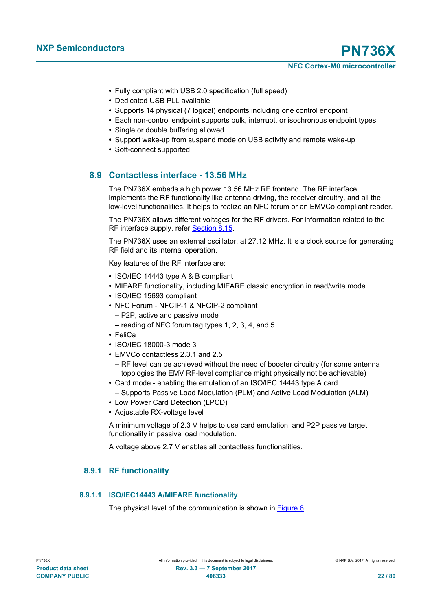- **•** Fully compliant with USB 2.0 specification (full speed)
- **•** Dedicated USB PLL available
- **•** Supports 14 physical (7 logical) endpoints including one control endpoint
- **•** Each non-control endpoint supports bulk, interrupt, or isochronous endpoint types
- **•** Single or double buffering allowed
- **•** Support wake-up from suspend mode on USB activity and remote wake-up
- **•** Soft-connect supported

## **8.9 Contactless interface - 13.56 MHz**

The PN736X embeds a high power 13.56 MHz RF frontend. The RF interface implements the RF functionality like antenna driving, the receiver circuitry, and all the low-level functionalities. It helps to realize an NFC forum or an EMVCo compliant reader.

The PN736X allows different voltages for the RF drivers. For information related to the RF interface supply, refer [Section 8.15](#page-35-0).

The PN736X uses an external oscillator, at 27.12 MHz. It is a clock source for generating RF field and its internal operation.

Key features of the RF interface are:

- **•** ISO/IEC 14443 type A & B compliant
- **•** MIFARE functionality, including MIFARE classic encryption in read/write mode
- **•** ISO/IEC 15693 compliant
- **•** NFC Forum NFCIP-1 & NFCIP-2 compliant
	- **–** P2P, active and passive mode
	- **–** reading of NFC forum tag types 1, 2, 3, 4, and 5
- **•** FeliCa
- **•** ISO/IEC 18000-3 mode 3
- **•** EMVCo contactless 2.3.1 and 2.5
	- **–** RF level can be achieved without the need of booster circuitry (for some antenna topologies the EMV RF-level compliance might physically not be achievable)
- **•** Card mode enabling the emulation of an ISO/IEC 14443 type A card **–** Supports Passive Load Modulation (PLM) and Active Load Modulation (ALM)
- **•** Low Power Card Detection (LPCD)
- **•** Adjustable RX-voltage level

A minimum voltage of 2.3 V helps to use card emulation, and P2P passive target functionality in passive load modulation.

A voltage above 2.7 V enables all contactless functionalities.

## **8.9.1 RF functionality**

#### **8.9.1.1 ISO/IEC14443 A/MIFARE functionality**

The physical level of the communication is shown in [Figure 8.](#page-22-0)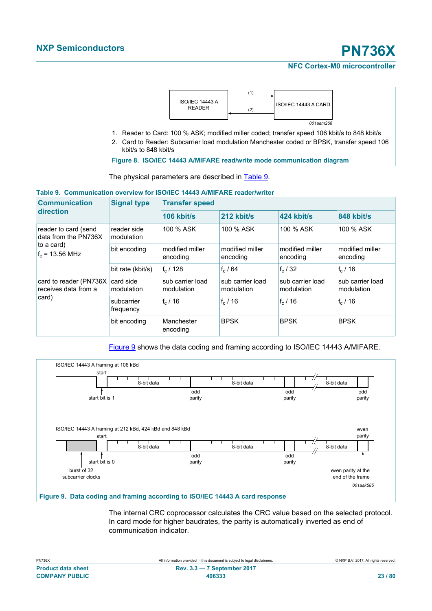

- - kbit/s to 848 kbit/s

<span id="page-22-0"></span>**Figure 8. ISO/IEC 14443 A/MIFARE read/write mode communication diagram**

The physical parameters are described in [Table 9](#page-22-1).

## <span id="page-22-1"></span>**Table 9. Communication overview for ISO/IEC 14443 A/MIFARE reader/writer**

| <b>Communication</b>                                                                    | <b>Signal type</b>        | <b>Transfer speed</b>          |                                |                                |                                |  |
|-----------------------------------------------------------------------------------------|---------------------------|--------------------------------|--------------------------------|--------------------------------|--------------------------------|--|
| direction                                                                               |                           | $106$ kbit/s                   | $212$ kbit/s                   | 424 kbit/s                     | 848 kbit/s                     |  |
| reader to card (send<br>data from the PN736X<br>to a card)<br>$f_c = 13.56 \text{ MHz}$ | reader side<br>modulation | 100 % ASK                      | 100 % ASK                      | 100 % ASK                      | 100 % ASK                      |  |
|                                                                                         | bit encoding              | modified miller<br>encoding    | modified miller<br>encoding    | modified miller<br>encoding    | modified miller<br>encoding    |  |
|                                                                                         | bit rate (kbit/s)         | $f_c/128$                      | $f_c/64$                       | $f_c/32$                       | $f_c/16$                       |  |
| card to reader (PN736X)<br>receives data from a<br>card)                                | card side<br>modulation   | sub carrier load<br>modulation | sub carrier load<br>modulation | sub carrier load<br>modulation | sub carrier load<br>modulation |  |
|                                                                                         | subcarrier<br>frequency   | $f_c/16$                       | $f_c/16$                       | $f_c/16$                       | $f_c/16$                       |  |
|                                                                                         | bit encoding              | Manchester<br>encoding         | <b>BPSK</b>                    | <b>BPSK</b>                    | <b>BPSK</b>                    |  |

[Figure 9](#page-22-2) shows the data coding and framing according to ISO/IEC 14443 A/MIFARE.



<span id="page-22-2"></span>The internal CRC coprocessor calculates the CRC value based on the selected protocol. In card mode for higher baudrates, the parity is automatically inverted as end of communication indicator.

| PN/3bX                    |  |
|---------------------------|--|
| <b>Product data sheet</b> |  |
| <b>COMPANY PUBLIC</b>     |  |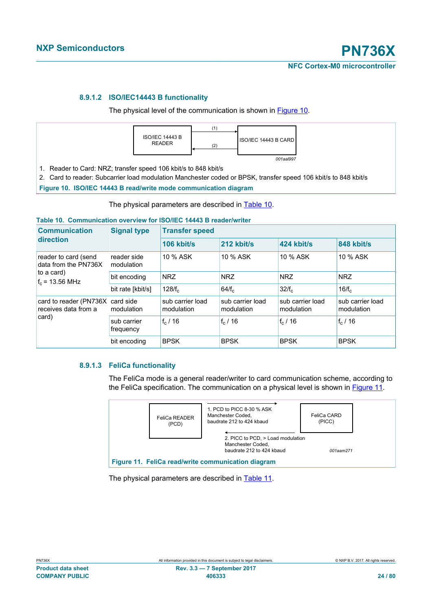### **8.9.1.2 ISO/IEC14443 B functionality**

The physical level of the communication is shown in **Figure 10**.



2. Card to reader: Subcarrier load modulation Manchester coded or BPSK, transfer speed 106 kbit/s to 848 kbit/s

<span id="page-23-0"></span>**Figure 10. ISO/IEC 14443 B read/write mode communication diagram**

The physical parameters are described in [Table 10.](#page-23-1)

#### <span id="page-23-1"></span>**Table 10. Communication overview for ISO/IEC 14443 B reader/writer**

| <b>Communication</b>                                                            | <b>Signal type</b>        | <b>Transfer speed</b>          |                                |                                |                                |
|---------------------------------------------------------------------------------|---------------------------|--------------------------------|--------------------------------|--------------------------------|--------------------------------|
| direction                                                                       |                           | $106$ kbit/s                   | 212 kbit/s                     | 424 kbit/s                     | 848 kbit/s                     |
| reader to card (send<br>data from the PN736X<br>to a card)<br>$f_c$ = 13.56 MHz | reader side<br>modulation | 10 % ASK                       | 10 % ASK                       | 10 % ASK                       | 10 % ASK                       |
|                                                                                 | bit encoding              | <b>NRZ</b>                     | <b>NRZ</b>                     | <b>NRZ</b>                     | <b>NRZ</b>                     |
|                                                                                 | bit rate [kbit/s]         | 128/f <sub>c</sub>             | 64/f <sub>c</sub>              | 32/f <sub>c</sub>              | 16/f <sub>c</sub>              |
| card to reader (PN736X)<br>receives data from a<br>card)                        | card side<br>modulation   | sub carrier load<br>modulation | sub carrier load<br>modulation | sub carrier load<br>modulation | sub carrier load<br>modulation |
|                                                                                 | sub carrier<br>frequency  | $f_c/16$                       | $f_c/16$                       | $f_c/16$                       | $f_c/16$                       |
|                                                                                 | bit encoding              | <b>BPSK</b>                    | <b>BPSK</b>                    | <b>BPSK</b>                    | <b>BPSK</b>                    |

## **8.9.1.3 FeliCa functionality**

The FeliCa mode is a general reader/writer to card communication scheme, according to the FeliCa specification. The communication on a physical level is shown in **Figure 11**.



<span id="page-23-2"></span>The physical parameters are described in [Table 11.](#page-24-0)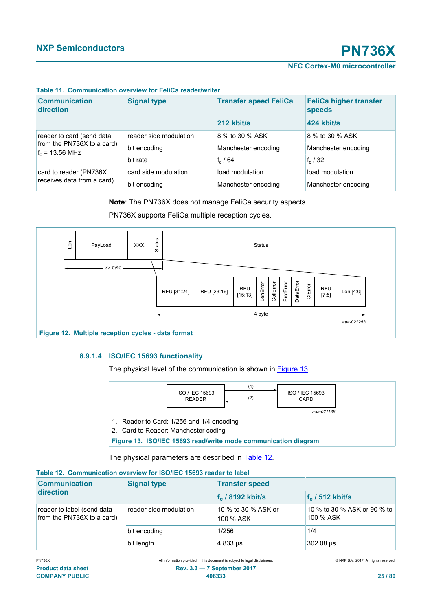<span id="page-24-0"></span>

| <b>Communication</b><br>direction                                            | <b>Signal type</b>     | <b>Transfer speed FeliCa</b> | <b>FeliCa higher transfer</b><br>speeds |
|------------------------------------------------------------------------------|------------------------|------------------------------|-----------------------------------------|
|                                                                              |                        | 212 kbit/s                   | 424 kbit/s                              |
| reader to card (send data<br>from the PN736X to a card)<br>$f_c$ = 13.56 MHz | reader side modulation | 8 % to 30 % ASK              | 8 % to 30 % ASK                         |
|                                                                              | bit encoding           | Manchester encoding          | Manchester encoding                     |
|                                                                              | bit rate               | $f_c/64$                     | $f_c/32$                                |
| card to reader (PN736X)<br>receives data from a card)                        | card side modulation   | load modulation              | load modulation                         |
|                                                                              | bit encoding           | Manchester encoding          | Manchester encoding                     |

#### **Table 11. Communication overview for FeliCa reader/writer**

#### **Note**: The PN736X does not manage FeliCa security aspects.

PN736X supports FeliCa multiple reception cycles.



## **8.9.1.4 ISO/IEC 15693 functionality**

The physical level of the communication is shown in **Figure 13**.

|                                                                | ISO / IEC 15693<br><b>READER</b>          | (1)<br>(2) | ISO / IEC 15693<br>CARD |  |
|----------------------------------------------------------------|-------------------------------------------|------------|-------------------------|--|
|                                                                |                                           |            | aaa-021138              |  |
|                                                                | 1. Reader to Card: 1/256 and 1/4 encoding |            |                         |  |
| 2. Card to Reader: Manchester coding                           |                                           |            |                         |  |
| Figure 13. ISO/IEC 15693 read/write mode communication diagram |                                           |            |                         |  |

<span id="page-24-1"></span>The physical parameters are described in **Table 12**.

#### <span id="page-24-2"></span>**Table 12. Communication overview for ISO/IEC 15693 reader to label**

| <b>Communication</b><br>direction                        | <b>Signal type</b>     | <b>Transfer speed</b>            |                                          |  |
|----------------------------------------------------------|------------------------|----------------------------------|------------------------------------------|--|
|                                                          |                        | $f_c$ / 8192 kbit/s              | $f_c$ / 512 kbit/s                       |  |
| reader to label (send data<br>from the PN736X to a card) | reader side modulation | 10 % to 30 % ASK or<br>100 % ASK | 10 % to 30 % ASK or 90 % to<br>100 % ASK |  |
|                                                          | bit encoding           | 1/256                            | 1/4                                      |  |
|                                                          | bit length             | $4.833 \,\mu s$                  | 302.08 us                                |  |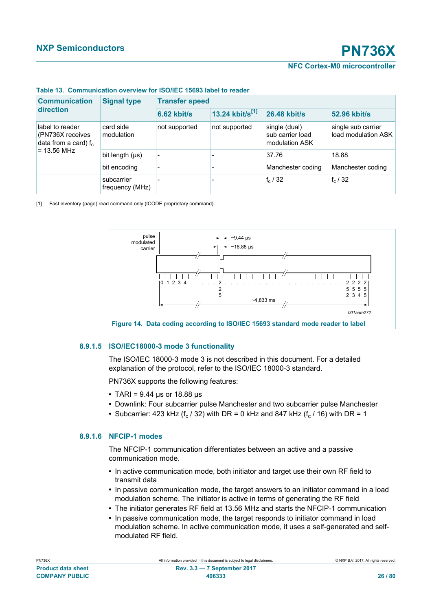<span id="page-25-0"></span>

| Table 13. Communication overview for ISO/IEC 15693 label to reader |  |  |
|--------------------------------------------------------------------|--|--|
|                                                                    |  |  |

| <b>Communication</b><br>direction                                                | <b>Signal type</b>            | <b>Transfer speed</b> |                             |                                                     |                                           |  |
|----------------------------------------------------------------------------------|-------------------------------|-----------------------|-----------------------------|-----------------------------------------------------|-------------------------------------------|--|
|                                                                                  |                               | $6.62$ kbit/s         | 13.24 kbit/s <sup>[1]</sup> | <b>26.48 kbit/s</b>                                 | 52.96 kbit/s                              |  |
| label to reader<br>(PN736X receives)<br>data from a card) $f_c$<br>$= 13.56$ MHz | card side<br>modulation       | not supported         | not supported               | single (dual)<br>sub carrier load<br>modulation ASK | single sub carrier<br>load modulation ASK |  |
|                                                                                  | bit length $(\mu s)$          |                       |                             | 37.76                                               | 18.88                                     |  |
|                                                                                  | bit encoding                  |                       |                             | Manchester coding                                   | Manchester coding                         |  |
|                                                                                  | subcarrier<br>frequency (MHz) |                       |                             | $f_c/32$                                            | $f_c/32$                                  |  |

[1] Fast inventory (page) read command only (ICODE proprietary command).



#### **8.9.1.5 ISO/IEC18000-3 mode 3 functionality**

The ISO/IEC 18000-3 mode 3 is not described in this document. For a detailed explanation of the protocol, refer to the ISO/IEC 18000-3 standard.

PN736X supports the following features:

- **•** TARI = 9.44 μs or 18.88 μs
- **•** Downlink: Four subcarrier pulse Manchester and two subcarrier pulse Manchester
- Subcarrier: 423 kHz (f<sub>c</sub> / 32) with DR = 0 kHz and 847 kHz (f<sub>c</sub> / 16) with DR = 1

#### **8.9.1.6 NFCIP-1 modes**

The NFCIP-1 communication differentiates between an active and a passive communication mode.

- **•** In active communication mode, both initiator and target use their own RF field to transmit data
- **•** In passive communication mode, the target answers to an initiator command in a load modulation scheme. The initiator is active in terms of generating the RF field
- **•** The initiator generates RF field at 13.56 MHz and starts the NFCIP-1 communication
- **•** In passive communication mode, the target responds to initiator command in load modulation scheme. In active communication mode, it uses a self-generated and selfmodulated RF field.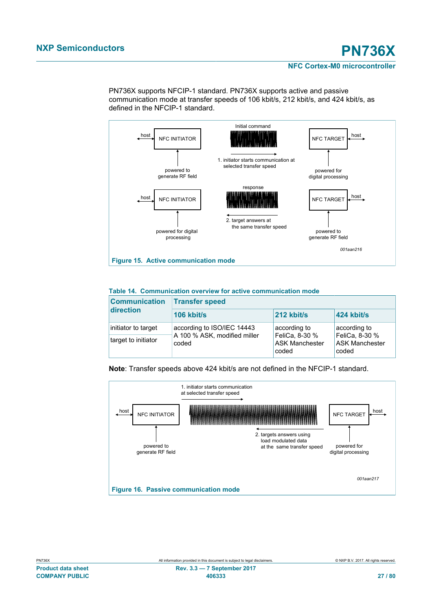PN736X supports NFCIP-1 standard. PN736X supports active and passive communication mode at transfer speeds of 106 kbit/s, 212 kbit/s, and 424 kbit/s, as defined in the NFCIP-1 standard.



#### **Table 14. Communication overview for active communication mode**

| <b>Communication</b> | <b>Transfer speed</b>                 |                                                  |                                                  |  |  |
|----------------------|---------------------------------------|--------------------------------------------------|--------------------------------------------------|--|--|
| direction            | 106 kbit/s                            | 212 kbit/s                                       | 424 kbit/s                                       |  |  |
| initiator to target  | according to ISO/IEC 14443            | according to                                     | according to                                     |  |  |
| target to initiator  | A 100 % ASK, modified miller<br>coded | FeliCa, 8-30 %<br><b>ASK Manchester</b><br>coded | FeliCa, 8-30 %<br><b>ASK Manchester</b><br>coded |  |  |

**Note**: Transfer speeds above 424 kbit/s are not defined in the NFCIP-1 standard.

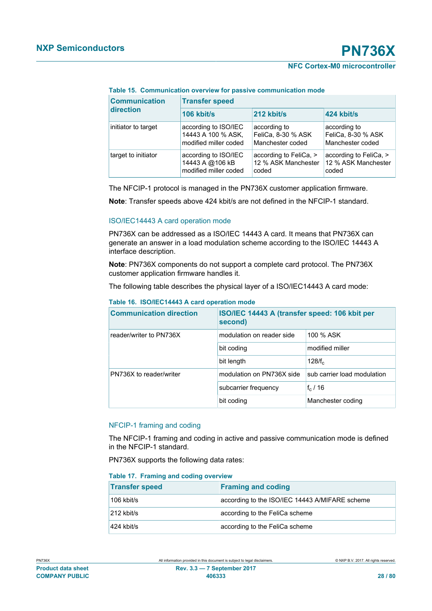#### **Table 15. Communication overview for passive communication mode**

| <b>Communication</b> | <b>Transfer speed</b> |                        |                        |  |  |
|----------------------|-----------------------|------------------------|------------------------|--|--|
| direction            | 106 kbit/s            | 212 kbit/s             | 424 kbit/s             |  |  |
| initiator to target  | according to ISO/IEC  | according to           | according to           |  |  |
|                      | 14443 A 100 % ASK,    | FeliCa, 8-30 % ASK     | FeliCa, 8-30 % ASK     |  |  |
|                      | modified miller coded | Manchester coded       | Manchester coded       |  |  |
| target to initiator  | according to ISO/IEC  | according to FeliCa, > | according to FeliCa, > |  |  |
|                      | 14443 A @106 kB       | 12 % ASK Manchester    | 12 % ASK Manchester    |  |  |
|                      | modified miller coded | coded                  | coded                  |  |  |

The NFCIP-1 protocol is managed in the PN736X customer application firmware.

**Note**: Transfer speeds above 424 kbit/s are not defined in the NFCIP-1 standard.

#### ISO/IEC14443 A card operation mode

PN736X can be addressed as a ISO/IEC 14443 A card. It means that PN736X can generate an answer in a load modulation scheme according to the ISO/IEC 14443 A interface description.

**Note**: PN736X components do not support a complete card protocol. The PN736X customer application firmware handles it.

The following table describes the physical layer of a ISO/IEC14443 A card mode:

| <b>Communication direction</b> | ISO/IEC 14443 A (transfer speed: 106 kbit per<br>second) |                             |
|--------------------------------|----------------------------------------------------------|-----------------------------|
| reader/writer to PN736X        | modulation on reader side                                | 100 % ASK                   |
|                                | bit coding                                               | modified miller             |
|                                | bit length                                               | $128/f_c$                   |
| PN736X to reader/writer        | modulation on PN736X side                                | sub carrier load modulation |
|                                | subcarrier frequency                                     | $f_c/16$                    |
|                                | bit coding                                               | Manchester coding           |

#### **Table 16. ISO/IEC14443 A card operation mode**

#### NFCIP-1 framing and coding

The NFCIP-1 framing and coding in active and passive communication mode is defined in the NFCIP-1 standard.

PN736X supports the following data rates:

#### **Table 17. Framing and coding overview**

| <b>Transfer speed</b> | <b>Framing and coding</b>                      |
|-----------------------|------------------------------------------------|
| 106 kbit/s            | according to the ISO/IEC 14443 A/MIFARE scheme |
| 212 kbit/s            | according to the FeliCa scheme                 |
| 424 kbit/s            | according to the FeliCa scheme                 |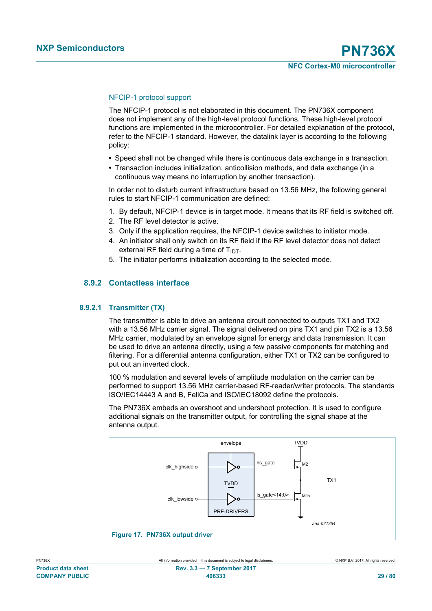#### NFCIP-1 protocol support

The NFCIP-1 protocol is not elaborated in this document. The PN736X component does not implement any of the high-level protocol functions. These high-level protocol functions are implemented in the microcontroller. For detailed explanation of the protocol, refer to the NFCIP-1 standard. However, the datalink layer is according to the following policy:

- **•** Speed shall not be changed while there is continuous data exchange in a transaction.
- **•** Transaction includes initialization, anticollision methods, and data exchange (in a continuous way means no interruption by another transaction).

In order not to disturb current infrastructure based on 13.56 MHz, the following general rules to start NFCIP-1 communication are defined:

- 1. By default, NFCIP-1 device is in target mode. It means that its RF field is switched off.
- 2. The RF level detector is active.
- 3. Only if the application requires, the NFCIP-1 device switches to initiator mode.
- 4. An initiator shall only switch on its RF field if the RF level detector does not detect external RF field during a time of  $T_{IDT}$ .
- 5. The initiator performs initialization according to the selected mode.

## **8.9.2 Contactless interface**

#### **8.9.2.1 Transmitter (TX)**

The transmitter is able to drive an antenna circuit connected to outputs TX1 and TX2 with a 13.56 MHz carrier signal. The signal delivered on pins TX1 and pin TX2 is a 13.56 MHz carrier, modulated by an envelope signal for energy and data transmission. It can be used to drive an antenna directly, using a few passive components for matching and filtering. For a differential antenna configuration, either TX1 or TX2 can be configured to put out an inverted clock.

100 % modulation and several levels of amplitude modulation on the carrier can be performed to support 13.56 MHz carrier-based RF-reader/writer protocols. The standards ISO/IEC14443 A and B, FeliCa and ISO/IEC18092 define the protocols.

The PN736X embeds an overshoot and undershoot protection. It is used to configure additional signals on the transmitter output, for controlling the signal shape at the antenna output.

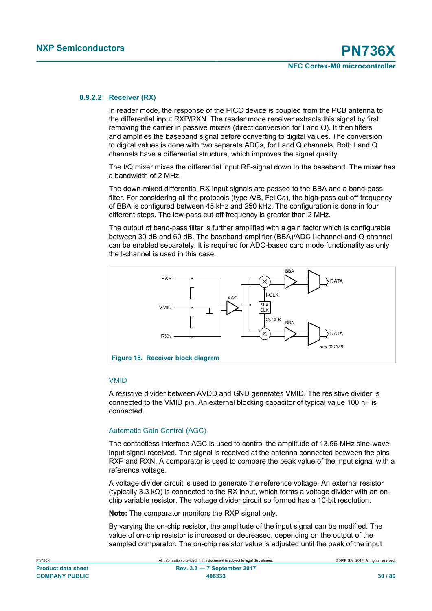#### **8.9.2.2 Receiver (RX)**

In reader mode, the response of the PICC device is coupled from the PCB antenna to the differential input RXP/RXN. The reader mode receiver extracts this signal by first removing the carrier in passive mixers (direct conversion for I and Q). It then filters and amplifies the baseband signal before converting to digital values. The conversion to digital values is done with two separate ADCs, for I and Q channels. Both I and Q channels have a differential structure, which improves the signal quality.

The I/Q mixer mixes the differential input RF-signal down to the baseband. The mixer has a bandwidth of 2 MHz.

The down-mixed differential RX input signals are passed to the BBA and a band-pass filter. For considering all the protocols (type A/B, FeliCa), the high-pass cut-off frequency of BBA is configured between 45 kHz and 250 kHz. The configuration is done in four different steps. The low-pass cut-off frequency is greater than 2 MHz.

The output of band-pass filter is further amplified with a gain factor which is configurable between 30 dB and 60 dB. The baseband amplifier (BBA)/ADC I-channel and Q-channel can be enabled separately. It is required for ADC-based card mode functionality as only the I-channel is used in this case.



#### VMID

A resistive divider between AVDD and GND generates VMID. The resistive divider is connected to the VMID pin. An external blocking capacitor of typical value 100 nF is connected.

#### Automatic Gain Control (AGC)

The contactless interface AGC is used to control the amplitude of 13.56 MHz sine-wave input signal received. The signal is received at the antenna connected between the pins RXP and RXN. A comparator is used to compare the peak value of the input signal with a reference voltage.

A voltage divider circuit is used to generate the reference voltage. An external resistor (typically 3.3 kΩ) is connected to the RX input, which forms a voltage divider with an onchip variable resistor. The voltage divider circuit so formed has a 10-bit resolution.

**Note:** The comparator monitors the RXP signal only.

By varying the on-chip resistor, the amplitude of the input signal can be modified. The value of on-chip resistor is increased or decreased, depending on the output of the sampled comparator. The on-chip resistor value is adjusted until the peak of the input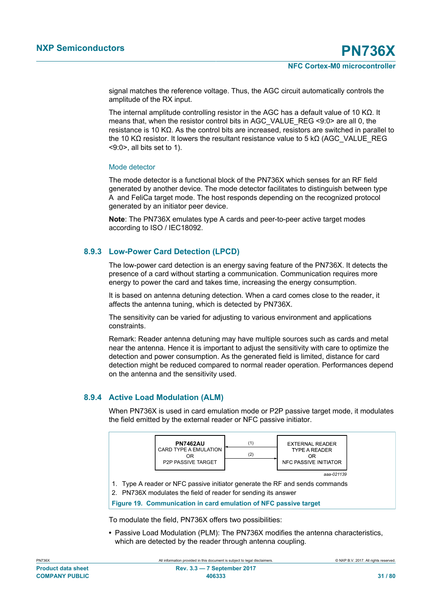signal matches the reference voltage. Thus, the AGC circuit automatically controls the amplitude of the RX input.

The internal amplitude controlling resistor in the AGC has a default value of 10 KΩ. It means that, when the resistor control bits in AGC\_VALUE\_REG <9:0> are all 0, the resistance is 10 KΩ. As the control bits are increased, resistors are switched in parallel to the 10 KΩ resistor. It lowers the resultant resistance value to 5 kΩ (AGC\_VALUE\_REG <9:0>, all bits set to 1).

#### Mode detector

The mode detector is a functional block of the PN736X which senses for an RF field generated by another device. The mode detector facilitates to distinguish between type A and FeliCa target mode. The host responds depending on the recognized protocol generated by an initiator peer device.

**Note**: The PN736X emulates type A cards and peer-to-peer active target modes according to ISO / IEC18092.

## **8.9.3 Low-Power Card Detection (LPCD)**

The low-power card detection is an energy saving feature of the PN736X. It detects the presence of a card without starting a communication. Communication requires more energy to power the card and takes time, increasing the energy consumption.

It is based on antenna detuning detection. When a card comes close to the reader, it affects the antenna tuning, which is detected by PN736X.

The sensitivity can be varied for adjusting to various environment and applications constraints.

Remark: Reader antenna detuning may have multiple sources such as cards and metal near the antenna. Hence it is important to adjust the sensitivity with care to optimize the detection and power consumption. As the generated field is limited, distance for card detection might be reduced compared to normal reader operation. Performances depend on the antenna and the sensitivity used.

## **8.9.4 Active Load Modulation (ALM)**

When PN736X is used in card emulation mode or P2P passive target mode, it modulates the field emitted by the external reader or NFC passive initiator.



1. Type A reader or NFC passive initiator generate the RF and sends commands

2. PN736X modulates the field of reader for sending its answer

**Figure 19. Communication in card emulation of NFC passive target**

To modulate the field, PN736X offers two possibilities:

**•** Passive Load Modulation (PLM): The PN736X modifies the antenna characteristics, which are detected by the reader through antenna coupling.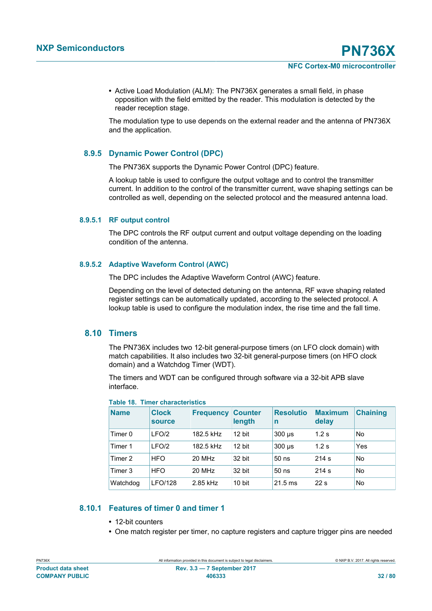**•** Active Load Modulation (ALM): The PN736X generates a small field, in phase opposition with the field emitted by the reader. This modulation is detected by the reader reception stage.

The modulation type to use depends on the external reader and the antenna of PN736X and the application.

## **8.9.5 Dynamic Power Control (DPC)**

The PN736X supports the Dynamic Power Control (DPC) feature.

A lookup table is used to configure the output voltage and to control the transmitter current. In addition to the control of the transmitter current, wave shaping settings can be controlled as well, depending on the selected protocol and the measured antenna load.

#### **8.9.5.1 RF output control**

The DPC controls the RF output current and output voltage depending on the loading condition of the antenna.

#### **8.9.5.2 Adaptive Waveform Control (AWC)**

The DPC includes the Adaptive Waveform Control (AWC) feature.

Depending on the level of detected detuning on the antenna, RF wave shaping related register settings can be automatically updated, according to the selected protocol. A lookup table is used to configure the modulation index, the rise time and the fall time.

## **8.10 Timers**

The PN736X includes two 12-bit general-purpose timers (on LFO clock domain) with match capabilities. It also includes two 32-bit general-purpose timers (on HFO clock domain) and a Watchdog Timer (WDT).

The timers and WDT can be configured through software via a 32-bit APB slave interface.

| <b>Name</b> | <b>Clock</b><br><b>source</b> | <b>Frequency</b> | <b>Counter</b><br>length | <b>Resolutio</b><br>n | <b>Maximum</b><br>delay | <b>Chaining</b> |
|-------------|-------------------------------|------------------|--------------------------|-----------------------|-------------------------|-----------------|
| Timer 0     | LFO/2                         | 182.5 kHz        | 12 bit                   | $300 \mu s$           | 1.2s                    | No              |
| Timer 1     | LFO/2                         | 182.5 kHz        | 12 bit                   | $300 \mu s$           | 1.2s                    | Yes             |
| Timer 2     | <b>HFO</b>                    | 20 MHz           | 32 bit                   | $50$ ns               | 214 s                   | No              |
| Timer 3     | <b>HFO</b>                    | 20 MHz           | 32 bit                   | $50$ ns               | 214 s                   | No              |
| Watchdog    | <b>LFO/128</b>                | 2.85 kHz         | 10 bit                   | $21.5$ ms             | 22 <sub>s</sub>         | No              |

**Table 18. Timer characteristics**

## **8.10.1 Features of timer 0 and timer 1**

- **•** 12-bit counters
- **•** One match register per timer, no capture registers and capture trigger pins are needed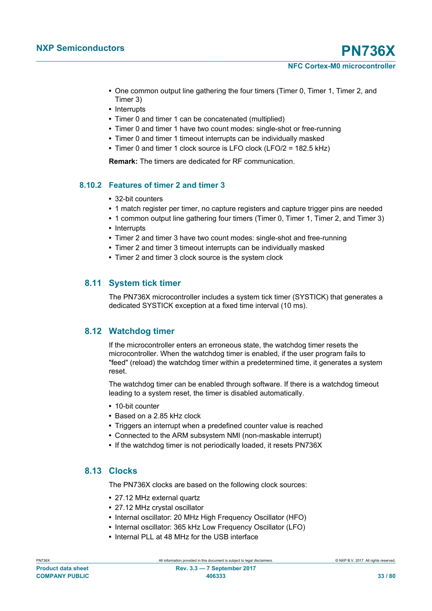- **•** One common output line gathering the four timers (Timer 0, Timer 1, Timer 2, and Timer 3)
- **•** Interrupts
- **•** Timer 0 and timer 1 can be concatenated (multiplied)
- **•** Timer 0 and timer 1 have two count modes: single-shot or free-running
- **•** Timer 0 and timer 1 timeout interrupts can be individually masked
- **•** Timer 0 and timer 1 clock source is LFO clock (LFO/2 = 182.5 kHz)

**Remark:** The timers are dedicated for RF communication.

## **8.10.2 Features of timer 2 and timer 3**

- **•** 32-bit counters
- **•** 1 match register per timer, no capture registers and capture trigger pins are needed
- 1 common output line gathering four timers (Timer 0, Timer 1, Timer 2, and Timer 3)
- **•** Interrupts
- **•** Timer 2 and timer 3 have two count modes: single-shot and free-running
- **•** Timer 2 and timer 3 timeout interrupts can be individually masked
- **•** Timer 2 and timer 3 clock source is the system clock

## **8.11 System tick timer**

The PN736X microcontroller includes a system tick timer (SYSTICK) that generates a dedicated SYSTICK exception at a fixed time interval (10 ms).

## **8.12 Watchdog timer**

If the microcontroller enters an erroneous state, the watchdog timer resets the microcontroller. When the watchdog timer is enabled, if the user program fails to "feed" (reload) the watchdog timer within a predetermined time, it generates a system reset.

The watchdog timer can be enabled through software. If there is a watchdog timeout leading to a system reset, the timer is disabled automatically.

- **•** 10-bit counter
- **•** Based on a 2.85 kHz clock
- **•** Triggers an interrupt when a predefined counter value is reached
- **•** Connected to the ARM subsystem NMI (non-maskable interrupt)
- **•** If the watchdog timer is not periodically loaded, it resets PN736X

## **8.13 Clocks**

The PN736X clocks are based on the following clock sources:

- **•** 27.12 MHz external quartz
- **•** 27.12 MHz crystal oscillator
- **•** Internal oscillator: 20 MHz High Frequency Oscillator (HFO)
- **•** Internal oscillator: 365 kHz Low Frequency Oscillator (LFO)
- **•** Internal PLL at 48 MHz for the USB interface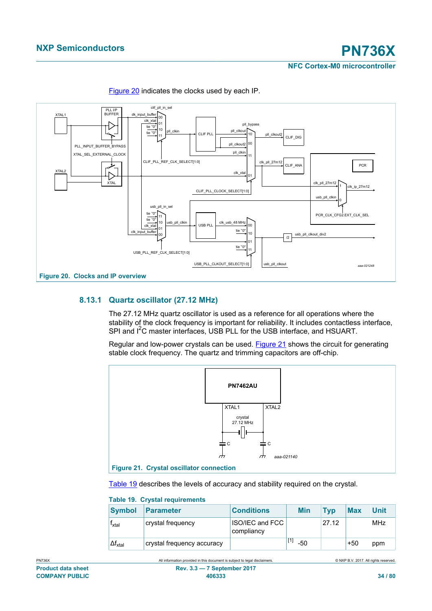

[Figure 20](#page-33-0) indicates the clocks used by each IP.

## <span id="page-33-0"></span>**8.13.1 Quartz oscillator (27.12 MHz)**

The 27.12 MHz quartz oscillator is used as a reference for all operations where the stability of the clock frequency is important for reliability. It includes contactless interface, SPI and  $I^2C$  master interfaces. USB PLL for the USB interface, and HSUART.

Regular and low-power crystals can be used. [Figure 21](#page-33-1) shows the circuit for generating stable clock frequency. The quartz and trimming capacitors are off-chip.



<span id="page-33-1"></span>[Table 19](#page-33-2) describes the levels of accuracy and stability required on the crystal.

<span id="page-33-2"></span>

| <b>Table 19. Crystal requirements</b> |                            |                                      |  |            |            |            |             |  |
|---------------------------------------|----------------------------|--------------------------------------|--|------------|------------|------------|-------------|--|
| <b>Symbol</b>                         | Parameter                  | <b>Conditions</b>                    |  | <b>Min</b> | <b>Typ</b> | <b>Max</b> | <b>Unit</b> |  |
| T <sub>xtal</sub>                     | crystal frequency          | <b>ISO/IEC and FCC</b><br>compliancy |  |            | 27.12      |            | <b>MHz</b>  |  |
| $\Delta f_{xtal}$                     | crystal frequency accuracy |                                      |  | $-50$      |            | $+50$      | ppm         |  |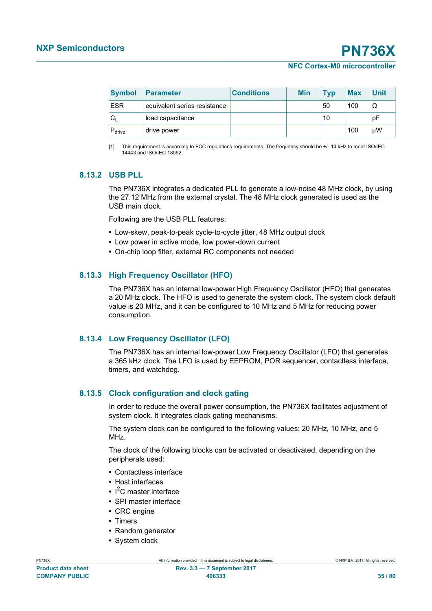**NXP Semiconductors PN736X**

**NFC Cortex-M0 microcontroller**

<span id="page-34-0"></span>

| <b>Symbol</b>      | <b>Parameter</b>             | <b>Conditions</b> | <b>Min</b> | <b>Typ</b> | <b>Max</b> | <b>Unit</b> |
|--------------------|------------------------------|-------------------|------------|------------|------------|-------------|
| <b>ESR</b>         | equivalent series resistance |                   |            | 50         | 100        | Ω           |
| $C_{1}$            | load capacitance             |                   |            | 10         |            | рF          |
| $P_{\text{drive}}$ | ⊦drive power                 |                   |            |            | 100        | μW          |

[1] This requirement is according to FCC regulations requirements. The frequency should be +/- 14 kHz to meet ISO/IEC 14443 and ISO/IEC 18092.

## **8.13.2 USB PLL**

The PN736X integrates a dedicated PLL to generate a low-noise 48 MHz clock, by using the 27.12 MHz from the external crystal. The 48 MHz clock generated is used as the USB main clock.

Following are the USB PLL features:

- **•** Low-skew, peak-to-peak cycle-to-cycle jitter, 48 MHz output clock
- **•** Low power in active mode, low power-down current
- **•** On-chip loop filter, external RC components not needed

## **8.13.3 High Frequency Oscillator (HFO)**

The PN736X has an internal low-power High Frequency Oscillator (HFO) that generates a 20 MHz clock. The HFO is used to generate the system clock. The system clock default value is 20 MHz, and it can be configured to 10 MHz and 5 MHz for reducing power consumption.

## **8.13.4 Low Frequency Oscillator (LFO)**

The PN736X has an internal low-power Low Frequency Oscillator (LFO) that generates a 365 kHz clock. The LFO is used by EEPROM, POR sequencer, contactless interface, timers, and watchdog.

## **8.13.5 Clock configuration and clock gating**

In order to reduce the overall power consumption, the PN736X facilitates adjustment of system clock. It integrates clock gating mechanisms.

The system clock can be configured to the following values: 20 MHz, 10 MHz, and 5 MH<sub>z</sub>

The clock of the following blocks can be activated or deactivated, depending on the peripherals used:

- **•** Contactless interface
- **•** Host interfaces
- **•** I <sup>2</sup>C master interface
- **•** SPI master interface
- **•** CRC engine
- **•** Timers
- **•** Random generator
- **•** System clock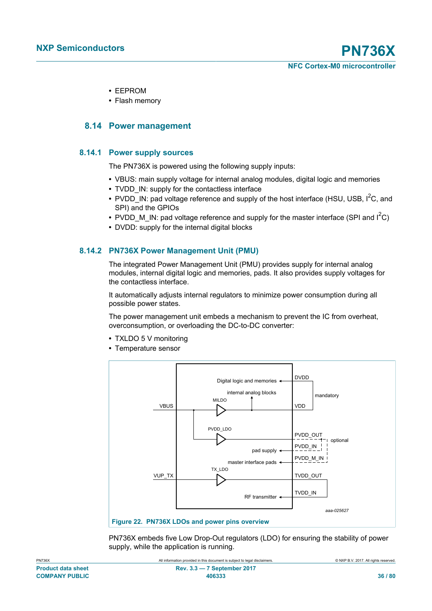- **•** EEPROM
- <span id="page-35-0"></span>**•** Flash memory

## **8.14 Power management**

#### **8.14.1 Power supply sources**

The PN736X is powered using the following supply inputs:

- **•** VBUS: main supply voltage for internal analog modules, digital logic and memories
- **•** TVDD\_IN: supply for the contactless interface
- PVDD IN: pad voltage reference and supply of the host interface (HSU, USB, I<sup>2</sup>C, and SPI) and the GPIOs
- PVDD M IN: pad voltage reference and supply for the master interface (SPI and I<sup>2</sup>C)
- **•** DVDD: supply for the internal digital blocks

## **8.14.2 PN736X Power Management Unit (PMU)**

The integrated Power Management Unit (PMU) provides supply for internal analog modules, internal digital logic and memories, pads. It also provides supply voltages for the contactless interface.

It automatically adjusts internal regulators to minimize power consumption during all possible power states.

The power management unit embeds a mechanism to prevent the IC from overheat, overconsumption, or overloading the DC-to-DC converter:

- **•** TXLDO 5 V monitoring
- **•** Temperature sensor



PN736X embeds five Low Drop-Out regulators (LDO) for ensuring the stability of power supply, while the application is running.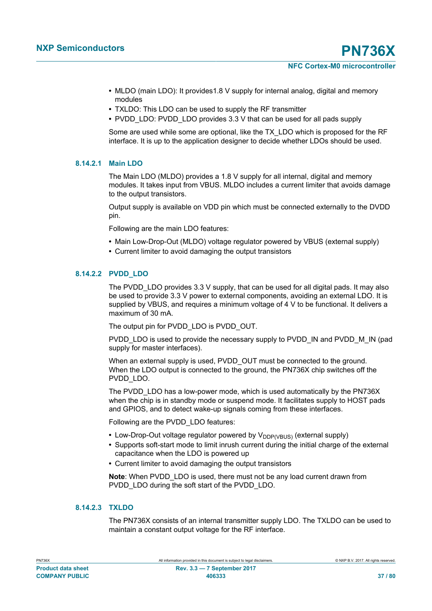- **•** MLDO (main LDO): It provides1.8 V supply for internal analog, digital and memory modules
- **•** TXLDO: This LDO can be used to supply the RF transmitter
- **•** PVDD\_LDO: PVDD\_LDO provides 3.3 V that can be used for all pads supply

Some are used while some are optional, like the TX\_LDO which is proposed for the RF interface. It is up to the application designer to decide whether LDOs should be used.

#### **8.14.2.1 Main LDO**

The Main LDO (MLDO) provides a 1.8 V supply for all internal, digital and memory modules. It takes input from VBUS. MLDO includes a current limiter that avoids damage to the output transistors.

Output supply is available on VDD pin which must be connected externally to the DVDD pin.

Following are the main LDO features:

- **•** Main Low-Drop-Out (MLDO) voltage regulator powered by VBUS (external supply)
- **•** Current limiter to avoid damaging the output transistors

#### **8.14.2.2 PVDD\_LDO**

The PVDD LDO provides 3.3 V supply, that can be used for all digital pads. It may also be used to provide 3.3 V power to external components, avoiding an external LDO. It is supplied by VBUS, and requires a minimum voltage of 4 V to be functional. It delivers a maximum of 30 mA.

The output pin for PVDD\_LDO is PVDD\_OUT.

PVDD\_LDO is used to provide the necessary supply to PVDD\_IN and PVDD\_M\_IN (pad supply for master interfaces).

When an external supply is used, PVDD\_OUT must be connected to the ground. When the LDO output is connected to the ground, the PN736X chip switches off the PVDD\_LDO.

The PVDD LDO has a low-power mode, which is used automatically by the PN736X when the chip is in standby mode or suspend mode. It facilitates supply to HOST pads and GPIOS, and to detect wake-up signals coming from these interfaces.

Following are the PVDD\_LDO features:

- Low-Drop-Out voltage regulator powered by V<sub>DDP(VBUS)</sub> (external supply)
- **•** Supports soft-start mode to limit inrush current during the initial charge of the external capacitance when the LDO is powered up
- **•** Current limiter to avoid damaging the output transistors

**Note**: When PVDD\_LDO is used, there must not be any load current drawn from PVDD\_LDO during the soft start of the PVDD\_LDO.

#### **8.14.2.3 TXLDO**

The PN736X consists of an internal transmitter supply LDO. The TXLDO can be used to maintain a constant output voltage for the RF interface.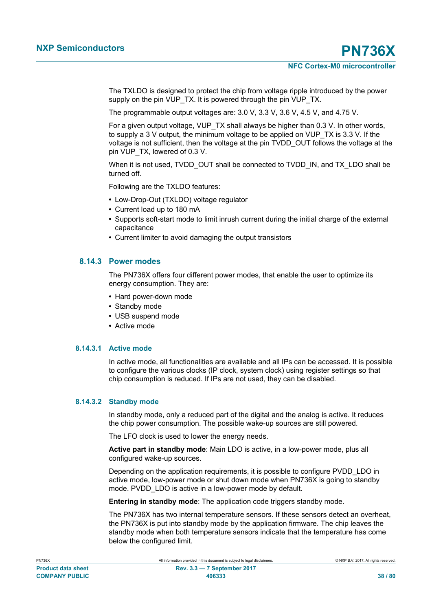The TXLDO is designed to protect the chip from voltage ripple introduced by the power supply on the pin VUP\_TX. It is powered through the pin VUP\_TX.

The programmable output voltages are: 3.0 V, 3.3 V, 3.6 V, 4.5 V, and 4.75 V.

For a given output voltage, VUP\_TX shall always be higher than 0.3 V. In other words, to supply a 3 V output, the minimum voltage to be applied on VUP\_TX is 3.3 V. If the voltage is not sufficient, then the voltage at the pin TVDD\_OUT follows the voltage at the pin VUP TX, lowered of 0.3 V.

When it is not used, TVDD\_OUT shall be connected to TVDD\_IN, and TX\_LDO shall be turned off.

Following are the TXLDO features:

- **•** Low-Drop-Out (TXLDO) voltage regulator
- **•** Current load up to 180 mA
- **•** Supports soft-start mode to limit inrush current during the initial charge of the external capacitance
- **•** Current limiter to avoid damaging the output transistors

#### **8.14.3 Power modes**

The PN736X offers four different power modes, that enable the user to optimize its energy consumption. They are:

- **•** Hard power-down mode
- **•** Standby mode
- **•** USB suspend mode
- **•** Active mode

#### **8.14.3.1 Active mode**

In active mode, all functionalities are available and all IPs can be accessed. It is possible to configure the various clocks (IP clock, system clock) using register settings so that chip consumption is reduced. If IPs are not used, they can be disabled.

#### **8.14.3.2 Standby mode**

In standby mode, only a reduced part of the digital and the analog is active. It reduces the chip power consumption. The possible wake-up sources are still powered.

The LFO clock is used to lower the energy needs.

**Active part in standby mode**: Main LDO is active, in a low-power mode, plus all configured wake-up sources.

Depending on the application requirements, it is possible to configure PVDD\_LDO in active mode, low-power mode or shut down mode when PN736X is going to standby mode. PVDD LDO is active in a low-power mode by default.

**Entering in standby mode**: The application code triggers standby mode.

The PN736X has two internal temperature sensors. If these sensors detect an overheat, the PN736X is put into standby mode by the application firmware. The chip leaves the standby mode when both temperature sensors indicate that the temperature has come below the configured limit.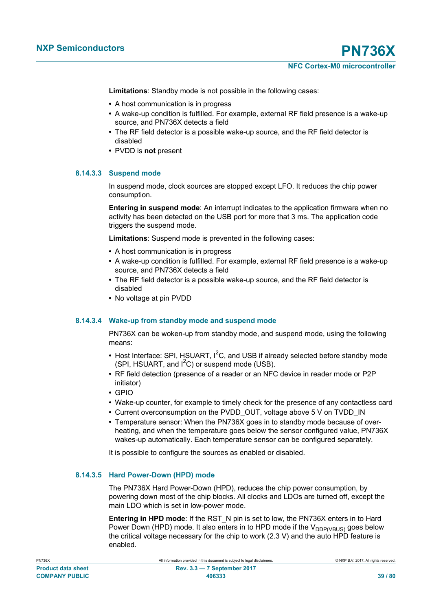**Limitations**: Standby mode is not possible in the following cases:

- **•** A host communication is in progress
- **•** A wake-up condition is fulfilled. For example, external RF field presence is a wake-up source, and PN736X detects a field
- **•** The RF field detector is a possible wake-up source, and the RF field detector is disabled
- **•** PVDD is **not** present

#### **8.14.3.3 Suspend mode**

In suspend mode, clock sources are stopped except LFO. It reduces the chip power consumption.

**Entering in suspend mode**: An interrupt indicates to the application firmware when no activity has been detected on the USB port for more that 3 ms. The application code triggers the suspend mode.

**Limitations**: Suspend mode is prevented in the following cases:

- **•** A host communication is in progress
- **•** A wake-up condition is fulfilled. For example, external RF field presence is a wake-up source, and PN736X detects a field
- **•** The RF field detector is a possible wake-up source, and the RF field detector is disabled
- **•** No voltage at pin PVDD

#### **8.14.3.4 Wake-up from standby mode and suspend mode**

PN736X can be woken-up from standby mode, and suspend mode, using the following means:

- Host Interface: SPI, HSUART,  $I^2C$ , and USB if already selected before standby mode (SPI, HSUART, and  $I^2C$ ) or suspend mode (USB).
- **•** RF field detection (presence of a reader or an NFC device in reader mode or P2P initiator)
- **•** GPIO
- **•** Wake-up counter, for example to timely check for the presence of any contactless card
- **•** Current overconsumption on the PVDD\_OUT, voltage above 5 V on TVDD\_IN
- **•** Temperature sensor: When the PN736X goes in to standby mode because of overheating, and when the temperature goes below the sensor configured value, PN736X wakes-up automatically. Each temperature sensor can be configured separately.

It is possible to configure the sources as enabled or disabled.

### **8.14.3.5 Hard Power-Down (HPD) mode**

The PN736X Hard Power-Down (HPD), reduces the chip power consumption, by powering down most of the chip blocks. All clocks and LDOs are turned off, except the main LDO which is set in low-power mode.

**Entering in HPD mode**: If the RST\_N pin is set to low, the PN736X enters in to Hard Power Down (HPD) mode. It also enters in to HPD mode if the  $V_{DDPVBUS}$  goes below the critical voltage necessary for the chip to work (2.3 V) and the auto HPD feature is enabled.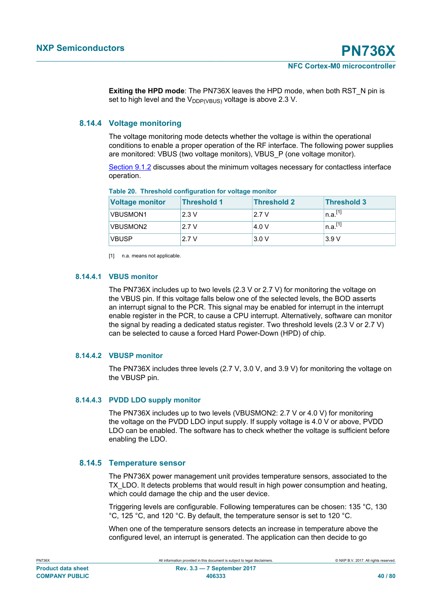<span id="page-39-0"></span>**Exiting the HPD mode**: The PN736X leaves the HPD mode, when both RST\_N pin is set to high level and the  $V_{\text{DDP/VRUS}}$  voltage is above 2.3 V.

### **8.14.4 Voltage monitoring**

The voltage monitoring mode detects whether the voltage is within the operational conditions to enable a proper operation of the RF interface. The following power supplies are monitored: VBUS (two voltage monitors), VBUS\_P (one voltage monitor).

[Section 9.1.2](#page-43-0) discusses about the minimum voltages necessary for contactless interface operation.

| <b>Voltage monitor</b> | <b>Threshold 1</b> | <b>Threshold 2</b> | Threshold 3           |
|------------------------|--------------------|--------------------|-----------------------|
| <b>VBUSMON1</b>        | 2.3V               | 2.7 V              | $n.a.$ <sup>[1]</sup> |
| <b>VBUSMON2</b>        | 12.7V              | 4.0 V              | $n.a.$ <sup>[1]</sup> |
| <b>VBUSP</b>           | 2.7 V              | 3.0V               | 3.9V                  |

#### **Table 20. Threshold configuration for voltage monitor**

[1] n.a. means not applicable.

#### **8.14.4.1 VBUS monitor**

The PN736X includes up to two levels (2.3 V or 2.7 V) for monitoring the voltage on the VBUS pin. If this voltage falls below one of the selected levels, the BOD asserts an interrupt signal to the PCR. This signal may be enabled for interrupt in the interrupt enable register in the PCR, to cause a CPU interrupt. Alternatively, software can monitor the signal by reading a dedicated status register. Two threshold levels (2.3 V or 2.7 V) can be selected to cause a forced Hard Power-Down (HPD) of chip.

#### **8.14.4.2 VBUSP monitor**

The PN736X includes three levels (2.7 V, 3.0 V, and 3.9 V) for monitoring the voltage on the VBUSP pin.

#### **8.14.4.3 PVDD LDO supply monitor**

The PN736X includes up to two levels (VBUSMON2: 2.7 V or 4.0 V) for monitoring the voltage on the PVDD LDO input supply. If supply voltage is 4.0 V or above, PVDD LDO can be enabled. The software has to check whether the voltage is sufficient before enabling the LDO.

### **8.14.5 Temperature sensor**

The PN736X power management unit provides temperature sensors, associated to the TX\_LDO. It detects problems that would result in high power consumption and heating, which could damage the chip and the user device.

Triggering levels are configurable. Following temperatures can be chosen: 135 °C, 130 °C, 125 °C, and 120 °C. By default, the temperature sensor is set to 120 °C.

When one of the temperature sensors detects an increase in temperature above the configured level, an interrupt is generated. The application can then decide to go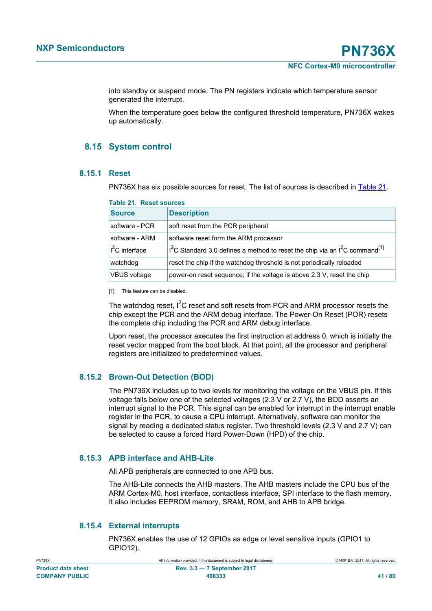<span id="page-40-1"></span>into standby or suspend mode. The PN registers indicate which temperature sensor generated the interrupt.

When the temperature goes below the configured threshold temperature, PN736X wakes up automatically.

# **8.15 System control**

#### **8.15.1 Reset**

PN736X has six possible sources for reset. The list of sources is described in [Table 21.](#page-40-0)

| <b>Source</b>               | <b>Description</b>                                                                            |
|-----------------------------|-----------------------------------------------------------------------------------------------|
| software - PCR              | soft reset from the PCR peripheral                                                            |
| software - ARM              | software reset form the ARM processor                                                         |
| ⊦l <sup>2</sup> C interface | $1^2$ C Standard 3.0 defines a method to reset the chip via an $1^2$ C command <sup>[1]</sup> |
| watchdog                    | reset the chip if the watchdog threshold is not periodically reloaded                         |
| <b>VBUS</b> voltage         | power-on reset sequence; if the voltage is above 2.3 V, reset the chip                        |

# <span id="page-40-0"></span>**Table 21. Reset sources**

[1] This feature can be disabled.

The watchdog reset,  $I^2C$  reset and soft resets from PCR and ARM processor resets the chip except the PCR and the ARM debug interface. The Power-On Reset (POR) resets the complete chip including the PCR and ARM debug interface.

Upon reset, the processor executes the first instruction at address 0, which is initially the reset vector mapped from the boot block. At that point, all the processor and peripheral registers are initialized to predetermined values.

### **8.15.2 Brown-Out Detection (BOD)**

The PN736X includes up to two levels for monitoring the voltage on the VBUS pin. If this voltage falls below one of the selected voltages (2.3 V or 2.7 V), the BOD asserts an interrupt signal to the PCR. This signal can be enabled for interrupt in the interrupt enable register in the PCR, to cause a CPU interrupt. Alternatively, software can monitor the signal by reading a dedicated status register. Two threshold levels (2.3 V and 2.7 V) can be selected to cause a forced Hard Power-Down (HPD) of the chip.

#### **8.15.3 APB interface and AHB-Lite**

All APB peripherals are connected to one APB bus.

The AHB-Lite connects the AHB masters. The AHB masters include the CPU bus of the ARM Cortex-M0, host interface, contactless interface, SPI interface to the flash memory. It also includes EEPROM memory, SRAM, ROM, and AHB to APB bridge.

### **8.15.4 External interrupts**

PN736X enables the use of 12 GPIOs as edge or level sensitive inputs (GPIO1 to GPIO12).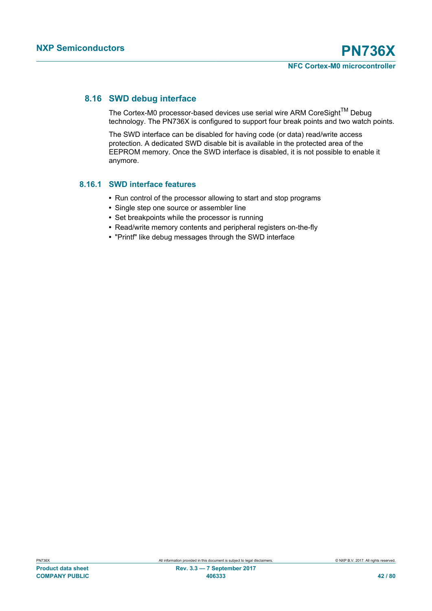# **8.16 SWD debug interface**

The Cortex-M0 processor-based devices use serial wire ARM CoreSight<sup>TM</sup> Debug technology. The PN736X is configured to support four break points and two watch points.

The SWD interface can be disabled for having code (or data) read/write access protection. A dedicated SWD disable bit is available in the protected area of the EEPROM memory. Once the SWD interface is disabled, it is not possible to enable it anymore.

### **8.16.1 SWD interface features**

- **•** Run control of the processor allowing to start and stop programs
- **•** Single step one source or assembler line
- **•** Set breakpoints while the processor is running
- **•** Read/write memory contents and peripheral registers on-the-fly
- **•** "Printf" like debug messages through the SWD interface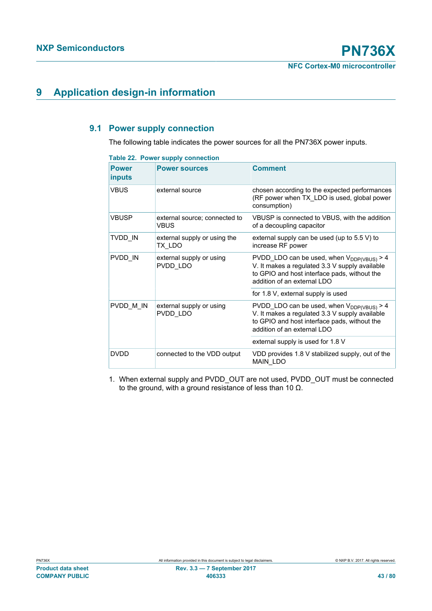# **9 Application design-in information**

# **9.1 Power supply connection**

The following table indicates the power sources for all the PN736X power inputs.

| Table 22. Power supply connection |  |
|-----------------------------------|--|
|-----------------------------------|--|

| <b>Power</b><br>inputs | <b>Power sources</b>                   | <b>Comment</b>                                                                                                                                                                  |
|------------------------|----------------------------------------|---------------------------------------------------------------------------------------------------------------------------------------------------------------------------------|
| <b>VBUS</b>            | external source                        | chosen according to the expected performances<br>(RF power when TX LDO is used, global power<br>consumption)                                                                    |
| <b>VBUSP</b>           | external source; connected to<br>VBUS  | VBUSP is connected to VBUS, with the addition<br>of a decoupling capacitor                                                                                                      |
| TVDD IN                | external supply or using the<br>TX LDO | external supply can be used (up to 5.5 V) to<br>increase RF power                                                                                                               |
| PVDD IN                | external supply or using<br>PVDD LDO   | PVDD_LDO can be used, when $V_{DDP(VBUS)} > 4$<br>V. It makes a regulated 3.3 V supply available<br>to GPIO and host interface pads, without the<br>addition of an external LDO |
|                        |                                        | for 1.8 V, external supply is used                                                                                                                                              |
| PVDD M IN              | external supply or using<br>PVDD LDO   | PVDD_LDO can be used, when $V_{DDP(VBUS)} > 4$<br>V. It makes a regulated 3.3 V supply available<br>to GPIO and host interface pads, without the<br>addition of an external LDO |
|                        |                                        | external supply is used for 1.8 V                                                                                                                                               |
| <b>DVDD</b>            | connected to the VDD output            | VDD provides 1.8 V stabilized supply, out of the<br>MAIN_LDO                                                                                                                    |

1. When external supply and PVDD\_OUT are not used, PVDD\_OUT must be connected to the ground, with a ground resistance of less than 10 Ω.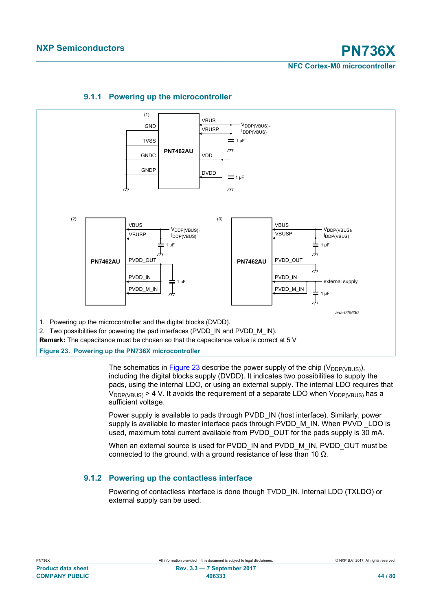

## **9.1.1 Powering up the microcontroller**

<span id="page-43-1"></span>**Figure 23. Powering up the PN736X microcontroller**

The schematics in [Figure 23](#page-43-1) describe the power supply of the chip ( $V_{\text{DDPVRUS}}$ ), including the digital blocks supply (DVDD). It indicates two possibilities to supply the pads, using the internal LDO, or using an external supply. The internal LDO requires that  $V_{\text{DDP(VBUS)}} > 4$  V. It avoids the requirement of a separate LDO when  $V_{\text{DDP(VBUS)}}$  has a sufficient voltage.

Power supply is available to pads through PVDD IN (host interface). Similarly, power supply is available to master interface pads through PVDD\_M\_IN. When PVVD LDO is used, maximum total current available from PVDD OUT for the pads supply is 30 mA.

When an external source is used for PVDD\_IN and PVDD\_M\_IN, PVDD\_OUT must be connected to the ground, with a ground resistance of less than 10  $Ω$ .

# **9.1.2 Powering up the contactless interface**

<span id="page-43-0"></span>Powering of contactless interface is done though TVDD\_IN. Internal LDO (TXLDO) or external supply can be used.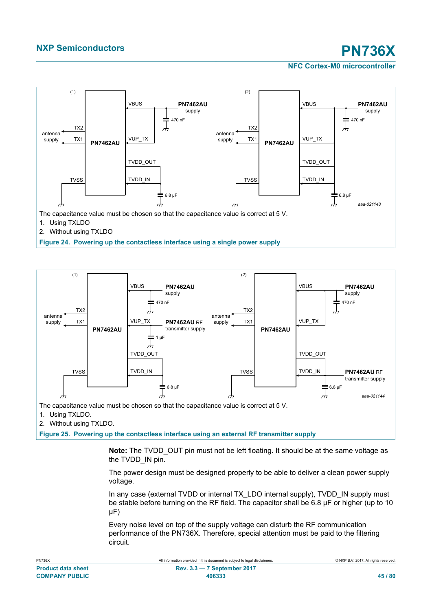### **NFC Cortex-M0 microcontroller**



2. Without using TXLDO

**Figure 24. Powering up the contactless interface using a single power supply**



2. Without using TXLDO.

**Figure 25. Powering up the contactless interface using an external RF transmitter supply**

**Note:** The TVDD OUT pin must not be left floating. It should be at the same voltage as the TVDD IN pin.

The power design must be designed properly to be able to deliver a clean power supply voltage.

In any case (external TVDD or internal TX\_LDO internal supply), TVDD\_IN supply must be stable before turning on the RF field. The capacitor shall be 6.8 μF or higher (up to 10 μF)

Every noise level on top of the supply voltage can disturb the RF communication performance of the PN736X. Therefore, special attention must be paid to the filtering circuit.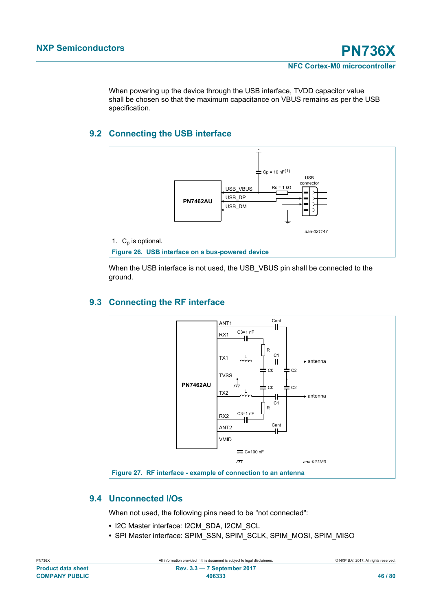When powering up the device through the USB interface, TVDD capacitor value shall be chosen so that the maximum capacitance on VBUS remains as per the USB specification.

# **9.2 Connecting the USB interface**



When the USB interface is not used, the USB\_VBUS pin shall be connected to the ground.

# **9.3 Connecting the RF interface**



# **9.4 Unconnected I/Os**

When not used, the following pins need to be "not connected":

- **•** I2C Master interface: I2CM\_SDA, I2CM\_SCL
- **•** SPI Master interface: SPIM\_SSN, SPIM\_SCLK, SPIM\_MOSI, SPIM\_MISO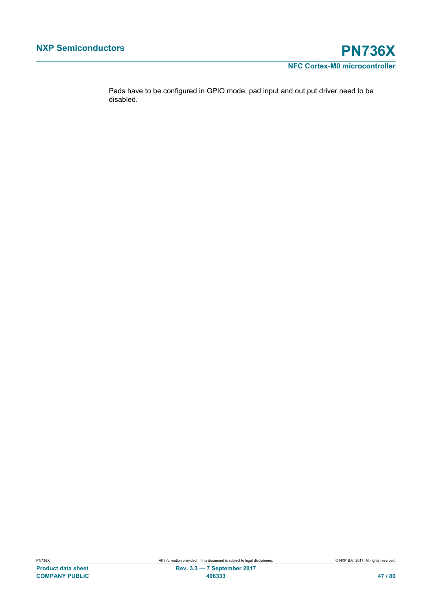

Pads have to be configured in GPIO mode, pad input and out put driver need to be disabled.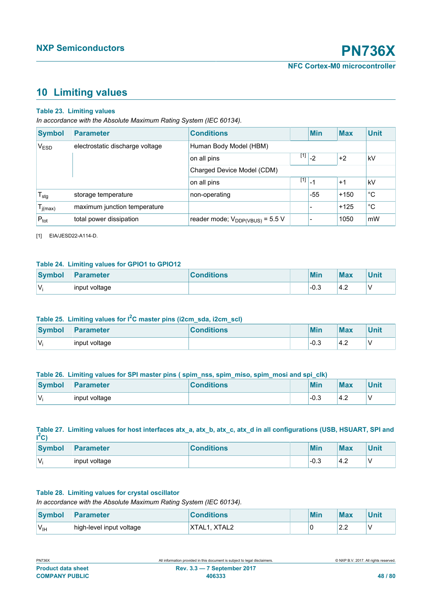# <span id="page-47-0"></span>**10 Limiting values**

#### **Table 23. Limiting values**

*In accordance with the Absolute Maximum Rating System (IEC 60134).*

| <b>Symbol</b>    | <b>Parameter</b>                | <b>Conditions</b>                    |                          | <b>Min</b>                                                                               | <b>Max</b> | <b>Unit</b> |
|------------------|---------------------------------|--------------------------------------|--------------------------|------------------------------------------------------------------------------------------|------------|-------------|
| $V_{ESD}$        | electrostatic discharge voltage | Human Body Model (HBM)               |                          |                                                                                          |            |             |
|                  |                                 | on all pins                          |                          | $\begin{array}{c c c c c} \hline \end{array}$ [1] $\begin{array}{c c c c} 2 \end{array}$ | $+2$       | kV          |
|                  |                                 | Charged Device Model (CDM)           |                          |                                                                                          |            |             |
|                  |                                 | on all pins                          | $\boxed{11}$ $\boxed{1}$ |                                                                                          | $+1$       | kV          |
| $T_{\text{stg}}$ | storage temperature             | non-operating                        |                          | $-55$                                                                                    | $+150$     | $^{\circ}C$ |
| $I_{j(max)}$     | maximum junction temperature    |                                      |                          |                                                                                          | $+125$     | $^{\circ}C$ |
| $P_{\text{tot}}$ | total power dissipation         | reader mode; $V_{DDP(VBUS)} = 5.5 V$ |                          |                                                                                          | 1050       | mW          |

[1] EIA/JESD22-A114-D.

#### **Table 24. Limiting values for GPIO1 to GPIO12**

| <b>Symbol</b> | <b>Parameter</b> | <b>Conditions</b> | Min    | <b>Max</b>          | <b>Unit</b> |
|---------------|------------------|-------------------|--------|---------------------|-------------|
| 'Vi           | input voltage    |                   | $-0.3$ | $.4\degree$<br>т. д |             |

# **Table 25. Limiting values for I2C master pins (i2cm\_sda, i2cm\_scl)**

| Symbol | <b>Parameter</b> | <b>Conditions</b> | Min    | <b>Max</b> | Unit |
|--------|------------------|-------------------|--------|------------|------|
| 'Vi    | input voltage    |                   | $-0.3$ | 4.2        |      |

#### Table 26. Limiting values for SPI master pins ( spim\_nss, spim\_miso, spim\_mosi and spi\_clk)

| <b>Symbol</b> | <b>Parameter</b> | <b>Conditions</b> | <b>Min</b> | <b>Max</b> | Unit |
|---------------|------------------|-------------------|------------|------------|------|
| W.            | input voltage    |                   | $-0.3$     | 4.2        |      |

#### **Table 27. Limiting values for host interfaces atx\_a, atx\_b, atx\_c, atx\_d in all configurations (USB, HSUART, SPI and I <sup>2</sup>C)**

| <b>Symbol</b> | <b>Parameter</b> | <b>Conditions</b> | Min  | <b>Max</b> | Unit |
|---------------|------------------|-------------------|------|------------|------|
| 'V.           | input voltage    |                   | -0.3 | 4.2        |      |

#### **Table 28. Limiting values for crystal oscillator**

*In accordance with the Absolute Maximum Rating System (IEC 60134).*

| <b>Symbol</b>    | <b>Parameter</b>         | <b>Conditions</b> | Min | <b>Max</b>    | Unit |
|------------------|--------------------------|-------------------|-----|---------------|------|
| 'V <sub>IH</sub> | high-level input voltage | XTAL1, XTAL2      |     | $\sim$<br>ے.۔ |      |

| <b>PN736X</b>             | All information provided in this document is subject to legal disclaimers. | © NXP B.V. 2017. All rights reserved. |
|---------------------------|----------------------------------------------------------------------------|---------------------------------------|
| <b>Product data sheet</b> | <b>Rev. 3.3 – 7 September 2017</b>                                         |                                       |
| <b>COMPANY PUBLIC</b>     | 406333                                                                     | 48 / 80                               |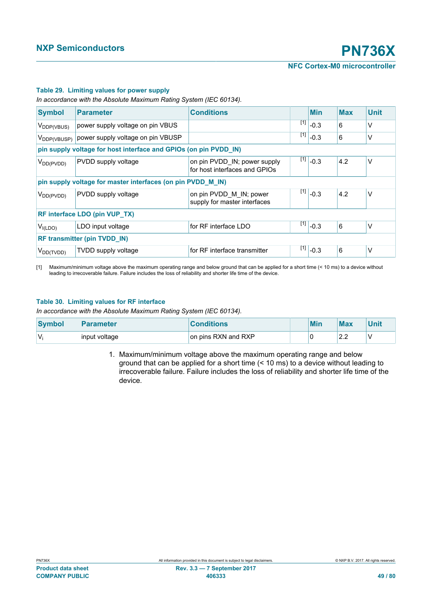#### <span id="page-48-0"></span>**Table 29. Limiting values for power supply**

*In accordance with the Absolute Maximum Rating System (IEC 60134).*

| <b>Symbol</b>           | <b>Parameter</b>                                                 | <b>Conditions</b>                                             |       | <b>Min</b>                                                                 | <b>Max</b> | <b>Unit</b> |  |  |
|-------------------------|------------------------------------------------------------------|---------------------------------------------------------------|-------|----------------------------------------------------------------------------|------------|-------------|--|--|
| V <sub>DDP(VBUS)</sub>  | power supply voltage on pin VBUS                                 |                                                               |       | $\sqrt{11}$ -0.3                                                           | 6          | V           |  |  |
| V <sub>DDP(VBUSP)</sub> | power supply voltage on pin VBUSP                                |                                                               | $[1]$ | $-0.3$                                                                     | 6          | V           |  |  |
|                         | pin supply voltage for host interface and GPIOs (on pin PVDD_IN) |                                                               |       |                                                                            |            |             |  |  |
| $V_{DD(PVDD)}$          | PVDD supply voltage                                              | on pin PVDD_IN; power supply<br>for host interfaces and GPIOs |       | $^{[1]}$ -0.3                                                              | 4.2        | V           |  |  |
|                         | pin supply voltage for master interfaces (on pin PVDD_M_IN)      |                                                               |       |                                                                            |            |             |  |  |
| $V_{DD(PVDD)}$          | PVDD supply voltage                                              | on pin PVDD M IN; power<br>supply for master interfaces       | $[1]$ | $-0.3$                                                                     | 4.2        | V           |  |  |
|                         | <b>RF interface LDO (pin VUP_TX)</b>                             |                                                               |       |                                                                            |            |             |  |  |
| $V_{I(LDO)}$            | LDO input voltage                                                | for RF interface LDO                                          |       | $\left  \begin{smallmatrix} 1 & 1 \\ 1 & 1 \end{smallmatrix} \right $ -0.3 | 6          | V           |  |  |
|                         | <b>RF transmitter (pin TVDD_IN)</b>                              |                                                               |       |                                                                            |            |             |  |  |
| $V_{DD(TVDD)}$          | <b>TVDD</b> supply voltage                                       | for RF interface transmitter                                  |       | $\overline{[1]}$ -0.3                                                      | 6          | V           |  |  |

[1] Maximum/minimum voltage above the maximum operating range and below ground that can be applied for a short time (< 10 ms) to a device without leading to irrecoverable failure. Failure includes the loss of reliability and shorter life time of the device.

#### **Table 30. Limiting values for RF interface**

*In accordance with the Absolute Maximum Rating System (IEC 60134).*

| <b>Symbol</b> | <b>Parameter</b> | <b>Conditions</b>   |  | Min | <b>Max</b> | Unit |
|---------------|------------------|---------------------|--|-----|------------|------|
| V.            | input voltage    | on pins RXN and RXP |  |     | n n<br>ے ۔ |      |

1. Maximum/minimum voltage above the maximum operating range and below ground that can be applied for a short time (< 10 ms) to a device without leading to irrecoverable failure. Failure includes the loss of reliability and shorter life time of the device.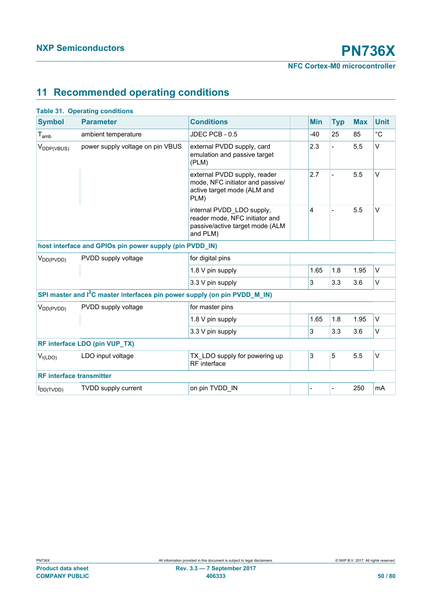# **11 Recommended operating conditions**

| <b>Parameter</b><br><b>Conditions</b><br><b>Min</b><br><b>Max</b><br><b>Unit</b><br><b>Typ</b><br>$^{\circ}C$<br>25<br>85<br>$T_{amb}$<br>ambient temperature<br>JDEC PCB - 0.5<br>$-40$<br>V<br>5.5<br>power supply voltage on pin VBUS<br>external PVDD supply, card<br>2.3<br>V <sub>DDP(VBUS)</sub><br>emulation and passive target<br>(PLM)<br>2.7<br>5.5<br>$\vee$<br>external PVDD supply, reader<br>mode, NFC initiator and passive/<br>active target mode (ALM and<br>PLM)<br>5.5<br>$\vee$<br>$\overline{4}$<br>internal PVDD_LDO supply,<br>reader mode, NFC initiator and<br>passive/active target mode (ALM<br>and PLM)<br>host interface and GPIOs pin power supply (pin PVDD_IN)<br>PVDD supply voltage<br>for digital pins<br>V <sub>DD(PVDD)</sub><br>V<br>1.65<br>1.8<br>1.95<br>1.8 V pin supply<br>3<br>V<br>3.3<br>3.6<br>3.3 V pin supply<br>SPI master and I <sup>2</sup> C master interfaces pin power supply (on pin PVDD_M_IN)<br>PVDD supply voltage<br>for master pins<br>V <sub>DD(PVDD)</sub><br>1.65<br>1.8<br>1.95<br>V<br>1.8 V pin supply<br>3<br>V<br>3.3<br>3.6<br>3.3 V pin supply<br>RF interface LDO (pin VUP_TX)<br>3<br>5<br>5.5<br>V<br>LDO input voltage<br>TX LDO supply for powering up<br>V <sub>I(LDO</sub><br>RF interface<br><b>RF</b> interface transmitter<br>250<br>on pin TVDD IN<br><b>TVDD supply current</b><br>mA<br>$\blacksquare$<br>$I_{DD(TVDD)}$<br>$\overline{a}$ |               | <b>Table 31. Operating conditions</b> |  |  |  |  |  |  |  |
|----------------------------------------------------------------------------------------------------------------------------------------------------------------------------------------------------------------------------------------------------------------------------------------------------------------------------------------------------------------------------------------------------------------------------------------------------------------------------------------------------------------------------------------------------------------------------------------------------------------------------------------------------------------------------------------------------------------------------------------------------------------------------------------------------------------------------------------------------------------------------------------------------------------------------------------------------------------------------------------------------------------------------------------------------------------------------------------------------------------------------------------------------------------------------------------------------------------------------------------------------------------------------------------------------------------------------------------------------------------------------------------------------------------------------------|---------------|---------------------------------------|--|--|--|--|--|--|--|
|                                                                                                                                                                                                                                                                                                                                                                                                                                                                                                                                                                                                                                                                                                                                                                                                                                                                                                                                                                                                                                                                                                                                                                                                                                                                                                                                                                                                                                  | <b>Symbol</b> |                                       |  |  |  |  |  |  |  |
|                                                                                                                                                                                                                                                                                                                                                                                                                                                                                                                                                                                                                                                                                                                                                                                                                                                                                                                                                                                                                                                                                                                                                                                                                                                                                                                                                                                                                                  |               |                                       |  |  |  |  |  |  |  |
|                                                                                                                                                                                                                                                                                                                                                                                                                                                                                                                                                                                                                                                                                                                                                                                                                                                                                                                                                                                                                                                                                                                                                                                                                                                                                                                                                                                                                                  |               |                                       |  |  |  |  |  |  |  |
|                                                                                                                                                                                                                                                                                                                                                                                                                                                                                                                                                                                                                                                                                                                                                                                                                                                                                                                                                                                                                                                                                                                                                                                                                                                                                                                                                                                                                                  |               |                                       |  |  |  |  |  |  |  |
|                                                                                                                                                                                                                                                                                                                                                                                                                                                                                                                                                                                                                                                                                                                                                                                                                                                                                                                                                                                                                                                                                                                                                                                                                                                                                                                                                                                                                                  |               |                                       |  |  |  |  |  |  |  |
|                                                                                                                                                                                                                                                                                                                                                                                                                                                                                                                                                                                                                                                                                                                                                                                                                                                                                                                                                                                                                                                                                                                                                                                                                                                                                                                                                                                                                                  |               |                                       |  |  |  |  |  |  |  |
|                                                                                                                                                                                                                                                                                                                                                                                                                                                                                                                                                                                                                                                                                                                                                                                                                                                                                                                                                                                                                                                                                                                                                                                                                                                                                                                                                                                                                                  |               |                                       |  |  |  |  |  |  |  |
|                                                                                                                                                                                                                                                                                                                                                                                                                                                                                                                                                                                                                                                                                                                                                                                                                                                                                                                                                                                                                                                                                                                                                                                                                                                                                                                                                                                                                                  |               |                                       |  |  |  |  |  |  |  |
|                                                                                                                                                                                                                                                                                                                                                                                                                                                                                                                                                                                                                                                                                                                                                                                                                                                                                                                                                                                                                                                                                                                                                                                                                                                                                                                                                                                                                                  |               |                                       |  |  |  |  |  |  |  |
|                                                                                                                                                                                                                                                                                                                                                                                                                                                                                                                                                                                                                                                                                                                                                                                                                                                                                                                                                                                                                                                                                                                                                                                                                                                                                                                                                                                                                                  |               |                                       |  |  |  |  |  |  |  |
|                                                                                                                                                                                                                                                                                                                                                                                                                                                                                                                                                                                                                                                                                                                                                                                                                                                                                                                                                                                                                                                                                                                                                                                                                                                                                                                                                                                                                                  |               |                                       |  |  |  |  |  |  |  |
|                                                                                                                                                                                                                                                                                                                                                                                                                                                                                                                                                                                                                                                                                                                                                                                                                                                                                                                                                                                                                                                                                                                                                                                                                                                                                                                                                                                                                                  |               |                                       |  |  |  |  |  |  |  |
|                                                                                                                                                                                                                                                                                                                                                                                                                                                                                                                                                                                                                                                                                                                                                                                                                                                                                                                                                                                                                                                                                                                                                                                                                                                                                                                                                                                                                                  |               |                                       |  |  |  |  |  |  |  |
|                                                                                                                                                                                                                                                                                                                                                                                                                                                                                                                                                                                                                                                                                                                                                                                                                                                                                                                                                                                                                                                                                                                                                                                                                                                                                                                                                                                                                                  |               |                                       |  |  |  |  |  |  |  |
|                                                                                                                                                                                                                                                                                                                                                                                                                                                                                                                                                                                                                                                                                                                                                                                                                                                                                                                                                                                                                                                                                                                                                                                                                                                                                                                                                                                                                                  |               |                                       |  |  |  |  |  |  |  |
|                                                                                                                                                                                                                                                                                                                                                                                                                                                                                                                                                                                                                                                                                                                                                                                                                                                                                                                                                                                                                                                                                                                                                                                                                                                                                                                                                                                                                                  |               |                                       |  |  |  |  |  |  |  |
|                                                                                                                                                                                                                                                                                                                                                                                                                                                                                                                                                                                                                                                                                                                                                                                                                                                                                                                                                                                                                                                                                                                                                                                                                                                                                                                                                                                                                                  |               |                                       |  |  |  |  |  |  |  |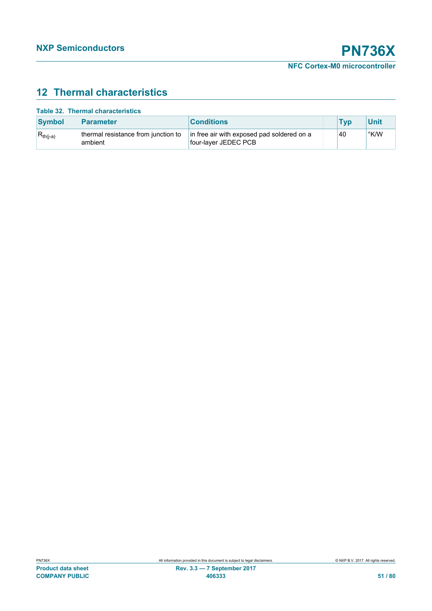# **12 Thermal characteristics**

|  |  | <b>Table 32. Thermal characteristics</b> |
|--|--|------------------------------------------|
|--|--|------------------------------------------|

| <b>Symbol</b> | <b>Parameter</b>                               | <b>Conditions</b>                                                  | Tvr | <b>Unit</b> |
|---------------|------------------------------------------------|--------------------------------------------------------------------|-----|-------------|
| $R_{th(i-a)}$ | thermal resistance from junction to<br>ambient | in free air with exposed pad soldered on a<br>four-layer JEDEC PCB | 40  | °K/W        |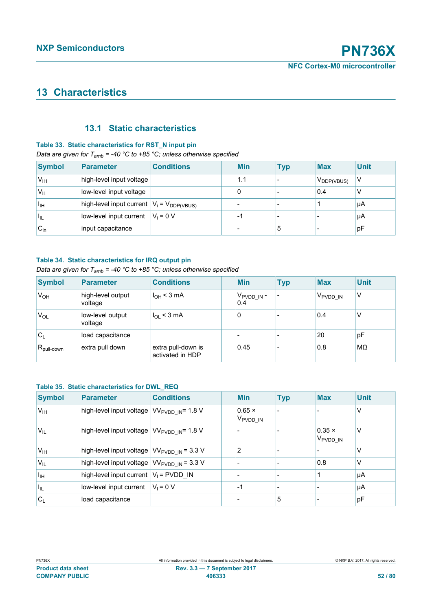# **13 Characteristics**

# **13.1 Static characteristics**

#### **Table 33. Static characteristics for RST\_N input pin**

#### *Data are given for T<sub>amb</sub>* = -40 °C to +85 °C; unless otherwise specified

| <b>Symbol</b> | Parameter                                        | <b>Conditions</b> | <b>Min</b> | Typ | <b>Max</b>             | <b>Unit</b> |
|---------------|--------------------------------------------------|-------------------|------------|-----|------------------------|-------------|
| $V_{IH}$      | high-level input voltage                         |                   | 1.1        |     | V <sub>DDP(VBUS)</sub> | V           |
| $V_{IL}$      | low-level input voltage                          |                   | 0          |     | 0.4                    |             |
| Īщ            | high-level input current $ V_i = V_{DDP(VBUS)} $ |                   |            |     |                        | μA          |
| ٠ı            | low-level input current                          | $V_i = 0 V$       | ٠.         |     |                        | μA          |
| $C_{in}$      | input capacitance                                |                   |            | 5   |                        | pF          |

#### **Table 34. Static characteristics for IRQ output pin**

### *Data are given for T<sub>amb</sub>* = -40 °C to +85 °C; unless otherwise specified

| <b>Symbol</b>          | <b>Parameter</b>             | <b>Conditions</b>                      | <b>Min</b>                      | <b>Typ</b> | <b>Max</b>           | <b>Unit</b> |
|------------------------|------------------------------|----------------------------------------|---------------------------------|------------|----------------------|-------------|
| $V_{OH}$               | high-level output<br>voltage | I <sub>OH</sub> < 3 mA                 | ∣ V <sub>PVDD_IN</sub> -<br>0.4 |            | V <sub>PVDD</sub> IN | v           |
| V <sub>OL</sub>        | low-level output<br>voltage  | $I_{OL}$ < 3 mA                        | 0                               |            | 0.4                  | v           |
| $C_L$                  | load capacitance             |                                        |                                 |            | 20                   | pF          |
| $R_{\text{pull-down}}$ | extra pull down              | extra pull-down is<br>activated in HDP | 0.45                            |            | 0.8                  | MΩ          |

#### **Table 35. Static characteristics for DWL\_REQ**

| <b>Symbol</b>    | <b>Parameter</b>                                                    | <b>Conditions</b> | <b>Min</b>                            | <b>Typ</b> | <b>Max</b>                            | <b>Unit</b> |
|------------------|---------------------------------------------------------------------|-------------------|---------------------------------------|------------|---------------------------------------|-------------|
| V <sub>IH</sub>  | high-level input voltage   VV <sub>PVDD IN</sub> = 1.8 V            |                   | $0.65 \times$<br>V <sub>PVDD</sub> IN |            |                                       | V           |
| 'V <sub>IL</sub> | high-level input voltage $\sqrt{V_{\text{PVDD N}}}=1.8 \text{ V}$   |                   |                                       |            | $0.35 \times$<br>V <sub>PVDD_IN</sub> | V           |
| V <sub>IH</sub>  | high-level input voltage $ VV_{\text{PVDD IN}}  = 3.3 V$            |                   | 2                                     |            |                                       | V           |
| $V_{IL}$         | high-level input voltage $\sqrt{V_{\text{PVDD N}}} = 3.3 \text{ V}$ |                   |                                       |            | 0.8                                   | V           |
| Īщ               | high-level input current $ V_1 $ = PVDD IN                          |                   |                                       |            |                                       | μA          |
| $ I_{\rm IL} $   | low-level input current                                             | $V_1 = 0 V$       | $-1$                                  |            |                                       | μA          |
| $C_{L}$          | load capacitance                                                    |                   |                                       | 5          |                                       | pF          |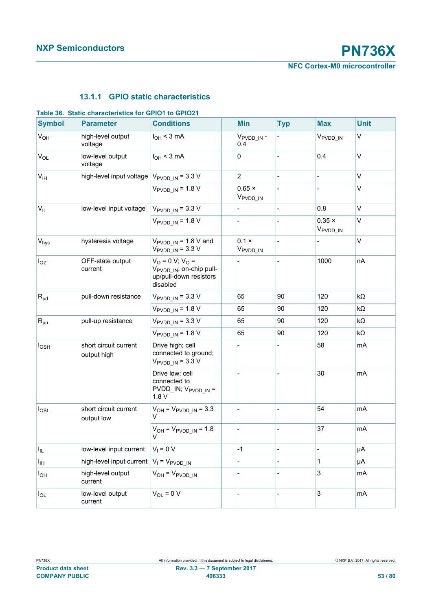# **13.1.1 GPIO static characteristics**

| <b>Symbol</b>     | <b>Parameter</b>                                      | <b>Conditions</b>                                                                                   | <b>Min</b>                           | <b>Typ</b>               | <b>Max</b>                            | <b>Unit</b> |
|-------------------|-------------------------------------------------------|-----------------------------------------------------------------------------------------------------|--------------------------------------|--------------------------|---------------------------------------|-------------|
| $V_{OH}$          | high-level output<br>voltage                          | $I_{OH}$ < 3 mA                                                                                     | V <sub>PVDD</sub> IN-<br>0.4         |                          | V <sub>PVDD IN</sub>                  | $\vee$      |
| $V_{OL}$          | low-level output<br>voltage                           | $I_{OH}$ < 3 mA                                                                                     | $\pmb{0}$                            |                          | 0.4                                   | $\vee$      |
| V <sub>IH</sub>   | high-level input voltage $V_{\text{PVDD IN}} = 3.3 V$ |                                                                                                     | $\overline{2}$                       | $\overline{a}$           | $\overline{\phantom{0}}$              | V           |
|                   | $V_{\text{PVDD IN}}$ = 1.8 V                          | $0.65 \times$<br>V <sub>PVDD</sub> IN                                                               | $\overline{a}$                       |                          | $\vee$                                |             |
| $V_{IL}$          | low-level input voltage                               | $V_{\text{PVDD IN}} = 3.3 \text{ V}$                                                                | $\blacksquare$                       | $\overline{a}$           | 0.8                                   | V           |
|                   |                                                       | $V_{\text{PVDD IN}}$ = 1.8 V                                                                        |                                      |                          | $0.35 \times$<br>V <sub>PVDD_IN</sub> | $\vee$      |
| $V_{\text{hys}}$  | hysteresis voltage                                    | $V_{\text{PVDD IN}}$ = 1.8 V and<br>$V_{\text{PVDD}\_ \text{IN}} = 3.3 \text{ V}$                   | $0.1 \times$<br>V <sub>PVDD_IN</sub> | $\overline{a}$           |                                       | V           |
| $I_{OZ}$          | OFF-state output<br>current                           | $V_O = 0 V$ ; $V_O =$<br>V <sub>PVDD IN</sub> ; on-chip pull-<br>up/pull-down resistors<br>disabled | $\frac{1}{2}$                        |                          | 1000                                  | nA          |
| $R_{pd}$          | pull-down resistance                                  | $V_{\text{PVDD IN}}$ = 3.3 V                                                                        | 65                                   | 90                       | 120                                   | $k\Omega$   |
|                   |                                                       | $V_{\text{PVDD IN}} = 1.8 \text{ V}$                                                                | 65                                   | 90                       | 120                                   | kΩ          |
| $R_{\text{pu}}$   | pull-up resistance                                    | $V_{\text{PVDD IN}} = 3.3 \text{ V}$                                                                | 65                                   | 90                       | 120                                   | kΩ          |
|                   |                                                       | $V_{\text{PVDD IN}}$ = 1.8 V                                                                        | 65                                   | 90                       | 120                                   | kΩ          |
| $I_{\text{OSH}}$  | short circuit current<br>output high                  | Drive high; cell<br>connected to ground;<br>$V_{\text{PVDD IN}}$ = 3.3 V                            |                                      |                          | 58                                    | mA          |
|                   |                                                       | Drive low; cell<br>connected to<br>$PVDD$ _IN; $V_{PVDD}$ IN =<br>1.8V                              |                                      |                          | 30                                    | mA          |
| $I_{OSL}$         | short circuit current<br>output low                   | $V_{OH} = V_{PVDD IN} = 3.3$<br>V                                                                   | $\overline{a}$                       |                          | 54                                    | mA          |
|                   |                                                       | $V_{OH} = V_{PVDD IN} = 1.8$<br>V                                                                   |                                      |                          | 37                                    | mA          |
| $I_{IL}$          | low-level input current                               | $V_1 = 0 V$                                                                                         | $-1$                                 |                          |                                       | μA          |
| Iн                | high-level input current $ V_1 = V_{\text{PVDD IN}}$  |                                                                                                     |                                      |                          | 1                                     | μA          |
| $I_{\mathsf{OH}}$ | high-level output<br>current                          | $V_{OH} = V_{PVDD\_IN}$                                                                             |                                      |                          | 3                                     | mA          |
| $I_{OL}$          | low-level output<br>current                           | $V_{OL} = 0 V$                                                                                      | $\overline{\phantom{a}}$             | $\overline{\phantom{0}}$ | 3                                     | mA          |

# **Table 36. Static characteristics for GPIO1 to GPIO21**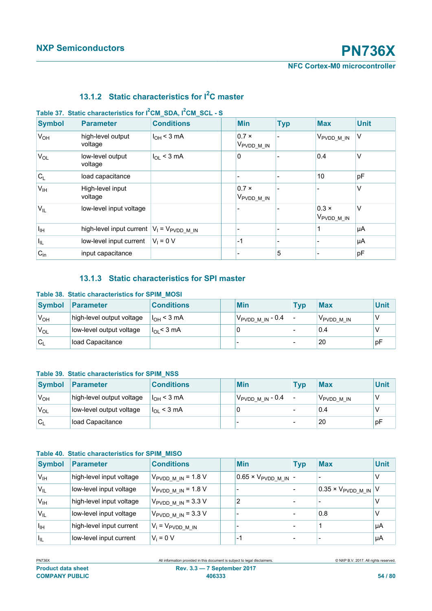| <b>Symbol</b>   | <b>Parameter</b>                                          | <b>Conditions</b> | <b>Min</b>                             | <b>Typ</b>               | <b>Max</b>                             | <b>Unit</b> |
|-----------------|-----------------------------------------------------------|-------------------|----------------------------------------|--------------------------|----------------------------------------|-------------|
| $V_{OH}$        | high-level output<br>voltage                              | $I_{OH}$ < 3 mA   | $0.7 \times$<br>V <sub>PVDD_M_IN</sub> |                          | V <sub>PVDD_M_IN</sub>                 | V           |
| $V_{OL}$        | low-level output<br>voltage                               | $I_{OL}$ < 3 mA   | 0                                      |                          | 0.4                                    | V           |
| $C_L$           | load capacitance                                          |                   |                                        | $\overline{\phantom{a}}$ | 10                                     | pF          |
| V <sub>IH</sub> | High-level input<br>voltage                               |                   | $0.7 \times$<br>V <sub>PVDD_M_IN</sub> |                          |                                        | v           |
| $V_{IL}$        | low-level input voltage                                   |                   |                                        |                          | $0.3 \times$<br>V <sub>PVDD_M_IN</sub> | V           |
| $I_{\text{IH}}$ | high-level input current $ V_1 = V_{\text{PVDD\_M\_IN}} $ |                   |                                        | $\overline{\phantom{a}}$ |                                        | μA          |
| $ I_{\rm IL} $  | low-level input current                                   | $V_1 = 0 V$       | $-1$                                   | $\overline{\phantom{a}}$ |                                        | μA          |
| $C_{in}$        | input capacitance                                         |                   |                                        | 5                        |                                        | pF          |

# **13.1.2 Static characteristics for I2C master**

### **Table 37. Static characteristics for I2CM\_SDA, I2CM\_SCL - S**

# **13.1.3 Static characteristics for SPI master**

#### **Table 38. Static characteristics for SPIM\_MOSI**

| Symbol           | Parameter                 | <b>Conditions</b> | <b>Min</b>                     | <b>Tvp</b> | <b>Max</b>             | Unit |
|------------------|---------------------------|-------------------|--------------------------------|------------|------------------------|------|
| V <sub>OH</sub>  | high-level output voltage | $I_{OH}$ < 3 mA   | $V_{\text{PVDD\_M\_IN}}$ - 0.4 |            | V <sub>PVDD</sub> M IN |      |
| 'V <sub>OL</sub> | low-level output voltage  | $I_{OL}$ < 3 mA   |                                |            | 0.4                    |      |
| 'Cı              | load Capacitance          |                   |                                |            | 20                     | рF   |

#### **Table 39. Static characteristics for SPIM\_NSS**

| <b>Symbol</b>   | Parameter                 | <b>Conditions</b>     | <b>Min</b>                    | <b>Tvp</b> | <b>Max</b>             | <b>Unit</b> |
|-----------------|---------------------------|-----------------------|-------------------------------|------------|------------------------|-------------|
| $V_{OH}$        | high-level output voltage | $I_{\Omega H}$ < 3 mA | ⊺V <sub>PVDD_M_IN</sub> - 0.4 |            | V <sub>PVDD</sub> M IN |             |
| V <sub>OL</sub> | low-level output voltage  | $I_{OL}$ < 3 mA       |                               |            | 0.4                    |             |
| $C_1$           | load Capacitance          |                       |                               |            | 20                     | рF          |

### **Table 40. Static characteristics for SPIM\_MISO**

| <b>Symbol</b>   | Parameter                | <b>Conditions</b>                      | <b>Min</b>                              | <b>Typ</b> | <b>Max</b>                           | <b>Unit</b> |
|-----------------|--------------------------|----------------------------------------|-----------------------------------------|------------|--------------------------------------|-------------|
| V <sub>IH</sub> | high-level input voltage | $V_{\text{PVDD M IN}} = 1.8 \text{ V}$ | $10.65 \times V_{\text{PVDD\_M\_IN}}$ - |            |                                      |             |
| $V_{IL}$        | low-level input voltage  | $V_{\text{PVDD M IN}}$ = 1.8 V         |                                         |            | $0.35 \times V_{\text{PVDD} M IN} V$ |             |
| $V_{\text{IH}}$ | high-level input voltage | $V_{\text{PVDD M IN}}$ = 3.3 V         | 2                                       |            |                                      |             |
| $V_{IL}$        | low-level input voltage  | $V_{\text{PVDD\_M\_IN}}$ = 3.3 V       |                                         |            | 0.8                                  |             |
| Īщ              | high-level input current | $V_i = V_{PVDD\_M\_IN}$                |                                         |            |                                      | μA          |
| ЧL,             | low-level input current  | $V_i = 0 V$                            | -1                                      |            |                                      | μA          |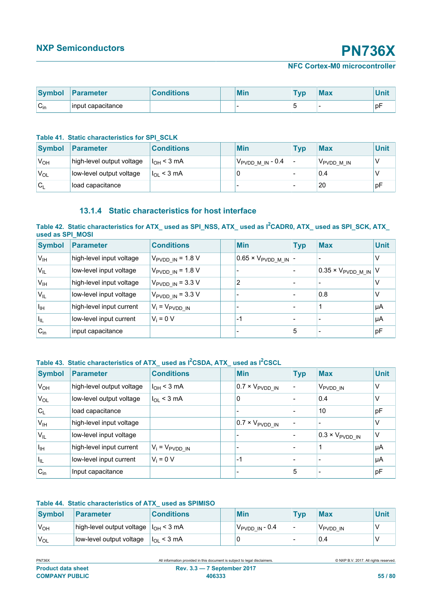**NFC Cortex-M0 microcontroller**

| <b>Symbol</b>                        | <b>Parameter</b>  | <b>Conditions</b> | <b>Min</b> | <b>Typ</b> | <b>Max</b> |    |
|--------------------------------------|-------------------|-------------------|------------|------------|------------|----|
| $\sim$<br>$\mathsf{v}_{\mathsf{in}}$ | input capacitance |                   |            |            |            | рŀ |

#### **Table 41. Static characteristics for SPI\_SCLK**

| <b>Symbol</b>    | Parameter                 | <b>Conditions</b> | <b>Min</b>                   | Tvp | <b>Max</b>             | Unit |
|------------------|---------------------------|-------------------|------------------------------|-----|------------------------|------|
| $V_{OH}$         | high-level output voltage | $I_{OH}$ < 3 mA   | $V_{\text{PVDD M IN}}$ - 0.4 |     | V <sub>PVDD</sub> M IN |      |
| 'V <sub>OL</sub> | low-level output voltage  | $I_{OL}$ < 3 mA   |                              |     | 0.4                    |      |
| $C_{L}$          | load capacitance          |                   |                              |     | 20                     | рF   |

# **13.1.4 Static characteristics for host interface**

#### **Table 42. Static characteristics for ATX\_ used as SPI\_NSS, ATX\_ used as I2CADR0, ATX\_ used as SPI\_SCK, ATX\_ used as SPI\_MOSI**

| <b>Symbol</b>              | <b>Parameter</b>         | <b>Conditions</b>                    | <b>Min</b>                              | <b>Typ</b> | <b>Max</b>                           | <b>Unit</b> |
|----------------------------|--------------------------|--------------------------------------|-----------------------------------------|------------|--------------------------------------|-------------|
| V <sub>IH</sub>            | high-level input voltage | $V_{\text{PVDD IN}}$ = 1.8 V         | $10.65 \times V_{\text{PVDD\_M\_IN}}$ - |            |                                      | v           |
| $V_{IL}$                   | low-level input voltage  | $V_{PVDD IN}$ = 1.8 V                |                                         |            | $0.35 \times V_{\text{PVDD} M IN}$ V |             |
| V <sub>IH</sub>            | high-level input voltage | $V_{\text{PVDD IN}} = 3.3 \text{ V}$ | 2                                       |            |                                      |             |
| 'V <sub>IL</sub>           | low-level input voltage  | $V_{\text{PVDD IN}}$ = 3.3 V         |                                         |            | 0.8                                  | v           |
| $I_{\text{IH}}$            | high-level input current | $V_i = V_{PVDD IN}$                  |                                         |            |                                      | μA          |
| $\mathsf{H}_{\mathsf{IL}}$ | low-level input current  | $V_i = 0 V$                          | $-1$                                    |            |                                      | μA          |
| $C_{in}$                   | input capacitance        |                                      |                                         | 5          |                                      | pF          |

## **Table 43. Static characteristics of ATX\_ used as I2CSDA, ATX\_ used as I2CSCL**

| <b>Symbol</b>   | <b>Parameter</b>          | <b>Conditions</b>           | <b>Min</b>                        | <b>Typ</b> | <b>Max</b>                        | <b>Unit</b> |
|-----------------|---------------------------|-----------------------------|-----------------------------------|------------|-----------------------------------|-------------|
| V <sub>OH</sub> | high-level output voltage | $I_{OH}$ < 3 mA             | $0.7 \times V_{\text{PVDD\_IN}}$  |            | Vpvdd_in                          | V           |
| $V_{OL}$        | low-level output voltage  | $I_{OL}$ < 3 mA             | 0                                 |            | 0.4                               | V           |
| $C_{L}$         | load capacitance          |                             |                                   |            | 10                                | pF          |
| $V_{IH}$        | high-level input voltage  |                             | $10.7 \times V_{\text{PVDD\_IN}}$ |            |                                   | v           |
| $V_{IL}$        | low-level input voltage   |                             |                                   |            | $10.3 \times V_{\text{PVDD\_IN}}$ | ٧           |
| I <sub>IH</sub> | high-level input current  | $V_i = V_{\text{PVDD\_IN}}$ |                                   |            |                                   | μA          |
| Ιıμ             | low-level input current   | $V_i = 0 V$                 | $-1$                              |            |                                   | μA          |
| $C_{in}$        | Input capacitance         |                             |                                   | 5          |                                   | pF          |

#### **Table 44. Static characteristics of ATX\_ used as SPIMISO**

| Symbol           | <b>Parameter</b>                           | <b>Conditions</b>       | <b>Min</b>                 | <b>Typ</b> | <b>Max</b> | Unit |
|------------------|--------------------------------------------|-------------------------|----------------------------|------------|------------|------|
| 'V <sub>OH</sub> | high-level output voltage $ I_{OH}$ < 3 mA |                         | $V_{\text{PVDD IN}}$ - 0.4 |            | VPVDD IN   |      |
| 'V <sub>OL</sub> | low-level output voltage                   | ∣I <sub>OL</sub> < 3 mA |                            |            | 0.4        |      |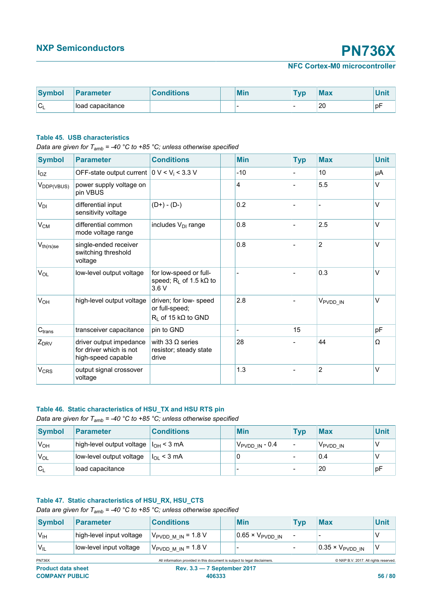| <b>Symbol</b> | <b>Parameter</b> | <b>Conditions</b> | <b>Min</b> | T <sub>VD</sub> | <b>Max</b> | din M<br>vm. |
|---------------|------------------|-------------------|------------|-----------------|------------|--------------|
| ັ             | load capacitance |                   |            |                 | 20         | рF           |

#### **Table 45. USB characteristics**

*Data are given for T<sub>amb</sub>* = -40 °C to +85 °C; unless otherwise specified

| <b>Symbol</b>          | <b>Parameter</b>                                                         | <b>Conditions</b>                                                         | <b>Min</b> | <b>Typ</b> | <b>Max</b>           | <b>Unit</b> |
|------------------------|--------------------------------------------------------------------------|---------------------------------------------------------------------------|------------|------------|----------------------|-------------|
| $I_{OZ}$               | OFF-state output current $0 \text{ V} < V_i < 3.3 \text{ V}$             |                                                                           | $-10$      |            | 10                   | μA          |
| V <sub>DDP(VBUS)</sub> | power supply voltage on<br>pin VBUS                                      |                                                                           | 4          |            | 5.5                  | V           |
| $V_{DI}$               | differential input<br>sensitivity voltage                                | $(D+) - (D-)$                                                             | 0.2        |            |                      | $\vee$      |
| $V_{CM}$               | differential common<br>mode voltage range                                | includes V <sub>DI</sub> range                                            | 0.8        |            | 2.5                  | $\vee$      |
| $V_{th(rs)se}$         | single-ended receiver<br>switching threshold<br>voltage                  |                                                                           | 0.8        |            | $\overline{2}$       | $\vee$      |
| $V_{OL}$               | low-level output voltage                                                 | for low-speed or full-<br>speed; $R_L$ of 1.5 k $\Omega$ to<br>3.6 V      |            |            | 0.3                  | $\vee$      |
| $V_{OH}$               | high-level output voltage                                                | driven; for low- speed<br>or full-speed;<br>$R_L$ of 15 k $\Omega$ to GND | 2.8        |            | V <sub>PVDD_IN</sub> | V           |
| C <sub>trans</sub>     | transceiver capacitance                                                  | pin to GND                                                                |            | 15         |                      | pF          |
| $Z_{DRV}$              | driver output impedance<br>for driver which is not<br>high-speed capable | with 33 $\Omega$ series<br>resistor; steady state<br>drive                | 28         |            | 44                   | Ω           |
| <b>V<sub>CRS</sub></b> | output signal crossover<br>voltage                                       |                                                                           | 1.3        |            | $\overline{2}$       | $\vee$      |

#### **Table 46. Static characteristics of HSU\_TX and HSU RTS pin**

*Data are given for Tamb = -40 °C to +85 °C; unless otherwise specified*

| Symbol           | <b>Parameter</b>                           | <b>Conditions</b>       | <b>Min</b>                  | Tvn | <b>Max</b>           | <b>Unit</b> |
|------------------|--------------------------------------------|-------------------------|-----------------------------|-----|----------------------|-------------|
| $V_{OH}$         | high-level output voltage $ I_{OH} < 3$ mA |                         | 'V <sub>PVDD IN</sub> - 0.4 |     | V <sub>PVDD</sub> IN |             |
| 'V <sub>OL</sub> | low-level output voltage                   | $ I_{\Omega} \leq 3$ mA | 0                           |     | 0.4                  |             |
| $C_{l}$          | load capacitance                           |                         |                             |     | 20                   | рF          |

#### **Table 47. Static characteristics of HSU\_RX, HSU\_CTS**

*Data are given for T<sub>amb</sub>* = -40 °C to +85 °C; unless otherwise specified

| Symbol           | <b>Parameter</b>         | <b>Conditions</b>              | <b>Min</b>                       | Tvp | <b>Max</b>                       | Unit |
|------------------|--------------------------|--------------------------------|----------------------------------|-----|----------------------------------|------|
| 'V <sub>IH</sub> | high-level input voltage | $V_{\text{PVDD M IN}}$ = 1.8 V | $0.65 \times V_{\text{PVDD IN}}$ |     |                                  |      |
| $V_{IL}$         | low-level input voltage  | $V_{\text{PVDD M IN}}$ = 1.8 V |                                  |     | $0.35 \times V_{\text{PVDD IN}}$ |      |

PN736X All information provided in this document is subject to legal disclaimers. © NXP B.V. 2017. All rights reserved.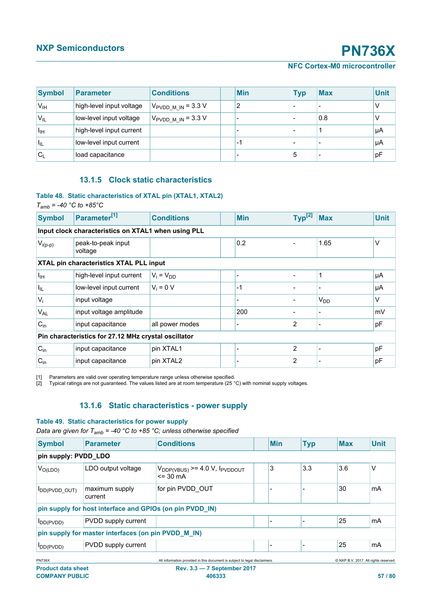#### **NFC Cortex-M0 microcontroller**

<span id="page-56-1"></span><span id="page-56-0"></span>

| <b>Symbol</b>              | <b>Parameter</b>         | <b>Conditions</b>              | <b>Min</b> | <b>Typ</b> | <b>Max</b> | <b>Unit</b> |
|----------------------------|--------------------------|--------------------------------|------------|------------|------------|-------------|
| $V_{\text{IH}}$            | high-level input voltage | $V_{\text{PVDD M IN}}$ = 3.3 V | າ          |            |            |             |
| V <sub>IL</sub>            | low-level input voltage  | $V_{\text{PVDD M IN}}$ = 3.3 V |            |            | 0.8        |             |
| Iщ                         | high-level input current |                                |            |            |            | μA          |
| $\mathsf{H}_{\mathsf{IL}}$ | low-level input current  |                                | -1         |            |            | μA          |
| $C_{1}$                    | load capacitance         |                                |            | 5          |            | ∣pF         |

### **13.1.5 Clock static characteristics**

#### **Table 48. Static characteristics of XTAL pin (XTAL1, XTAL2)**

 $T_{amb}$  = -40 °C to +85°C

| <b>Symbol</b>            | Parameter <sup>[1]</sup>                             | <b>Conditions</b> | <b>Min</b> | $Typ^{[2]}$ | <b>Max</b>      | <b>Unit</b> |  |  |  |  |
|--------------------------|------------------------------------------------------|-------------------|------------|-------------|-----------------|-------------|--|--|--|--|
|                          | Input clock characteristics on XTAL1 when using PLL  |                   |            |             |                 |             |  |  |  |  |
| $V_{i(p-p)}$             | peak-to-peak input<br>voltage                        |                   | 0.2        |             | 1.65            | V           |  |  |  |  |
|                          | XTAL pin characteristics XTAL PLL input              |                   |            |             |                 |             |  |  |  |  |
| Īщ                       | high-level input current                             | $V_i = V_{DD}$    |            |             |                 | μA          |  |  |  |  |
| $\vert I_{\sf IL} \vert$ | low-level input current                              | $V_i = 0 V$       | $-1$       |             |                 | μA          |  |  |  |  |
| $V_i$                    | input voltage                                        |                   |            |             | V <sub>DD</sub> | V           |  |  |  |  |
| $V_{AL}$                 | input voltage amplitude                              |                   | 200        |             |                 | mV          |  |  |  |  |
| $C_{in}$                 | input capacitance                                    | all power modes   |            | 2           |                 | pF          |  |  |  |  |
|                          | Pin characteristics for 27.12 MHz crystal oscillator |                   |            |             |                 |             |  |  |  |  |
| $C_{in}$                 | input capacitance                                    | pin XTAL1         |            | 2           |                 | pF          |  |  |  |  |
| $C_{in}$                 | input capacitance                                    | pin XTAL2         |            | 2           |                 | pF          |  |  |  |  |

[1] Parameters are valid over operating temperature range unless otherwise specified.

[2] Typical ratings are not guaranteed. The values listed are at room temperature (25 °C) with nominal supply voltages.

# **13.1.6 Static characteristics - power supply**

#### **Table 49. Static characteristics for power supply**

*Data are given for T<sub>amb</sub>* = -40 °C to +85 °C; unless otherwise specified

| <b>Symbol</b>        | <b>Parameter</b>                                         | <b>Conditions</b>                                            | <b>Min</b> | <b>Typ</b> | <b>Max</b> | <b>Unit</b> |
|----------------------|----------------------------------------------------------|--------------------------------------------------------------|------------|------------|------------|-------------|
| pin supply: PVDD_LDO |                                                          |                                                              |            |            |            |             |
| $V_{O(LDO)}$         | LDO output voltage                                       | $V_{DDP(VBUS)}$ >= 4.0 V, $I_{PVDDOUT}$<br>$= 30 \text{ mA}$ | 3          | 3.3        | 3.6        | ٧           |
| IDD(PVDD_OUT)        | maximum supply<br>current                                | for pin PVDD OUT                                             |            |            | 30         | mA          |
|                      | pin supply for host interface and GPIOs (on pin PVDD_IN) |                                                              |            |            |            |             |
| DD(PVDD)             | PVDD supply current                                      |                                                              |            |            | 25         | mA          |
|                      | pin supply for master interfaces (on pin PVDD_M_IN)      |                                                              |            |            |            |             |
| DD(PVDD)             | PVDD supply current                                      |                                                              |            |            | 25         | mA          |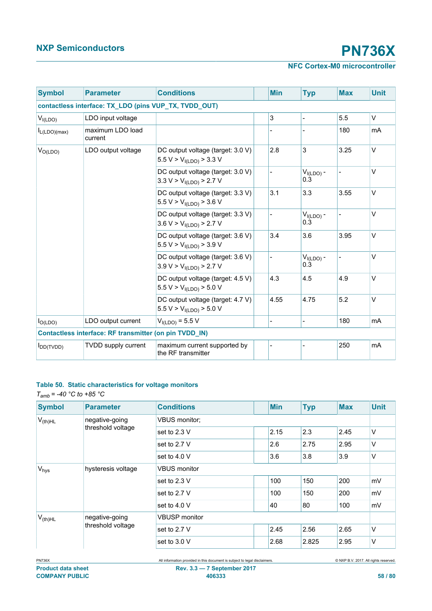# **NFC Cortex-M0 microcontroller**

| <b>Symbol</b>      | <b>Parameter</b>                                       | <b>Conditions</b>                                                        |  | <b>Min</b> | <b>Typ</b>                         | <b>Max</b> | <b>Unit</b> |  |  |  |
|--------------------|--------------------------------------------------------|--------------------------------------------------------------------------|--|------------|------------------------------------|------------|-------------|--|--|--|
|                    | contactless interface: TX_LDO (pins VUP_TX, TVDD_OUT)  |                                                                          |  |            |                                    |            |             |  |  |  |
| V <sub>I(LDO</sub> | LDO input voltage                                      |                                                                          |  | 3          |                                    | 5.5        | V           |  |  |  |
| $I_{L(LDO)(max)}$  | maximum LDO load<br>current                            |                                                                          |  |            |                                    | 180        | mA          |  |  |  |
| $V_{O(LDO)}$       | LDO output voltage                                     | DC output voltage (target: 3.0 V)<br>5.5 V > $V_{I(LDO)}$ > 3.3 V        |  | 2.8        | 3                                  | 3.25       | V           |  |  |  |
|                    |                                                        | DC output voltage (target: 3.0 V)<br>3.3 V > $V_{I(LDO)}$ > 2.7 V        |  |            | $VI(LDO)$ -<br>$0.\overline{3}$    |            | V           |  |  |  |
|                    |                                                        | DC output voltage (target: 3.3 V)<br>5.5 V > V <sub>I(LDO)</sub> > 3.6 V |  | 3.1        | 3.3                                | 3.55       | V           |  |  |  |
|                    |                                                        | DC output voltage (target: 3.3 V)<br>3.6 V > $V_{I(LDO)}$ > 2.7 V        |  |            | $V_{I(LDO)}$ -<br>$0.\overline{3}$ |            | V           |  |  |  |
|                    |                                                        | DC output voltage (target: 3.6 V)<br>5.5 V > $V_{I(LDO)}$ > 3.9 V        |  | 3.4        | 3.6                                | 3.95       | $\vee$      |  |  |  |
|                    |                                                        | DC output voltage (target: 3.6 V)<br>3.9 V > $V_{I(LDO)}$ > 2.7 V        |  |            | $V_{I(LDO)}$ -<br>$0.\overline{3}$ |            | $\vee$      |  |  |  |
|                    |                                                        | DC output voltage (target: 4.5 V)<br>5.5 V > V <sub>I(LDO</sub> > 5.0 V  |  | 4.3        | 4.5                                | 4.9        | V           |  |  |  |
|                    |                                                        | DC output voltage (target: 4.7 V)<br>5.5 V > V <sub>I(LDO</sub> > 5.0 V  |  | 4.55       | 4.75                               | $5.2\,$    | V           |  |  |  |
| $I_{O(LDO)}$       | LDO output current                                     | $V_{I(LDO)} = 5.5 V$                                                     |  |            |                                    | 180        | mA          |  |  |  |
|                    | Contactless interface: RF transmitter (on pin TVDD_IN) |                                                                          |  |            |                                    |            |             |  |  |  |
| $I_{DD(TVDD)}$     | <b>TVDD supply current</b>                             | maximum current supported by<br>the RF transmitter                       |  |            |                                    | 250        | mA          |  |  |  |

### **Table 50. Static characteristics for voltage monitors**

*Tamb = -40 °C to +85 °C*

| <b>Symbol</b>    | <b>Parameter</b>   | <b>Conditions</b>    | <b>Min</b> | <b>Typ</b> | <b>Max</b> | <b>Unit</b> |
|------------------|--------------------|----------------------|------------|------------|------------|-------------|
| $V_{(th)HL}$     | negative-going     | <b>VBUS monitor:</b> |            |            |            |             |
|                  | threshold voltage  | set to 2.3 V         | 2.15       | 2.3        | 2.45       | ٧           |
|                  |                    | set to 2.7 V         | 2.6        | 2.75       | 2.95       | V           |
|                  |                    | set to 4.0 V         | 3.6        | 3.8        | 3.9        | V           |
| V <sub>hys</sub> | hysteresis voltage | <b>VBUS monitor</b>  |            |            |            |             |
|                  |                    | set to 2.3 V         | 100        | 150        | 200        | mV          |
|                  |                    | set to 2.7 V         | 100        | 150        | 200        | mV          |
|                  |                    | set to $4.0 V$       | 40         | 80         | 100        | mV          |
| $V_{(th)HL}$     | negative-going     | <b>VBUSP</b> monitor |            |            |            |             |
|                  | threshold voltage  | set to 2.7 V         | 2.45       | 2.56       | 2.65       | V           |
|                  |                    | set to 3.0 V         | 2.68       | 2.825      | 2.95       | ٧           |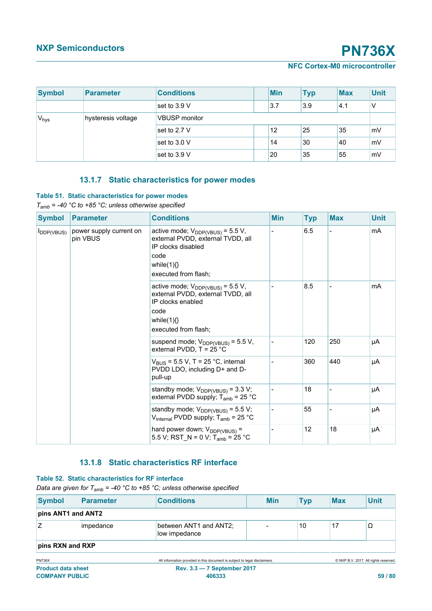### **NFC Cortex-M0 microcontroller**

| <b>Symbol</b>    | <b>Parameter</b>   | <b>Conditions</b>    |  | <b>Min</b> | <b>Typ</b> | <b>Max</b> | <b>Unit</b> |
|------------------|--------------------|----------------------|--|------------|------------|------------|-------------|
|                  |                    | set to 3.9 V         |  | 3.7        | 3.9        | 4.1        | $\vee$      |
| V <sub>hys</sub> | hysteresis voltage | <b>VBUSP</b> monitor |  |            |            |            |             |
|                  |                    | set to 2.7 V         |  | 12         | 25         | 35         | mV          |
|                  |                    | set to 3.0 V         |  | 14         | 30         | 40         | mV          |
|                  |                    | set to 3.9 V         |  | 20         | 35         | 55         | mV          |

# **13.1.7 Static characteristics for power modes**

#### **Table 51. Static characteristics for power modes**

*Tamb = -40 °C to +85 °C; unless otherwise specified*

| <b>Symbol</b>                      | <b>Parameter</b>        | <b>Conditions</b>                                                                                                                                     | <b>Min</b> | <b>Typ</b> | <b>Max</b> | <b>Unit</b> |
|------------------------------------|-------------------------|-------------------------------------------------------------------------------------------------------------------------------------------------------|------------|------------|------------|-------------|
| $I_{\text{DDP(VBUS)}}$<br>pin VBUS | power supply current on | active mode; $V_{DDP(VBUS)} = 5.5 V$ ,<br>external PVDD, external TVDD, all<br>IP clocks disabled<br>code<br>while $(1)$ $\}$<br>executed from flash; |            | 6.5        |            | mA          |
|                                    |                         | active mode; $V_{DDP(VBUS)} = 5.5 V$ ,<br>external PVDD, external TVDD, all<br>IP clocks enabled<br>code<br>while $(1)$ $\}$<br>executed from flash;  |            | 8.5        |            | mA          |
|                                    |                         | suspend mode; $V_{DDP(VBUS)} = 5.5 V$ ,<br>external PVDD, $T = 25 °C$                                                                                 |            | 120        | 250        | μA          |
|                                    |                         | $V_{\text{RUS}}$ = 5.5 V, T = 25 °C, internal<br>PVDD LDO, including D+ and D-<br>pull-up                                                             |            | 360        | 440        | μA          |
|                                    |                         | standby mode; $V_{DDP(VBUS)} = 3.3 V$ ;<br>external PVDD supply; $T_{amb}$ = 25 °C                                                                    |            | 18         |            | μA          |
|                                    |                         | standby mode; $V_{DDP(VBUS)} = 5.5 V$ ;<br>$V_{\text{internal}}$ PVDD supply; T <sub>amb</sub> = 25 °C                                                |            | 55         |            | μA          |
|                                    |                         | hard power down; $V_{DDP(VBUS)} =$<br>5.5 V; RST_N = 0 V; T <sub>amb</sub> = 25 °C                                                                    |            | 12         | 18         | μA          |

# **13.1.8 Static characteristics RF interface**

#### **Table 52. Static characteristics for RF interface**

*Data are given for T<sub>amb</sub>* = -40 °C to +85 °C; unless otherwise specified

| Symbol             | Parameter | <b>Conditions</b>                       |  | <b>Min</b> | <b>Typ</b> | <b>Max</b> | <b>Unit</b> |
|--------------------|-----------|-----------------------------------------|--|------------|------------|------------|-------------|
| pins ANT1 and ANT2 |           |                                         |  |            |            |            |             |
|                    | impedance | between ANT1 and ANT2;<br>low impedance |  |            | 10         | 17         | Ω           |
| pins RXN and RXP   |           |                                         |  |            |            |            |             |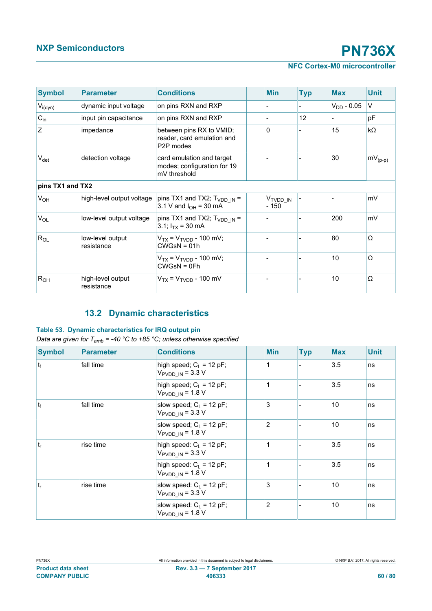# **NFC Cortex-M0 microcontroller**

| <b>Symbol</b>    | <b>Parameter</b>                | <b>Conditions</b>                                                                | <b>Min</b>                    | <b>Typ</b>      | <b>Max</b>      | <b>Unit</b>  |
|------------------|---------------------------------|----------------------------------------------------------------------------------|-------------------------------|-----------------|-----------------|--------------|
| $V_{i(dyn)}$     | dynamic input voltage           | on pins RXN and RXP                                                              |                               |                 | $V_{DD}$ - 0.05 | $\vee$       |
| $C_{in}$         | input pin capacitance           | on pins RXN and RXP                                                              |                               | 12 <sup>2</sup> |                 | pF           |
| Z                | impedance                       | between pins RX to VMID;<br>reader, card emulation and<br>P <sub>2</sub> P modes | 0                             |                 | 15              | $k\Omega$    |
| $V_{\text{det}}$ | detection voltage               | card emulation and target<br>modes; configuration for 19<br>mV threshold         |                               |                 | 30              | $mV_{(p-p)}$ |
| pins TX1 and TX2 |                                 |                                                                                  |                               |                 |                 |              |
| $V_{OH}$         | high-level output voltage       | pins TX1 and TX2; $T_{VDD IN}$ =<br>3.1 V and $I_{OH}$ = 30 mA                   | V <sub>TVDD_IN</sub><br>- 150 |                 |                 | mV           |
| $V_{OL}$         | low-level output voltage        | pins TX1 and TX2; $T_{VDD IN}$ =<br>3.1; $I_{TX}$ = 30 mA                        |                               |                 | 200             | mV           |
| $R_{OL}$         | low-level output<br>resistance  | $V_{TX}$ = $V_{TVDD}$ - 100 mV;<br>$CWGsN = 01h$                                 |                               |                 | 80              | Ω            |
|                  |                                 | $V_{TX} = V_{TVDD} - 100$ mV;<br>$CWGsN = 0Fh$                                   |                               |                 | 10              | Ω            |
| R <sub>OH</sub>  | high-level output<br>resistance | $V_{TX}$ = $V_{TVDD}$ - 100 mV                                                   |                               |                 | 10              | Ω            |

# **13.2 Dynamic characteristics**

### **Table 53. Dynamic characteristics for IRQ output pin**

*Data are given for Tamb = -40 °C to +85 °C; unless otherwise specified*

| <b>Symbol</b> | <b>Parameter</b> | <b>Conditions</b>                                                  | <b>Min</b> | <b>Typ</b> | <b>Max</b> | <b>Unit</b> |
|---------------|------------------|--------------------------------------------------------------------|------------|------------|------------|-------------|
| $ t_f $       | fall time        | high speed; $C_L$ = 12 pF;<br>$V_{\text{PVDD IN}} = 3.3 \text{ V}$ | 1          |            | 3.5        | ns          |
|               |                  | high speed; $C_L = 12$ pF;<br>$V_{\text{PVDD IN}}$ = 1.8 V         | 1          |            | 3.5        | ns          |
| $ t_{f} $     | fall time        | slow speed; $C_1 = 12$ pF;<br>$V_{\text{PVDD IN}} = 3.3 \text{ V}$ | 3          |            | 10         | ns          |
|               |                  | slow speed; $C_L$ = 12 pF;<br>$V_{\text{PVDD IN}}$ = 1.8 V         | 2          |            | 10         | ns          |
| $t_{r}$       | rise time        | high speed: $C_L$ = 12 pF;<br>$V_{\text{PVDD IN}} = 3.3 \text{ V}$ | 1          |            | 3.5        | ns          |
|               |                  | high speed: $C_L$ = 12 pF;<br>$V_{\text{PVDD IN}}$ = 1.8 V         | 1          |            | 3.5        | ns          |
| $ t_r $       | rise time        | slow speed: $C_1 = 12$ pF;<br>$V_{\text{PVDD}IN}$ = 3.3 V          | 3          |            | 10         | ns          |
|               |                  | slow speed: $C_L$ = 12 pF;<br>$V_{\text{PVDD IN}}$ = 1.8 V         | 2          |            | 10         | ns          |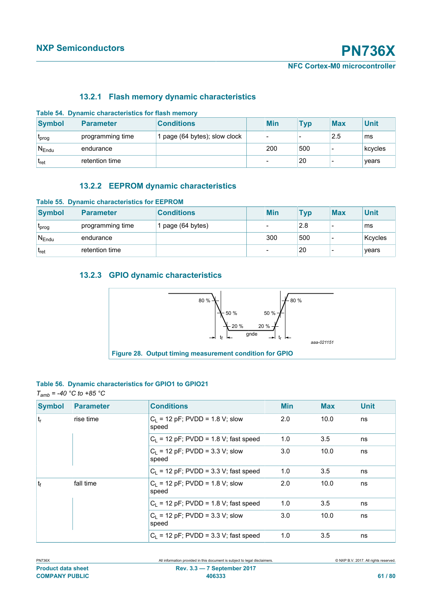## **13.2.1 Flash memory dynamic characteristics**

| Table 54. Dynamic characteristics for flash memory |                  |                             |  |            |            |            |             |  |
|----------------------------------------------------|------------------|-----------------------------|--|------------|------------|------------|-------------|--|
| <b>Symbol</b>                                      | Parameter        | <b>Conditions</b>           |  | <b>Min</b> | <b>Typ</b> | <b>Max</b> | <b>Unit</b> |  |
| L <sub>prog</sub>                                  | programming time | page (64 bytes); slow clock |  |            |            | 2.5        | ms          |  |
| $N_{Endu}$                                         | endurance        |                             |  | 200        | 500        |            | kcycles     |  |
| $t_{\rm ret}$                                      | retention time   |                             |  |            | 20         |            | vears       |  |

### **13.2.2 EEPROM dynamic characteristics**

| <b>Table 55. Dynamic characteristics for EEPROM</b> |                  |                   |  |            |            |            |             |  |
|-----------------------------------------------------|------------------|-------------------|--|------------|------------|------------|-------------|--|
| <b>Symbol</b>                                       | <b>Parameter</b> | <b>Conditions</b> |  | <b>Min</b> | <b>Typ</b> | <b>Max</b> | <b>Unit</b> |  |
| Lprog                                               | programming time | page (64 bytes)   |  |            | 2.8        |            | ms          |  |
| $N_{\text{End}u}$                                   | endurance        |                   |  | 300        | 500        |            | Kcycles     |  |
| ˈt <sub>ret</sub>                                   | retention time   |                   |  |            | 20         |            | vears       |  |

# **13.2.3 GPIO dynamic characteristics**



### **Table 56. Dynamic characteristics for GPIO1 to GPIO21** *Tamb = -40 °C to +85 °C*

| <b>Symbol</b>  | <b>Parameter</b> | <b>Conditions</b>                          | <b>Min</b> | <b>Max</b> | <b>Unit</b> |
|----------------|------------------|--------------------------------------------|------------|------------|-------------|
| $ t_r $        | rise time        | $C_1$ = 12 pF; PVDD = 1.8 V; slow<br>speed | 2.0        | 10.0       | ns          |
|                |                  | $C_1$ = 12 pF; PVDD = 1.8 V; fast speed    | 1.0        | 3.5        | ns          |
|                |                  | $C_1$ = 12 pF; PVDD = 3.3 V; slow<br>speed | 3.0        | 10.0       | ns          |
|                |                  | $C_1$ = 12 pF; PVDD = 3.3 V; fast speed    | 1.0        | 3.5        | ns          |
| t <sub>f</sub> | fall time        | $C_1$ = 12 pF; PVDD = 1.8 V; slow<br>speed | 2.0        | 10.0       | ns          |
|                |                  | $C_1$ = 12 pF; PVDD = 1.8 V; fast speed    | 1.0        | 3.5        | ns          |
|                |                  | $C_1$ = 12 pF; PVDD = 3.3 V; slow<br>speed | 3.0        | 10.0       | ns          |
|                |                  | $C_1$ = 12 pF; PVDD = 3.3 V; fast speed    | 1.0        | 3.5        | ns          |

| $1.1$ $1.117$             |  |
|---------------------------|--|
| <b>Product data sheet</b> |  |
| <b>COMPANY PUBLIC</b>     |  |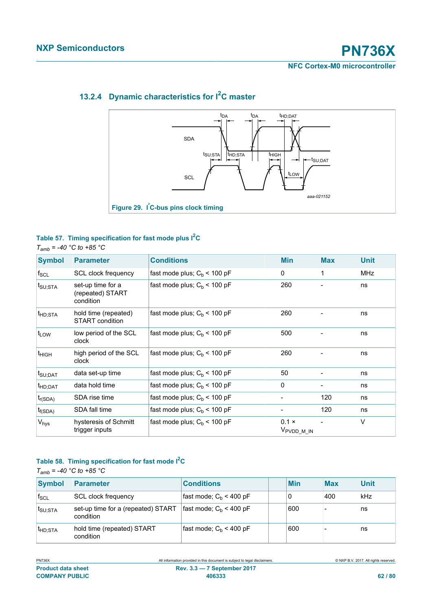# *aaa-021152* SDA **SCL** tHD;DAT  $t$ SU;STA  $t$ HD;STA  $t$ HIGH tSU;DAT t<sub>LOW</sub>  $t_{DA}$   $t_{DA}$ **Figure 29. I²C-bus pins clock timing**

# **13.2.4 Dynamic characteristics for I2C master**

# **Table 57. Timing specification for fast mode plus I2C**

*Tamb = -40 °C to +85 °C*

| <b>Symbol</b>               | <b>Parameter</b>                                   | <b>Conditions</b>              | <b>Min</b>                             | <b>Max</b> | <b>Unit</b> |
|-----------------------------|----------------------------------------------------|--------------------------------|----------------------------------------|------------|-------------|
| $f_{\rm SCL}$               | SCL clock frequency                                | fast mode plus; $C_h$ < 100 pF | $\mathbf{0}$                           | 1          | MHz         |
| $t_{\text{SU;STA}}$         | set-up time for a<br>(repeated) START<br>condition | fast mode plus; $C_h$ < 100 pF | 260                                    |            | ns          |
| t <sub>HD;STA</sub>         | hold time (repeated)<br><b>START</b> condition     | fast mode plus; $C_h$ < 100 pF | 260                                    |            | ns          |
| $\mathsf{t}_{\mathsf{LOW}}$ | low period of the SCL<br>clock                     | fast mode plus; $C_b$ < 100 pF | 500                                    |            | ns          |
| t <sub>HIGH</sub>           | high period of the SCL<br>clock                    | fast mode plus; $C_b$ < 100 pF | 260                                    |            | ns          |
| t <sub>SU;DAT</sub>         | data set-up time                                   | fast mode plus; $C_h$ < 100 pF | 50                                     |            | ns          |
| t <sub>HD;DAT</sub>         | data hold time                                     | fast mode plus; $C_h$ < 100 pF | 0                                      |            | ns          |
| $t_{r(SDA)}$                | SDA rise time                                      | fast mode plus; $C_b$ < 100 pF |                                        | 120        | ns          |
| $t_{f(SDA)}$                | SDA fall time                                      | fast mode plus; $C_b$ < 100 pF |                                        | 120        | ns          |
| V <sub>hys</sub>            | hysteresis of Schmitt<br>trigger inputs            | fast mode plus; $C_b$ < 100 pF | $0.1 \times$<br>V <sub>PVDD_M_IN</sub> |            | V           |

# **Table 58. Timing specification for fast mode I2C**

*Tamb = -40 °C to +85 °C*

| <b>Symbol</b>       | Parameter                                       | <b>Conditions</b>         | <b>Min</b> | <b>Max</b> | <b>Unit</b> |
|---------------------|-------------------------------------------------|---------------------------|------------|------------|-------------|
| $f_{\rm SCL}$       | <b>SCL clock frequency</b>                      | fast mode; $C_h$ < 400 pF |            | 400        | kHz         |
| ISU:STA             | set-up time for a (repeated) START<br>condition | fast mode; $C_h$ < 400 pF | 600        |            | ns          |
| t <sub>HD:STA</sub> | hold time (repeated) START<br>condition         | fast mode; $C_b$ < 400 pF | 600        |            | ns          |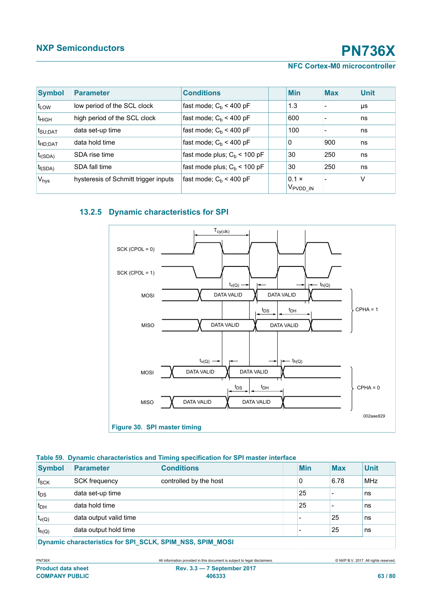### **NFC Cortex-M0 microcontroller**

| <b>Symbol</b>       | <b>Parameter</b>                     | <b>Conditions</b>              | <b>Min</b>                           | <b>Max</b> | <b>Unit</b> |
|---------------------|--------------------------------------|--------------------------------|--------------------------------------|------------|-------------|
| $t_{LOW}$           | low period of the SCL clock          | fast mode; $C_h$ < 400 pF      | 1.3                                  |            | μs          |
| t <sub>HIGH</sub>   | high period of the SCL clock         | fast mode; $C_b$ < 400 pF      | 600                                  |            | ns          |
| $t_{\text{SU;DAT}}$ | data set-up time                     | fast mode; $C_h$ < 400 pF      | 100                                  |            | l ns        |
| t <sub>HD;DAT</sub> | data hold time                       | fast mode; $C_h$ < 400 pF      | $\Omega$                             | 900        | ns          |
| $t_{r(SDA)}$        | SDA rise time                        | fast mode plus; $C_h$ < 100 pF | 30                                   | 250        | ns          |
| $t_{f(SDA)}$        | SDA fall time                        | fast mode plus; $C_h$ < 100 pF | 30                                   | 250        | l ns        |
| V <sub>hys</sub>    | hysteresis of Schmitt trigger inputs | fast mode; $C_b$ < 400 pF      | $0.1 \times$<br>V <sub>PVDD</sub> IN |            | V           |

# **13.2.5 Dynamic characteristics for SPI**



#### **Table 59. Dynamic characteristics and Timing specification for SPI master interface**

| <b>Symbol</b>                                             | Parameter              | <b>Conditions</b>      |  | <b>Min</b> | <b>Max</b>               | <b>Unit</b> |  |
|-----------------------------------------------------------|------------------------|------------------------|--|------------|--------------------------|-------------|--|
| $f_{SCK}$                                                 | <b>SCK frequency</b>   | controlled by the host |  | 0          | 6.78                     | <b>MHz</b>  |  |
| $t_{DS}$                                                  | data set-up time       |                        |  | 25         | $\overline{\phantom{a}}$ | ns          |  |
| $t_{DH}$                                                  | data hold time         |                        |  | 25         |                          | ns          |  |
| $t_{v(Q)}$                                                | data output valid time |                        |  |            | 25                       | ns          |  |
| $t_{h(Q)}$                                                | data output hold time  |                        |  |            | 25                       | ns          |  |
| Dynamic characteristics for SPI SCLK, SPIM NSS, SPIM MOSI |                        |                        |  |            |                          |             |  |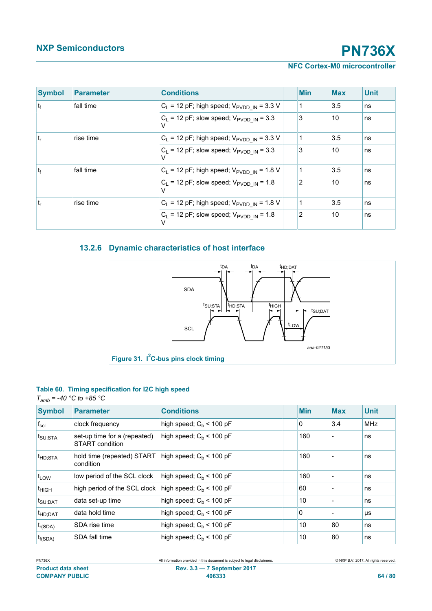### **NFC Cortex-M0 microcontroller**

| <b>Symbol</b>  | <b>Parameter</b> | <b>Conditions</b>                                                  | <b>Min</b> | <b>Max</b> | <b>Unit</b> |
|----------------|------------------|--------------------------------------------------------------------|------------|------------|-------------|
| t <sub>f</sub> | fall time        | $C_1$ = 12 pF; high speed; $V_{\text{PVDD}}$ <sub>IN</sub> = 3.3 V |            | 3.5        | ns          |
|                |                  | $C_L$ = 12 pF; slow speed; $V_{\text{PVDD IN}}$ = 3.3              | 3          | 10         | ns          |
| $t_{r}$        | rise time        | $C_L$ = 12 pF; high speed; $V_{\text{PVDD\_IN}}$ = 3.3 V           |            | 3.5        | ns          |
|                |                  | $C_L$ = 12 pF; slow speed; $V_{\text{PVDD IN}}$ = 3.3              | 3          | 10         | ns          |
| t <sub>f</sub> | fall time        | $C_L$ = 12 pF; high speed; $V_{\text{PVDD}IN}$ = 1.8 V             |            | 3.5        | ns          |
|                |                  | $C_L$ = 12 pF; slow speed; $V_{\text{PVDD IN}}$ = 1.8              | 2          | 10         | ns          |
| $t_{r}$        | rise time        | $C_L$ = 12 pF; high speed; $V_{\text{PVDD\_IN}}$ = 1.8 V           |            | 3.5        | ns          |
|                |                  | $C_L$ = 12 pF; slow speed; $V_{\text{PVDD IN}}$ = 1.8              | 2          | 10         | ns          |

# **13.2.6 Dynamic characteristics of host interface**



### **Table 60. Timing specification for I2C high speed**

#### *Tamb = -40 °C to +85 °C*

| <b>Symbol</b>       | <b>Parameter</b>                                | <b>Conditions</b>          | <b>Min</b> | <b>Max</b>               | <b>Unit</b> |
|---------------------|-------------------------------------------------|----------------------------|------------|--------------------------|-------------|
| $f_{\rm scl}$       | clock frequency                                 | high speed; $C_h$ < 100 pF | 0          | 3.4                      | <b>MHz</b>  |
| $t_{\text{SU;STA}}$ | set-up time for a (repeated)<br>START condition | high speed; $C_h$ < 100 pF | 160        | $\overline{\phantom{a}}$ | ns          |
| t <sub>HD;STA</sub> | hold time (repeated) START<br>condition         | high speed; $C_h$ < 100 pF | 160        |                          | ns          |
| $t_{LOW}$           | low period of the SCL clock                     | high speed; $C_h$ < 100 pF | 160        |                          | ns          |
| $t_{HIGH}$          | high period of the SCL clock                    | high speed; $C_h$ < 100 pF | 60         |                          | ns          |
| t <sub>SU;DAT</sub> | data set-up time                                | high speed; $C_h$ < 100 pF | 10         |                          | ns          |
| t <sub>HD;DAT</sub> | data hold time                                  | high speed; $C_b$ < 100 pF | 0          |                          | μs          |
| $t_{r(SDA)}$        | SDA rise time                                   | high speed; $C_h$ < 100 pF | 10         | 80                       | ns          |
| $t_{f(SDA)}$        | SDA fall time                                   | high speed; $C_h$ < 100 pF | 10         | 80                       | ns          |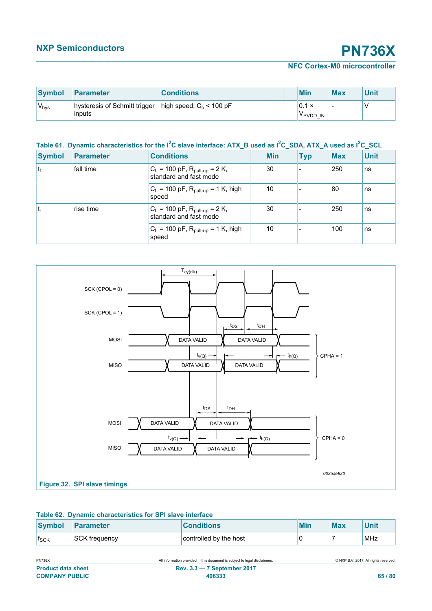### **NFC Cortex-M0 microcontroller**

| Symbol            | <b>Parameter</b>                        | <b>Conditions</b>          | <b>Min</b>                           | <b>Max</b> | Unit |
|-------------------|-----------------------------------------|----------------------------|--------------------------------------|------------|------|
| 'V <sub>hys</sub> | hysteresis of Schmitt trigger<br>inputs | high speed; $C_h$ < 100 pF | $0.1 \times$<br>V <sub>PVDD</sub> IN | -          |      |

# **Table 61. Dynamic characteristics for the I2C slave interface: ATX\_B used as I2C\_SDA, ATX\_A used as I2C\_SCL**

| <b>Symbol</b> | <b>Parameter</b> | <b>Conditions</b>                                              | Min | <b>Typ</b> | <b>Max</b> | <b>Unit</b> |
|---------------|------------------|----------------------------------------------------------------|-----|------------|------------|-------------|
| $ t_f $       | fall time        | $C_L$ = 100 pF, $R_{pull-up}$ = 2 K,<br>standard and fast mode | 30  |            | 250        | ns          |
|               |                  | $C_L$ = 100 pF, $R_{pull-up}$ = 1 K, high<br>speed             | 10  |            | 80         | ns          |
| ۱t،           | rise time        | $C_L = 100$ pF, $R_{pull-up} = 2$ K,<br>standard and fast mode | 30  |            | 250        | ns          |
|               |                  | $C_L$ = 100 pF, $R_{pull-up}$ = 1 K, high<br>speed             | 10  |            | 100        | ns          |



#### **Table 62. Dynamic characteristics for SPI slave interface**

| Symbol      | <b>Parameter</b>     | <b>Conditions</b>      | Min | <b>Max</b> | Unit |
|-------------|----------------------|------------------------|-----|------------|------|
| <b>ISCK</b> | <b>SCK frequency</b> | controlled by the host |     |            | MHz  |

| <b>PN736X</b>             | All information provided in this document is subject to legal disclaimers. | © NXP B.V. 2017. All rights reserved |
|---------------------------|----------------------------------------------------------------------------|--------------------------------------|
| <b>Product data sheet</b> | <b>Rev. 3.3 – 7 September 2017</b>                                         |                                      |
| <b>COMPANY PUBLIC</b>     | 406333                                                                     | 65/80                                |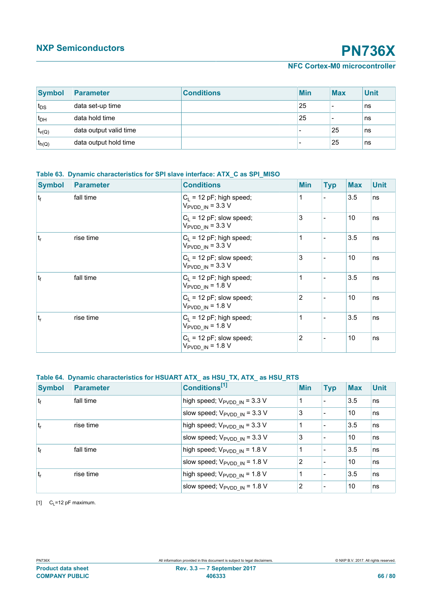# **NFC Cortex-M0 microcontroller**

<span id="page-65-0"></span>

| Symbol          | Parameter              | <b>Conditions</b> | <b>Min</b>               | <b>Max</b> | <b>Unit</b> |
|-----------------|------------------------|-------------------|--------------------------|------------|-------------|
| $t_{DS}$        | data set-up time       |                   | 25                       |            | ns          |
| t <sub>DH</sub> | data hold time         |                   | 25                       |            | ns          |
| $t_{v(Q)}$      | data output valid time |                   |                          | 25         | ns          |
| $t_{h(Q)}$      | data output hold time  |                   | $\overline{\phantom{0}}$ | 25         | ns          |

#### **Table 63. Dynamic characteristics for SPI slave interface: ATX\_C as SPI\_MISO**

| <b>Symbol</b> | <b>Parameter</b> | <b>Conditions</b>                                                  | <b>Min</b> | <b>Typ</b> | <b>Max</b> | <b>Unit</b> |
|---------------|------------------|--------------------------------------------------------------------|------------|------------|------------|-------------|
| $ t_f $       | fall time        | $C_1$ = 12 pF; high speed;<br>$V_{\text{PVDD IN}} = 3.3 \text{ V}$ | 1          |            | 3.5        | ns          |
|               |                  | $C_L$ = 12 pF; slow speed;<br>$V_{\text{PVDD IN}} = 3.3 \text{ V}$ | 3          |            | 10         | ns          |
| $t_{r}$       | rise time        | $C_1$ = 12 pF; high speed;<br>$V_{\text{PVDD IN}}$ = 3.3 V         | 1          |            | 3.5        | ns          |
|               |                  | $C_1$ = 12 pF; slow speed;<br>$V_{\text{PVDD IN}} = 3.3 \text{ V}$ | 3          |            | 10         | ns          |
| $ t_f $       | fall time        | $C_L$ = 12 pF; high speed;<br>$V_{\text{PVDD IN}}$ = 1.8 V         | 1          |            | 3.5        | ns          |
|               |                  | $C_1$ = 12 pF; slow speed;<br>$V_{\text{PVDD IN}}$ = 1.8 V         | 2          |            | 10         | ns          |
| $t_{r}$       | rise time        | $C_1$ = 12 pF; high speed;<br>$V_{\text{PVDD IN}}$ = 1.8 V         | 1          |            | 3.5        | ns          |
|               |                  | $C_1$ = 12 pF; slow speed;<br>$V_{\text{PVDD IN}}$ = 1.8 V         | 2          |            | 10         | ns          |

### **Table 64. Dynamic characteristics for HSUART ATX\_ as HSU\_TX, ATX\_ as HSU\_RTS**

| <b>Symbol</b>  | <b>Parameter</b> | Conditions <sup>[1]</sup>                                  | <b>Min</b>     | <b>Typ</b> | <b>Max</b> | <b>Unit</b> |
|----------------|------------------|------------------------------------------------------------|----------------|------------|------------|-------------|
| $ t_f $        | fall time        | high speed; $V_{\text{PVDD IN}} = 3.3 \text{ V}$           |                |            | 3.5        | ns          |
|                |                  | slow speed; $V_{\text{PVDD IN}} = 3.3 \text{ V}$           | 3              |            | 10         | ns          |
| $ t_r $        | rise time        | high speed; $V_{\text{PVDD IN}} = 3.3 \text{ V}$           |                |            | 3.5        | ns          |
|                |                  | slow speed; $V_{\text{PVDD IN}} = 3.3 \text{ V}$           | 3              |            | 10         | ns          |
| t <sub>f</sub> | fall time        | high speed; $V_{\text{PVDD IN}} = 1.8 \text{ V}$           |                |            | 3.5        | ns          |
|                |                  | slow speed; $V_{\text{PVDD} \_ \text{IN}} = 1.8 \text{ V}$ | $\overline{2}$ |            | 10         | ns          |
| $ t_r$         | rise time        | high speed; $V_{\text{PVDD IN}} = 1.8 \text{ V}$           |                |            | 3.5        | ns          |
|                |                  | slow speed; $V_{\text{PVDD IN}} = 1.8 \text{ V}$           | 2              |            | 10         | ns          |

[1]  $C_L = 12$  pF maximum.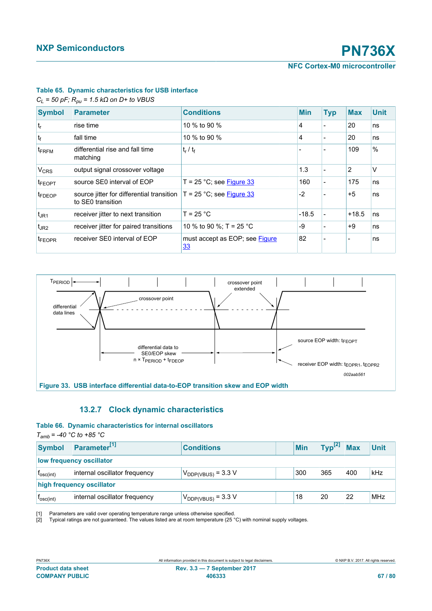#### <span id="page-66-1"></span>**Table 65. Dynamic characteristics for USB interface**

<span id="page-66-2"></span>*CL = 50 pF; Rpu = 1.5 kΩ on D+ to VBUS*

| <b>Symbol</b>          | <b>Parameter</b>                                               | <b>Conditions</b>                    | <b>Min</b> | <b>Typ</b> | <b>Max</b> | <b>Unit</b>   |
|------------------------|----------------------------------------------------------------|--------------------------------------|------------|------------|------------|---------------|
| $ t_r $                | rise time                                                      | 10 % to 90 %                         | 4          |            | 20         | ns            |
| $ t_f $                | fall time                                                      | 10 % to 90 %                         | 4          |            | 20         | ns            |
| $ t_{\sf FRFM} $       | differential rise and fall time<br>matching                    | $t_r / t_f$                          |            |            | 109        | $\frac{0}{0}$ |
| <b>V<sub>CRS</sub></b> | output signal crossover voltage                                |                                      | 1.3        |            | 2          | V             |
| <b>IFEOPT</b>          | source SE0 interval of EOP                                     | T = 25 °C; see Figure 33             | 160        |            | 175        | ns            |
| <b>IFDEOP</b>          | source jitter for differential transition<br>to SE0 transition | $T = 25$ °C; see Figure 33           | $-2$       |            | $+5$       | ns            |
| $t_{JR1}$              | receiver jitter to next transition                             | $T = 25 °C$                          | $-18.5$    |            | $+18.5$    | ns            |
| $t_{JR2}$              | receiver jitter for paired transitions                         | 10 % to 90 %; T = 25 °C              | -9         |            | +9         | ns            |
| <b>IFEOPR</b>          | receiver SE0 interval of EOP                                   | must accept as EOP; see Figure<br>33 | 82         |            |            | ns            |



#### <span id="page-66-0"></span>**13.2.7 Clock dynamic characteristics**

#### **Table 66. Dynamic characteristics for internal oscillators**

*Tamb = -40 °C to +85 °C*

| <b>Symbol</b>             | Parameter <sup>[1]</sup>      | <b>Conditions</b>       |  | Min | Type <sup>[2]</sup> | <b>Max</b> | <b>Unit</b> |
|---------------------------|-------------------------------|-------------------------|--|-----|---------------------|------------|-------------|
| low frequency oscillator  |                               |                         |  |     |                     |            |             |
| I <sub>osc(int)</sub>     | internal oscillator frequency | $V_{DDP(VBUS)} = 3.3 V$ |  | 300 | 365                 | 400        | kHz         |
| high frequency oscillator |                               |                         |  |     |                     |            |             |
| T <sub>osc(int)</sub>     | internal oscillator frequency | $V_{DDP(VBUS)} = 3.3 V$ |  | 18  | 20                  | 22         | MHz         |

[1] Parameters are valid over operating temperature range unless otherwise specified.<br>[2] Typical ratings are not guaranteed. The values listed are at room temperature (25 °

Typical ratings are not guaranteed. The values listed are at room temperature (25  $^{\circ}$ C) with nominal supply voltages.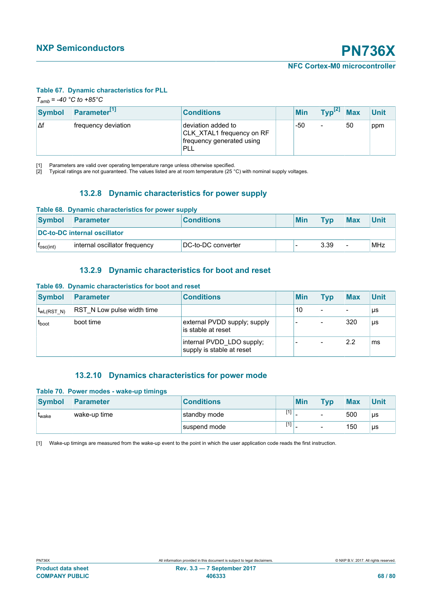#### <span id="page-67-0"></span>**Table 67. Dynamic characteristics for PLL**

<span id="page-67-1"></span>*Tamb = -40 °C to +85°C*

| <b>Symbol</b> | Parameter <sup>[1]</sup> | <b>Conditions</b>                                                                   | <b>Min</b> | $\mathbf{Typ}^{[2]}$ Max |    | <b>Unit</b> |
|---------------|--------------------------|-------------------------------------------------------------------------------------|------------|--------------------------|----|-------------|
| ιΔf           | Ifrequency deviation     | deviation added to<br>CLK XTAL1 frequency on RF<br>frequency generated using<br>PLL | -50        | -                        | 50 | ppm         |

[1] Parameters are valid over operating temperature range unless otherwise specified.

[2] Typical ratings are not guaranteed. The values listed are at room temperature (25 °C) with nominal supply voltages.

### **13.2.8 Dynamic characteristics for power supply**

| Table 68. Dynamic characteristics for power supply                                        |                               |                    |  |  |      |  |     |
|-------------------------------------------------------------------------------------------|-------------------------------|--------------------|--|--|------|--|-----|
| <b>Min</b><br><b>Symbol</b><br><b>Max</b><br><b>Conditions</b><br>Parameter<br><b>Tvp</b> |                               | <b>Unit</b>        |  |  |      |  |     |
|                                                                                           | DC-to-DC internal oscillator  |                    |  |  |      |  |     |
| T <sub>osc(int)</sub>                                                                     | internal oscillator frequency | DC-to-DC converter |  |  | 3.39 |  | MHz |

# **13.2.9 Dynamic characteristics for boot and reset**

#### **Table 69. Dynamic characteristics for boot and reset**

| <b>Symbol</b>   | <b>Parameter</b>           | <b>Conditions</b>                                      | <b>Min</b> | <b>Typ</b> | <b>Max</b> | <b>Unit</b> |
|-----------------|----------------------------|--------------------------------------------------------|------------|------------|------------|-------------|
| $t_{wL(RST_N)}$ | RST N Low pulse width time |                                                        | 10         | -          |            | μs          |
| $t_{boot}$      | boot time                  | external PVDD supply; supply<br>is stable at reset     |            | -          | 320        | μs          |
|                 |                            | internal PVDD_LDO supply;<br>supply is stable at reset |            |            | 2.2        | ms          |

#### **13.2.10 Dynamics characteristics for power mode**

#### **Table 70. Power modes - wake-up timings**

| <b>Symbol</b> | Parameter    | <b>Conditions</b> |     | Min | <b>Typ</b>               | <b>Max</b> | <b>Unit</b> |
|---------------|--------------|-------------------|-----|-----|--------------------------|------------|-------------|
| <b>L</b> wake | wake-up time | standby mode      | [1] |     | -                        | 500        | <b>US</b>   |
|               |              | suspend mode      | [1] |     | $\overline{\phantom{0}}$ | 150        | μs          |

[1] Wake-up timings are measured from the wake-up event to the point in which the user application code reads the first instruction.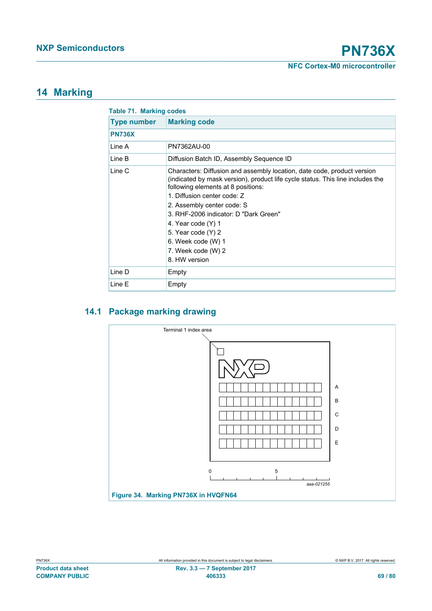# **14 Marking**

|                    | <b>Table 71. Marking codes</b>                                                                                                                                                                                                                                                                                                                                                                                 |  |  |  |  |  |
|--------------------|----------------------------------------------------------------------------------------------------------------------------------------------------------------------------------------------------------------------------------------------------------------------------------------------------------------------------------------------------------------------------------------------------------------|--|--|--|--|--|
| <b>Type number</b> | <b>Marking code</b>                                                                                                                                                                                                                                                                                                                                                                                            |  |  |  |  |  |
| <b>PN736X</b>      |                                                                                                                                                                                                                                                                                                                                                                                                                |  |  |  |  |  |
| I ine A            | PN7362AU-00                                                                                                                                                                                                                                                                                                                                                                                                    |  |  |  |  |  |
| Line B             | Diffusion Batch ID, Assembly Sequence ID                                                                                                                                                                                                                                                                                                                                                                       |  |  |  |  |  |
| Line C             | Characters: Diffusion and assembly location, date code, product version<br>(indicated by mask version), product life cycle status. This line includes the<br>following elements at 8 positions:<br>1. Diffusion center code: Z<br>2. Assembly center code: S<br>3. RHF-2006 indicator: D "Dark Green"<br>4. Year code (Y) 1<br>5. Year code (Y) 2<br>6. Week code (W) 1<br>7. Week code (W) 2<br>8. HW version |  |  |  |  |  |
| Line D             | Empty                                                                                                                                                                                                                                                                                                                                                                                                          |  |  |  |  |  |
| Line E             | Empty                                                                                                                                                                                                                                                                                                                                                                                                          |  |  |  |  |  |

# **14.1 Package marking drawing**

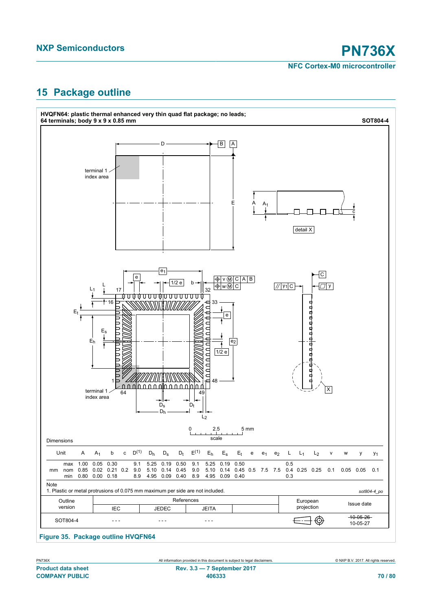# **15 Package outline**



**Figure 35. Package outline HVQFN64**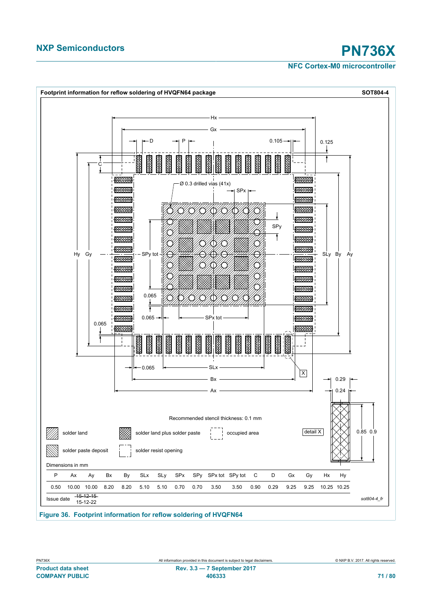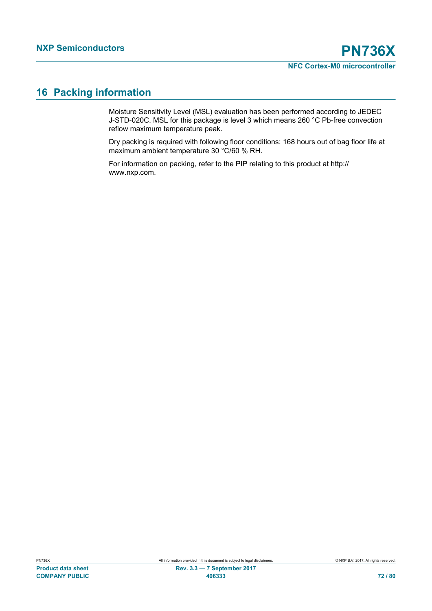# **16 Packing information**

Moisture Sensitivity Level (MSL) evaluation has been performed according to JEDEC J-STD-020C. MSL for this package is level 3 which means 260 °C Pb-free convection reflow maximum temperature peak.

Dry packing is required with following floor conditions: 168 hours out of bag floor life at maximum ambient temperature 30 °C/60 % RH.

For information on packing, refer to the PIP relating to this product at http:// www.nxp.com.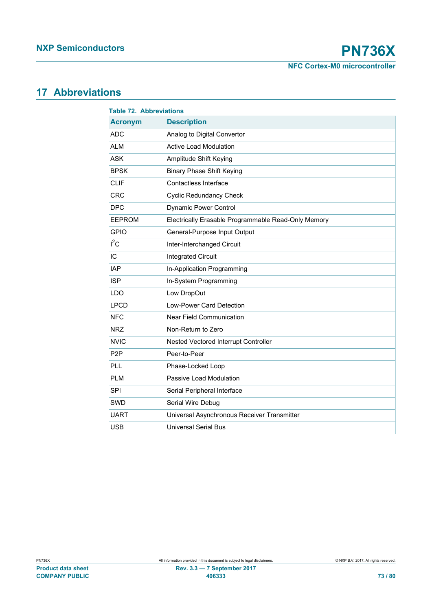**NFC Cortex-M0 microcontroller**

# <span id="page-72-1"></span>**17 Abbreviations**

<span id="page-72-0"></span>

| <b>Table 72. Abbreviations</b> |                                                     |  |  |
|--------------------------------|-----------------------------------------------------|--|--|
| <b>Acronym</b>                 | <b>Description</b>                                  |  |  |
| <b>ADC</b>                     | Analog to Digital Convertor                         |  |  |
| <b>ALM</b>                     | <b>Active Load Modulation</b>                       |  |  |
| <b>ASK</b>                     | Amplitude Shift Keying                              |  |  |
| <b>BPSK</b>                    | <b>Binary Phase Shift Keying</b>                    |  |  |
| <b>CLIF</b>                    | Contactless Interface                               |  |  |
| <b>CRC</b>                     | <b>Cyclic Redundancy Check</b>                      |  |  |
| <b>DPC</b>                     | <b>Dynamic Power Control</b>                        |  |  |
| <b>EEPROM</b>                  | Electrically Erasable Programmable Read-Only Memory |  |  |
| <b>GPIO</b>                    | General-Purpose Input Output                        |  |  |
| $I^2C$                         | Inter-Interchanged Circuit                          |  |  |
| IC                             | <b>Integrated Circuit</b>                           |  |  |
| <b>IAP</b>                     | In-Application Programming                          |  |  |
| <b>ISP</b>                     | In-System Programming                               |  |  |
| <b>LDO</b>                     | Low DropOut                                         |  |  |
| <b>LPCD</b>                    | Low-Power Card Detection                            |  |  |
| <b>NFC</b>                     | <b>Near Field Communication</b>                     |  |  |
| <b>NRZ</b>                     | Non-Return to Zero                                  |  |  |
| <b>NVIC</b>                    | Nested Vectored Interrupt Controller                |  |  |
| P <sub>2</sub> P               | Peer-to-Peer                                        |  |  |
| PLL                            | Phase-Locked Loop                                   |  |  |
| <b>PLM</b>                     | Passive Load Modulation                             |  |  |
| <b>SPI</b>                     | Serial Peripheral Interface                         |  |  |
| SWD                            | Serial Wire Debug                                   |  |  |
| <b>UART</b>                    | Universal Asynchronous Receiver Transmitter         |  |  |
| <b>USB</b>                     | <b>Universal Serial Bus</b>                         |  |  |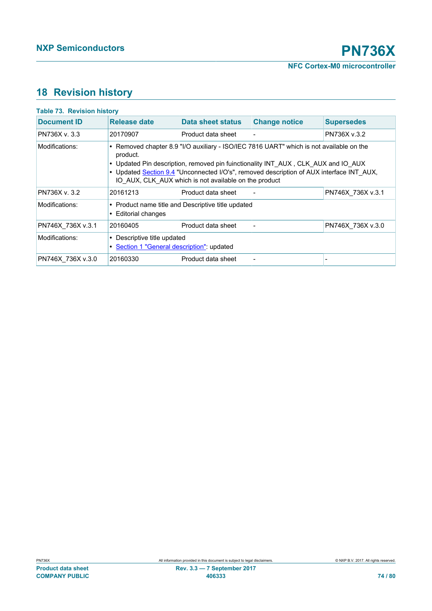# <span id="page-73-1"></span>**18 Revision history**

<span id="page-73-0"></span>

| <b>Table 73. Revision history</b> |                                                                                                                                                                                                                                                                                                                                               |                                                    |                      |                   |
|-----------------------------------|-----------------------------------------------------------------------------------------------------------------------------------------------------------------------------------------------------------------------------------------------------------------------------------------------------------------------------------------------|----------------------------------------------------|----------------------|-------------------|
| <b>Document ID</b>                | Release date                                                                                                                                                                                                                                                                                                                                  | Data sheet status                                  | <b>Change notice</b> | <b>Supersedes</b> |
| PN736X v. 3.3                     | 20170907                                                                                                                                                                                                                                                                                                                                      | Product data sheet                                 |                      | PN736X v.3.2      |
| Modifications:                    | • Removed chapter 8.9 "I/O auxiliary - ISO/IEC 7816 UART" which is not available on the<br>product.<br>• Updated Pin description, removed pin fuinctionality INT AUX, CLK AUX and IO AUX<br>• Updated Section 9.4 "Unconnected I/O's", removed description of AUX interface INT AUX,<br>IO AUX, CLK AUX which is not available on the product |                                                    |                      |                   |
| PN736X v. 3.2                     | 20161213                                                                                                                                                                                                                                                                                                                                      | Product data sheet                                 |                      | PN746X 736X v.3.1 |
| Modifications:                    | <b>Editorial changes</b><br>$\bullet$                                                                                                                                                                                                                                                                                                         | • Product name title and Descriptive title updated |                      |                   |
| PN746X 736X v.3.1                 | 20160405                                                                                                                                                                                                                                                                                                                                      | Product data sheet                                 |                      | PN746X 736X v.3.0 |
| Modifications:                    | Descriptive title updated<br>$\bullet$<br>• Section 1 "General description": updated                                                                                                                                                                                                                                                          |                                                    |                      |                   |
| PN746X 736X v.3.0                 | 20160330                                                                                                                                                                                                                                                                                                                                      | Product data sheet                                 |                      |                   |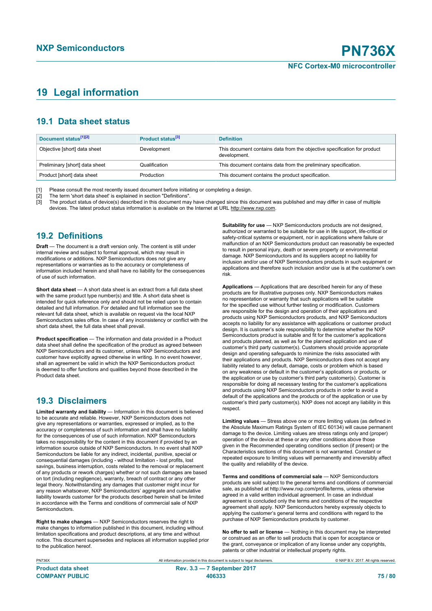# <span id="page-74-0"></span>**19 Legal information**

### **19.1 Data sheet status**

| Document status <sup>[1][2]</sup> | Product status <sup>[3]</sup> | <b>Definition</b>                                                                        |
|-----------------------------------|-------------------------------|------------------------------------------------------------------------------------------|
| Objective [short] data sheet      | Development                   | This document contains data from the objective specification for product<br>development. |
| Preliminary [short] data sheet    | Qualification                 | This document contains data from the preliminary specification.                          |
| Product [short] data sheet        | Production                    | This document contains the product specification.                                        |

[1] Please consult the most recently issued document before initiating or completing a design.

[2] The term 'short data sheet' is explained in section "Definitions".<br>[3] The product status of device(s) described in this document may [3] The product status of device(s) described in this document may have changed since this document was published and may differ in case of multiple devices. The latest product status information is available on the Internet at URL http://www.nxp.com.

### **19.2 Definitions**

**Draft** — The document is a draft version only. The content is still under internal review and subject to formal approval, which may result in modifications or additions. NXP Semiconductors does not give any representations or warranties as to the accuracy or completeness of information included herein and shall have no liability for the consequences of use of such information.

**Short data sheet** — A short data sheet is an extract from a full data sheet with the same product type number(s) and title. A short data sheet is intended for quick reference only and should not be relied upon to contain detailed and full information. For detailed and full information see the relevant full data sheet, which is available on request via the local NXP Semiconductors sales office. In case of any inconsistency or conflict with the short data sheet, the full data sheet shall prevail.

**Product specification** — The information and data provided in a Product data sheet shall define the specification of the product as agreed between NXP Semiconductors and its customer, unless NXP Semiconductors and customer have explicitly agreed otherwise in writing. In no event however, shall an agreement be valid in which the NXP Semiconductors product is deemed to offer functions and qualities beyond those described in the Product data sheet.

### **19.3 Disclaimers**

**Limited warranty and liability** — Information in this document is believed to be accurate and reliable. However, NXP Semiconductors does not give any representations or warranties, expressed or implied, as to the accuracy or completeness of such information and shall have no liability for the consequences of use of such information. NXP Semiconductors takes no responsibility for the content in this document if provided by an information source outside of NXP Semiconductors. In no event shall NXP Semiconductors be liable for any indirect, incidental, punitive, special or consequential damages (including - without limitation - lost profits, lost savings, business interruption, costs related to the removal or replacement of any products or rework charges) whether or not such damages are based on tort (including negligence), warranty, breach of contract or any other legal theory. Notwithstanding any damages that customer might incur for any reason whatsoever, NXP Semiconductors' aggregate and cumulative liability towards customer for the products described herein shall be limited in accordance with the Terms and conditions of commercial sale of NXP **Semiconductors** 

**Right to make changes** — NXP Semiconductors reserves the right to make changes to information published in this document, including without limitation specifications and product descriptions, at any time and without notice. This document supersedes and replaces all information supplied prior to the publication hereof.

**Suitability for use** - NXP Semiconductors products are not designed, authorized or warranted to be suitable for use in life support, life-critical or safety-critical systems or equipment, nor in applications where failure or malfunction of an NXP Semiconductors product can reasonably be expected to result in personal injury, death or severe property or environmental damage. NXP Semiconductors and its suppliers accept no liability for inclusion and/or use of NXP Semiconductors products in such equipment or applications and therefore such inclusion and/or use is at the customer's own risk.

**Applications** — Applications that are described herein for any of these products are for illustrative purposes only. NXP Semiconductors makes no representation or warranty that such applications will be suitable for the specified use without further testing or modification. Customers are responsible for the design and operation of their applications and products using NXP Semiconductors products, and NXP Semiconductors accepts no liability for any assistance with applications or customer product design. It is customer's sole responsibility to determine whether the NXP Semiconductors product is suitable and fit for the customer's applications and products planned, as well as for the planned application and use of customer's third party customer(s). Customers should provide appropriate design and operating safeguards to minimize the risks associated with their applications and products. NXP Semiconductors does not accept any liability related to any default, damage, costs or problem which is based on any weakness or default in the customer's applications or products, or the application or use by customer's third party customer(s). Customer is responsible for doing all necessary testing for the customer's applications and products using NXP Semiconductors products in order to avoid a default of the applications and the products or of the application or use by customer's third party customer(s). NXP does not accept any liability in this respect.

**Limiting values** — Stress above one or more limiting values (as defined in the Absolute Maximum Ratings System of IEC 60134) will cause permanent damage to the device. Limiting values are stress ratings only and (proper) operation of the device at these or any other conditions above those given in the Recommended operating conditions section (if present) or the Characteristics sections of this document is not warranted. Constant or repeated exposure to limiting values will permanently and irreversibly affect the quality and reliability of the device.

**Terms and conditions of commercial sale** — NXP Semiconductors products are sold subject to the general terms and conditions of commercial sale, as published at http://www.nxp.com/profile/terms, unless otherwise agreed in a valid written individual agreement. In case an individual agreement is concluded only the terms and conditions of the respective agreement shall apply. NXP Semiconductors hereby expressly objects to applying the customer's general terms and conditions with regard to the purchase of NXP Semiconductors products by customer.

**No offer to sell or license** — Nothing in this document may be interpreted or construed as an offer to sell products that is open for acceptance or the grant, conveyance or implication of any license under any copyrights, patents or other industrial or intellectual property rights.

PN736X All information provided in this document is subject to legal disclaimers. © NXP B.V. 2017. All rights reserved. **Product data sheet Rev. 3.3 — 7 September 2017 COMPANY PUBLIC 406333 75 / 80**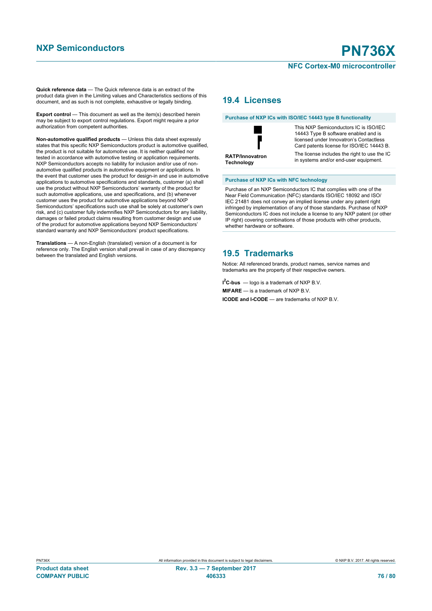# **NFC Cortex-M0 microcontroller**

**Quick reference data** — The Quick reference data is an extract of the product data given in the Limiting values and Characteristics sections of this document, and as such is not complete, exhaustive or legally binding.

**Export control** — This document as well as the item(s) described herein may be subject to export control regulations. Export might require a prior authorization from competent authorities.

**Non-automotive qualified products** — Unless this data sheet expressly states that this specific NXP Semiconductors product is automotive qualified, the product is not suitable for automotive use. It is neither qualified nor tested in accordance with automotive testing or application requirements. NXP Semiconductors accepts no liability for inclusion and/or use of nonautomotive qualified products in automotive equipment or applications. In the event that customer uses the product for design-in and use in automotive applications to automotive specifications and standards, customer (a) shall use the product without NXP Semiconductors' warranty of the product for such automotive applications, use and specifications, and (b) whenever customer uses the product for automotive applications beyond NXP Semiconductors' specifications such use shall be solely at customer's own risk, and (c) customer fully indemnifies NXP Semiconductors for any liability, damages or failed product claims resulting from customer design and use of the product for automotive applications beyond NXP Semiconductors' standard warranty and NXP Semiconductors' product specifications.

**Translations** — A non-English (translated) version of a document is for reference only. The English version shall prevail in case of any discrepancy between the translated and English versions.

### **19.4 Licenses**

#### **Purchase of NXP ICs with ISO/IEC 14443 type B functionality**



This NXP Semiconductors IC is ISO/IEC 14443 Type B software enabled and is licensed under Innovatron's Contactless Card patents license for ISO/IEC 14443 B. The license includes the right to use the IC in systems and/or end-user equipment.

#### **Purchase of NXP ICs with NFC technology**

Purchase of an NXP Semiconductors IC that complies with one of the Near Field Communication (NFC) standards ISO/IEC 18092 and ISO/ IEC 21481 does not convey an implied license under any patent right infringed by implementation of any of those standards. Purchase of NXP Semiconductors IC does not include a license to any NXP patent (or other IP right) covering combinations of those products with other products, whether hardware or software.

### **19.5 Trademarks**

Notice: All referenced brands, product names, service names and trademarks are the property of their respective owners.

**I <sup>2</sup>C-bus** — logo is a trademark of NXP B.V.

**MIFARE** — is a trademark of NXP B.V.

**ICODE and I-CODE** — are trademarks of NXP B.V.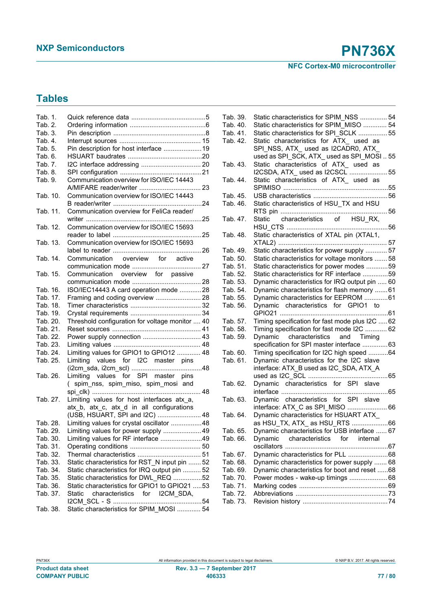**NFC Cortex-M0 microcontroller**

# **Tables**

| Tab. 1.  |                                                 |
|----------|-------------------------------------------------|
| Tab. 2.  |                                                 |
| Tab. 3.  |                                                 |
| Tab. 4.  |                                                 |
| Tab. 5.  | Pin description for host interface  19          |
| Tab. 6.  |                                                 |
| Tab. 7.  |                                                 |
| Tab. 8.  |                                                 |
| Tab. 9.  | Communication overview for ISO/IEC 14443        |
| Tab. 10. | Communication overview for ISO/IEC 14443        |
|          |                                                 |
| Tab. 11. | Communication overview for FeliCa reader/       |
|          |                                                 |
|          | Communication overview for ISO/IEC 15693        |
| Tab. 12. |                                                 |
|          |                                                 |
| Tab. 13. | Communication overview for ISO/IEC 15693        |
|          |                                                 |
| Tab. 14. | Communication overview for active               |
|          |                                                 |
| Tab. 15. | Communication overview for passive              |
|          |                                                 |
| Tab. 16. | ISO/IEC14443 A card operation mode 28           |
| Tab. 17. | Framing and coding overview  28                 |
| Tab. 18. |                                                 |
| Tab. 19. |                                                 |
| Tab. 20. | Threshold configuration for voltage monitor  40 |
| Tab. 21. |                                                 |
| Tab. 22. | Power supply connection  43                     |
| Tab. 23. |                                                 |
| Tab. 24. | Limiting values for GPIO1 to GPIO12  48         |
| Tab. 25. | Limiting values for I2C master pins             |
|          |                                                 |
| Tab. 26. | Limiting values for SPI master pins             |
|          | spim_nss, spim_miso, spim_mosi and<br>$\left($  |
|          |                                                 |
| Tab. 27. | Limiting values for host interfaces atx_a,      |
|          | atx b, atx c, atx d in all configurations       |
|          | (USB, HSUART, SPI and I2C)  48                  |
| Tab. 28. | Limiting values for crystal oscillator 48       |
| Tab. 29. | Limiting values for power supply  49            |
| Tab. 30. | Limiting values for RF interface 49             |
| Tab. 31. |                                                 |
| Tab. 32. |                                                 |
| Tab. 33. | Static characteristics for RST N input pin  52  |
| Tab. 34. | Static characteristics for IRQ output pin  52   |
| Tab. 35. | Static characteristics for DWL_REQ 52           |
| Tab. 36. | Static characteristics for GPIO1 to GPIO21 53   |
|          |                                                 |
| Tab. 37. | characteristics for I2CM SDA,<br>Static         |
|          |                                                 |
| Tab. 38. | Static characteristics for SPIM MOSI  54        |

| Tab. 39. | Static characteristics for SPIM_NSS  54         |  |
|----------|-------------------------------------------------|--|
| Tab. 40. | Static characteristics for SPIM MISO  54        |  |
| Tab. 41. | Static characteristics for SPI SCLK  55         |  |
| Tab. 42. | Static characteristics for ATX_ used as         |  |
|          | SPI_NSS, ATX_ used as I2CADR0, ATX              |  |
|          | used as SPI_SCK, ATX_used as SPI_MOSI  55       |  |
| Tab. 43. | Static characteristics of ATX_ used as          |  |
|          | I2CSDA, ATX used as I2CSCL  55                  |  |
| Tab. 44. | Static characteristics of ATX_ used as          |  |
|          |                                                 |  |
| Tab. 45. |                                                 |  |
| Tab. 46. | Static characteristics of HSU_TX and HSU        |  |
|          |                                                 |  |
| Tab. 47. | Static characteristics of HSU_RX,               |  |
|          |                                                 |  |
| Tab. 48. | Static characteristics of XTAL pin (XTAL1,      |  |
|          |                                                 |  |
| Tab. 49. | Static characteristics for power supply  57     |  |
| Tab. 50. | Static characteristics for voltage monitors  58 |  |
| Tab. 51. | Static characteristics for power modes 59       |  |
| Tab. 52. | Static characteristics for RF interface 59      |  |
| Tab. 53. | Dynamic characteristics for IRQ output pin  60  |  |
| Tab. 54. |                                                 |  |
|          | Dynamic characteristics for flash memory  61    |  |
| Tab. 55. | Dynamic characteristics for EEPROM 61           |  |
| Tab. 56. | Dynamic characteristics for GPIO1 to            |  |
|          |                                                 |  |
| Tab. 57. | Timing specification for fast mode plus I2C  62 |  |
| Tab. 58. | Timing specification for fast mode I2C  62      |  |
| Tab. 59. | Dynamic characteristics and Timing              |  |
|          | specification for SPI master interface  63      |  |
| Tab. 60. | Timing specification for I2C high speed 64      |  |
| Tab. 61. | Dynamic characteristics for the I2C slave       |  |
|          | interface: ATX_B used as I2C_SDA, ATX_A         |  |
|          |                                                 |  |
| Tab. 62. | Dynamic characteristics for SPI slave           |  |
|          |                                                 |  |
| Tab. 63. | Dynamic characteristics for SPI slave           |  |
|          | interface: ATX_C as SPI_MISO  66                |  |
| Tab. 64. | Dynamic characteristics for HSUART ATX_         |  |
|          |                                                 |  |
| Tab. 65. | Dynamic characteristics for USB interface  67   |  |
| Tab. 66. | characteristics<br>for<br>internal<br>Dynamic   |  |
|          | oscillators                                     |  |
| Tab. 67. | Dynamic characteristics for PLL 68              |  |
| Tab. 68. | Dynamic characteristics for power supply  68    |  |
| Tab. 69. | Dynamic characteristics for boot and reset 68   |  |
| Tab. 70. | Power modes - wake-up timings  68               |  |
| Tab. 71. |                                                 |  |
| Tab. 72. |                                                 |  |
| Tab. 73. |                                                 |  |
|          |                                                 |  |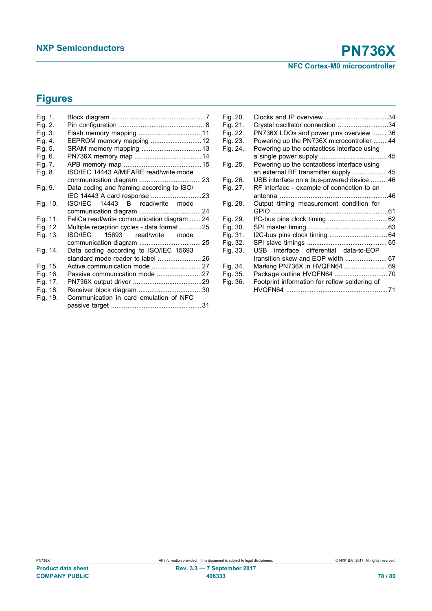# **Figures**

| Fig. 1.  |                                             |  |
|----------|---------------------------------------------|--|
| Fig. 2.  |                                             |  |
| Fig. 3.  |                                             |  |
| Fig. 4.  | EEPROM memory mapping  12                   |  |
| Fig. 5.  | SRAM memory mapping  13                     |  |
| Fig. 6.  |                                             |  |
| Fig. 7.  |                                             |  |
| Fig. 8.  | ISO/IEC 14443 A/MIFARE read/write mode      |  |
|          |                                             |  |
| Fig. 9.  | Data coding and framing according to ISO/   |  |
|          |                                             |  |
| Fig. 10. | ISO/IEC 14443 B read/write mode             |  |
|          |                                             |  |
| Fig. 11. | FeliCa read/write communication diagram  24 |  |
| Fig. 12. | Multiple reception cycles - data format 25  |  |
| Fig. 13. | ISO/IEC<br>15693 read/write<br>mode         |  |
|          |                                             |  |
| Fig. 14. | Data coding according to ISO/IEC 15693      |  |
|          |                                             |  |
| Fig. 15. |                                             |  |
| Fig. 16. |                                             |  |
| Fig. 17. |                                             |  |
| Fig. 18. |                                             |  |
| Fig. 19. | Communication in card emulation of NFC      |  |
|          |                                             |  |

| Fig. 20. |                                               |  |
|----------|-----------------------------------------------|--|
| Fig. 21. | Crystal oscillator connection 34              |  |
| Fig. 22. | PN736X LDOs and power pins overview  36       |  |
| Fig. 23. | Powering up the PN736X microcontroller 44     |  |
| Fig. 24. | Powering up the contactless interface using   |  |
|          |                                               |  |
| Fig. 25. | Powering up the contactless interface using   |  |
|          | an external RF transmitter supply  45         |  |
| Fig. 26. | USB interface on a bus-powered device  46     |  |
| Fig. 27. | RF interface - example of connection to an    |  |
|          |                                               |  |
| Fig. 28. | Output timing measurement condition for       |  |
|          |                                               |  |
| Fig. 29. |                                               |  |
| Fig. 30. |                                               |  |
|          |                                               |  |
| Fig. 31. |                                               |  |
| Fig. 32. |                                               |  |
| Fig. 33. | USB interface differential data-to-EOP        |  |
|          | transition skew and EOP width  67             |  |
| Fig. 34. | Marking PN736X in HVQFN64 69                  |  |
| Fig. 35. | Package outline HVQFN64  70                   |  |
| Fig. 36. | Footprint information for reflow soldering of |  |
|          |                                               |  |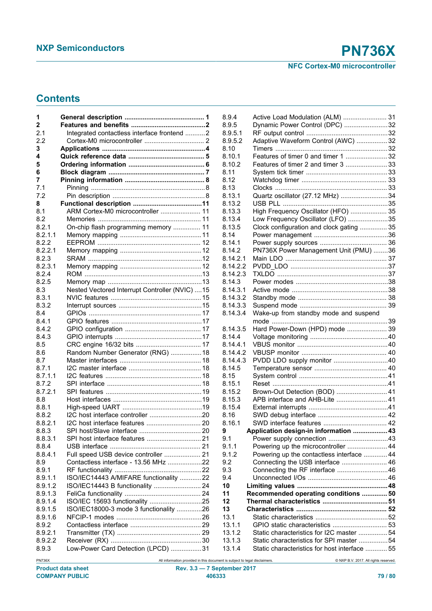## **Contents**

| 1       |                                                |
|---------|------------------------------------------------|
| 2       |                                                |
| 2.1     | Integrated contactless interface frontend 2    |
| 2.2     |                                                |
| 3       |                                                |
| 4       |                                                |
|         |                                                |
| 5       |                                                |
| 6       |                                                |
| 7       |                                                |
| 7.1     |                                                |
| 7.2     |                                                |
| 8       |                                                |
| 8.1     | ARM Cortex-M0 microcontroller  11              |
|         |                                                |
| 8.2     |                                                |
| 8.2.1   | On-chip flash programming memory  11           |
| 8.2.1.1 |                                                |
| 8.2.2   |                                                |
| 8.2.2.1 |                                                |
| 8.2.3   |                                                |
| 8.2.3.1 |                                                |
| 8.24    |                                                |
|         |                                                |
| 8.2.5   |                                                |
| 8.3     | Nested Vectored Interrupt Controller (NVIC) 15 |
| 8.3.1   |                                                |
| 8.3.2   |                                                |
| 8.4     |                                                |
| 8.4.1   |                                                |
| 8.4.2   |                                                |
|         |                                                |
| 8.4.3   |                                                |
| 8.5     |                                                |
| 8.6     | Random Number Generator (RNG)  18              |
| 8.7     |                                                |
| 8.7.1   |                                                |
| 8.7.1.1 |                                                |
| 8.7.2   |                                                |
| 8.7.2.1 |                                                |
|         |                                                |
| 8.8     |                                                |
| 8.8.1   |                                                |
| 8.8.2   |                                                |
| 8.8.2.1 |                                                |
| 8.8.3   |                                                |
| 8.8.3.1 |                                                |
| 8.8.4   |                                                |
|         |                                                |
| 8.8.4.1 | Full speed USB device controller  21           |
| 8.9     | Contactless interface - 13.56 MHz 22           |
| 8.9.1   |                                                |
| 8.9.1.1 | ISO/IEC14443 A/MIFARE functionality 22         |
| 8.9.1.2 | ISO/IEC14443 B functionality  24               |
| 8.9.1.3 |                                                |
| 8.9.1.4 | ISO/IEC 15693 functionality 25                 |
|         |                                                |
| 8.9.1.5 | ISO/IEC18000-3 mode 3 functionality 26         |
| 8.9.1.6 |                                                |
| 8.9.2   |                                                |
| 8.9.2.1 |                                                |
| 8.9.2.2 |                                                |
| 8.9.3   | Low-Power Card Detection (LPCD) 31             |
|         |                                                |

| 8.9.4    | Active Load Modulation (ALM)  31              |  |
|----------|-----------------------------------------------|--|
| 8.9.5    | Dynamic Power Control (DPC) 32                |  |
| 8.9.5.1  |                                               |  |
| 8.9.5.2  | Adaptive Waveform Control (AWC)  32           |  |
| 8.10     |                                               |  |
| 8.10.1   | Features of timer 0 and timer 1  32           |  |
| 8.10.2   | Features of timer 2 and timer 3  33           |  |
| 8.11     |                                               |  |
| 8.12     |                                               |  |
| 8.13     |                                               |  |
| 8.13.1   | Quartz oscillator (27.12 MHz) 34              |  |
| 8.13.2   |                                               |  |
| 8.13.3   | High Frequency Oscillator (HFO)  35           |  |
| 8.13.4   | Low Frequency Oscillator (LFO) 35             |  |
| 8.13.5   | Clock configuration and clock gating  35      |  |
| 8.14     |                                               |  |
| 8.14.1   |                                               |  |
| 8.14.2   | PN736X Power Management Unit (PMU) 36         |  |
| 8.14.2.1 |                                               |  |
| 8.14.2.2 |                                               |  |
| 8.14.2.3 |                                               |  |
| 8.14.3   |                                               |  |
| 8.14.3.1 |                                               |  |
| 8.14.3.2 |                                               |  |
| 8.14.3.3 |                                               |  |
| 8.14.3.4 | Wake-up from standby mode and suspend         |  |
|          |                                               |  |
| 8.14.3.5 | Hard Power-Down (HPD) mode  39                |  |
| 8.14.4   |                                               |  |
| 8.14.4.1 |                                               |  |
| 8.14.4.2 |                                               |  |
| 8.14.4.3 | PVDD LDO supply monitor 40                    |  |
| 8.14.5   |                                               |  |
| 8.15     |                                               |  |
| 8.15.1   |                                               |  |
| 8.15.2   | Brown-Out Detection (BOD)  41                 |  |
| 8.15.3   | APB interface and AHB-Lite  41                |  |
| 8.15.4   |                                               |  |
| 8.16     |                                               |  |
| 8.16.1   |                                               |  |
| 9        | Application design-in information  43         |  |
| 9.1      |                                               |  |
| 9.1.1    | Powering up the microcontroller  44           |  |
| 9.1.2    | Powering up the contactless interface  44     |  |
| 9.2      | Connecting the USB interface  46              |  |
| 9.3      | Connecting the RF interface 46                |  |
| 9.4      |                                               |  |
| 10       |                                               |  |
| 11       | Recommended operating conditions  50          |  |
| 12       |                                               |  |
| 13       |                                               |  |
| 13.1     |                                               |  |
| 13.1.1   |                                               |  |
| 13.1.2   | Static characteristics for I2C master  54     |  |
| 13.1.3   | Static characteristics for SPI master 54      |  |
| 13.1.4   | Static characteristics for host interface  55 |  |